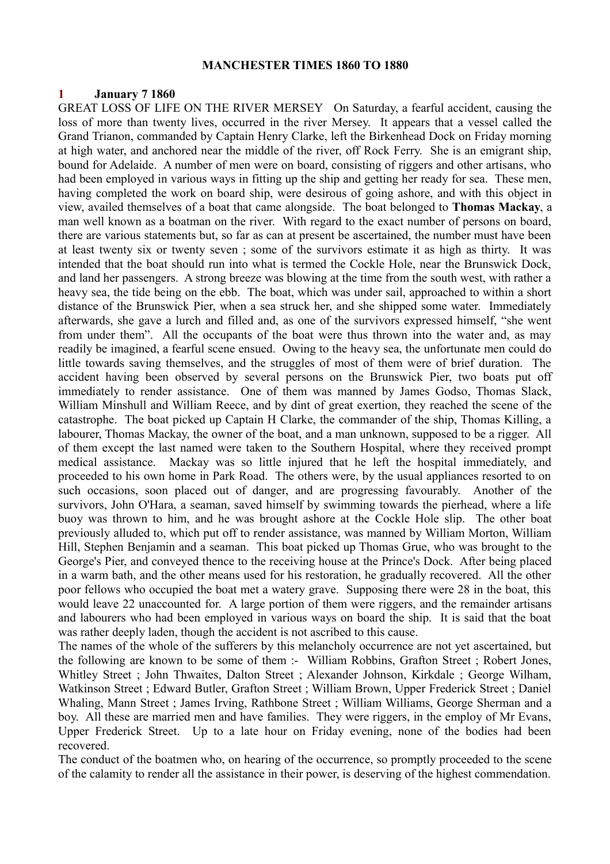#### **MANCHESTER TIMES 1860 TO 1880**

## **1 January 7 1860**

GREAT LOSS OF LIFE ON THE RIVER MERSEY On Saturday, a fearful accident, causing the loss of more than twenty lives, occurred in the river Mersey. It appears that a vessel called the Grand Trianon, commanded by Captain Henry Clarke, left the Birkenhead Dock on Friday morning at high water, and anchored near the middle of the river, off Rock Ferry. She is an emigrant ship, bound for Adelaide. A number of men were on board, consisting of riggers and other artisans, who had been employed in various ways in fitting up the ship and getting her ready for sea. These men, having completed the work on board ship, were desirous of going ashore, and with this object in view, availed themselves of a boat that came alongside. The boat belonged to **Thomas Mackay**, a man well known as a boatman on the river. With regard to the exact number of persons on board, there are various statements but, so far as can at present be ascertained, the number must have been at least twenty six or twenty seven ; some of the survivors estimate it as high as thirty. It was intended that the boat should run into what is termed the Cockle Hole, near the Brunswick Dock, and land her passengers. A strong breeze was blowing at the time from the south west, with rather a heavy sea, the tide being on the ebb. The boat, which was under sail, approached to within a short distance of the Brunswick Pier, when a sea struck her, and she shipped some water. Immediately afterwards, she gave a lurch and filled and, as one of the survivors expressed himself, "she went from under them". All the occupants of the boat were thus thrown into the water and, as may readily be imagined, a fearful scene ensued. Owing to the heavy sea, the unfortunate men could do little towards saving themselves, and the struggles of most of them were of brief duration. The accident having been observed by several persons on the Brunswick Pier, two boats put off immediately to render assistance. One of them was manned by James Godso, Thomas Slack, William Minshull and William Reece, and by dint of great exertion, they reached the scene of the catastrophe. The boat picked up Captain H Clarke, the commander of the ship, Thomas Killing, a labourer, Thomas Mackay, the owner of the boat, and a man unknown, supposed to be a rigger. All of them except the last named were taken to the Southern Hospital, where they received prompt medical assistance. Mackay was so little injured that he left the hospital immediately, and proceeded to his own home in Park Road. The others were, by the usual appliances resorted to on such occasions, soon placed out of danger, and are progressing favourably. Another of the survivors, John O'Hara, a seaman, saved himself by swimming towards the pierhead, where a life buoy was thrown to him, and he was brought ashore at the Cockle Hole slip. The other boat previously alluded to, which put off to render assistance, was manned by William Morton, William Hill, Stephen Benjamin and a seaman. This boat picked up Thomas Grue, who was brought to the George's Pier, and conveyed thence to the receiving house at the Prince's Dock. After being placed in a warm bath, and the other means used for his restoration, he gradually recovered. All the other poor fellows who occupied the boat met a watery grave. Supposing there were 28 in the boat, this would leave 22 unaccounted for. A large portion of them were riggers, and the remainder artisans and labourers who had been employed in various ways on board the ship. It is said that the boat was rather deeply laden, though the accident is not ascribed to this cause.

The names of the whole of the sufferers by this melancholy occurrence are not yet ascertained, but the following are known to be some of them :- William Robbins, Grafton Street ; Robert Jones, Whitley Street ; John Thwaites, Dalton Street ; Alexander Johnson, Kirkdale ; George Wilham, Watkinson Street ; Edward Butler, Grafton Street ; William Brown, Upper Frederick Street ; Daniel Whaling, Mann Street ; James Irving, Rathbone Street ; William Williams, George Sherman and a boy. All these are married men and have families. They were riggers, in the employ of Mr Evans, Upper Frederick Street. Up to a late hour on Friday evening, none of the bodies had been recovered.

The conduct of the boatmen who, on hearing of the occurrence, so promptly proceeded to the scene of the calamity to render all the assistance in their power, is deserving of the highest commendation.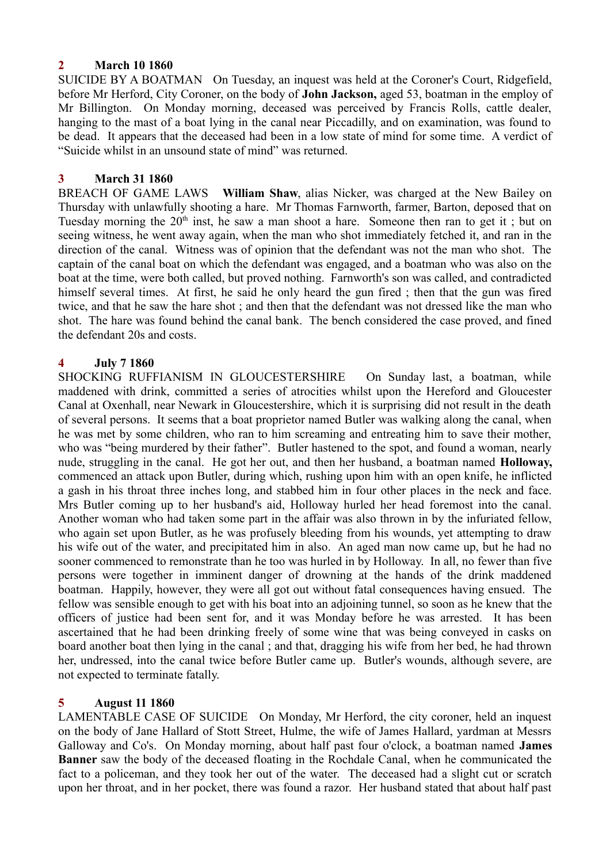## **2 March 10 1860**

SUICIDE BY A BOATMAN On Tuesday, an inquest was held at the Coroner's Court, Ridgefield, before Mr Herford, City Coroner, on the body of **John Jackson,** aged 53, boatman in the employ of Mr Billington. On Monday morning, deceased was perceived by Francis Rolls, cattle dealer, hanging to the mast of a boat lying in the canal near Piccadilly, and on examination, was found to be dead. It appears that the deceased had been in a low state of mind for some time. A verdict of "Suicide whilst in an unsound state of mind" was returned.

## **3 March 31 1860**

BREACH OF GAME LAWS **William Shaw**, alias Nicker, was charged at the New Bailey on Thursday with unlawfully shooting a hare. Mr Thomas Farnworth, farmer, Barton, deposed that on Tuesday morning the  $20<sup>th</sup>$  inst, he saw a man shoot a hare. Someone then ran to get it; but on seeing witness, he went away again, when the man who shot immediately fetched it, and ran in the direction of the canal. Witness was of opinion that the defendant was not the man who shot. The captain of the canal boat on which the defendant was engaged, and a boatman who was also on the boat at the time, were both called, but proved nothing. Farnworth's son was called, and contradicted himself several times. At first, he said he only heard the gun fired ; then that the gun was fired twice, and that he saw the hare shot ; and then that the defendant was not dressed like the man who shot. The hare was found behind the canal bank. The bench considered the case proved, and fined the defendant 20s and costs.

#### **4 July 7 1860**

SHOCKING RUFFIANISM IN GLOUCESTERSHIRE On Sunday last, a boatman, while maddened with drink, committed a series of atrocities whilst upon the Hereford and Gloucester Canal at Oxenhall, near Newark in Gloucestershire, which it is surprising did not result in the death of several persons. It seems that a boat proprietor named Butler was walking along the canal, when he was met by some children, who ran to him screaming and entreating him to save their mother, who was "being murdered by their father". Butler hastened to the spot, and found a woman, nearly nude, struggling in the canal. He got her out, and then her husband, a boatman named **Holloway,** commenced an attack upon Butler, during which, rushing upon him with an open knife, he inflicted a gash in his throat three inches long, and stabbed him in four other places in the neck and face. Mrs Butler coming up to her husband's aid, Holloway hurled her head foremost into the canal. Another woman who had taken some part in the affair was also thrown in by the infuriated fellow, who again set upon Butler, as he was profusely bleeding from his wounds, yet attempting to draw his wife out of the water, and precipitated him in also. An aged man now came up, but he had no sooner commenced to remonstrate than he too was hurled in by Holloway. In all, no fewer than five persons were together in imminent danger of drowning at the hands of the drink maddened boatman. Happily, however, they were all got out without fatal consequences having ensued. The fellow was sensible enough to get with his boat into an adjoining tunnel, so soon as he knew that the officers of justice had been sent for, and it was Monday before he was arrested. It has been ascertained that he had been drinking freely of some wine that was being conveyed in casks on board another boat then lying in the canal ; and that, dragging his wife from her bed, he had thrown her, undressed, into the canal twice before Butler came up. Butler's wounds, although severe, are not expected to terminate fatally.

## **5 August 11 1860**

LAMENTABLE CASE OF SUICIDE On Monday, Mr Herford, the city coroner, held an inquest on the body of Jane Hallard of Stott Street, Hulme, the wife of James Hallard, yardman at Messrs Galloway and Co's. On Monday morning, about half past four o'clock, a boatman named **James Banner** saw the body of the deceased floating in the Rochdale Canal, when he communicated the fact to a policeman, and they took her out of the water. The deceased had a slight cut or scratch upon her throat, and in her pocket, there was found a razor. Her husband stated that about half past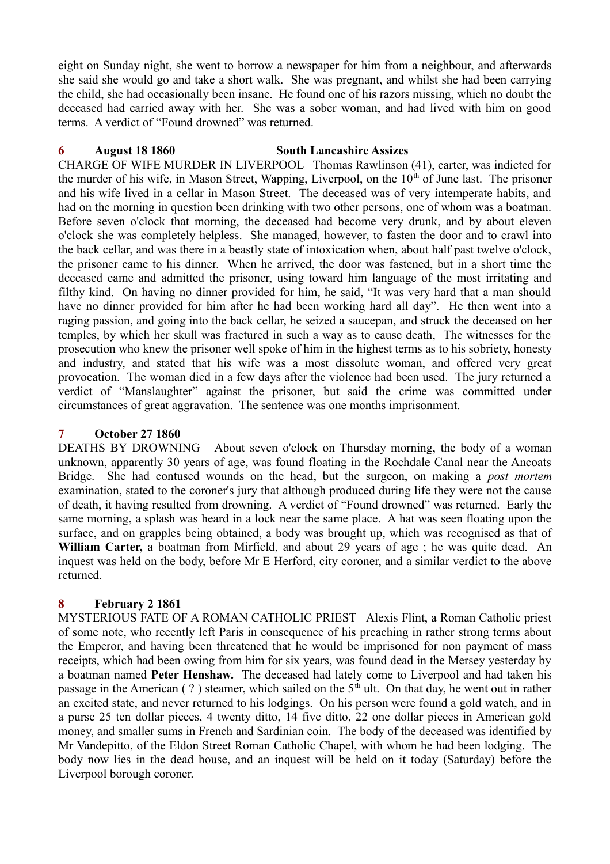eight on Sunday night, she went to borrow a newspaper for him from a neighbour, and afterwards she said she would go and take a short walk. She was pregnant, and whilst she had been carrying the child, she had occasionally been insane. He found one of his razors missing, which no doubt the deceased had carried away with her. She was a sober woman, and had lived with him on good terms. A verdict of "Found drowned" was returned.

## **6 August 18 1860 South Lancashire Assizes**

CHARGE OF WIFE MURDER IN LIVERPOOL Thomas Rawlinson (41), carter, was indicted for the murder of his wife, in Mason Street, Wapping, Liverpool, on the  $10<sup>th</sup>$  of June last. The prisoner and his wife lived in a cellar in Mason Street. The deceased was of very intemperate habits, and had on the morning in question been drinking with two other persons, one of whom was a boatman. Before seven o'clock that morning, the deceased had become very drunk, and by about eleven o'clock she was completely helpless. She managed, however, to fasten the door and to crawl into the back cellar, and was there in a beastly state of intoxication when, about half past twelve o'clock, the prisoner came to his dinner. When he arrived, the door was fastened, but in a short time the deceased came and admitted the prisoner, using toward him language of the most irritating and filthy kind. On having no dinner provided for him, he said, "It was very hard that a man should have no dinner provided for him after he had been working hard all day". He then went into a raging passion, and going into the back cellar, he seized a saucepan, and struck the deceased on her temples, by which her skull was fractured in such a way as to cause death, The witnesses for the prosecution who knew the prisoner well spoke of him in the highest terms as to his sobriety, honesty and industry, and stated that his wife was a most dissolute woman, and offered very great provocation. The woman died in a few days after the violence had been used. The jury returned a verdict of "Manslaughter" against the prisoner, but said the crime was committed under circumstances of great aggravation. The sentence was one months imprisonment.

## **7 October 27 1860**

DEATHS BY DROWNING About seven o'clock on Thursday morning, the body of a woman unknown, apparently 30 years of age, was found floating in the Rochdale Canal near the Ancoats Bridge. She had contused wounds on the head, but the surgeon, on making a *post mortem* examination, stated to the coroner's jury that although produced during life they were not the cause of death, it having resulted from drowning. A verdict of "Found drowned" was returned. Early the same morning, a splash was heard in a lock near the same place. A hat was seen floating upon the surface, and on grapples being obtained, a body was brought up, which was recognised as that of **William Carter,** a boatman from Mirfield, and about 29 years of age ; he was quite dead. An inquest was held on the body, before Mr E Herford, city coroner, and a similar verdict to the above returned.

## **8 February 2 1861**

MYSTERIOUS FATE OF A ROMAN CATHOLIC PRIEST Alexis Flint, a Roman Catholic priest of some note, who recently left Paris in consequence of his preaching in rather strong terms about the Emperor, and having been threatened that he would be imprisoned for non payment of mass receipts, which had been owing from him for six years, was found dead in the Mersey yesterday by a boatman named **Peter Henshaw.** The deceased had lately come to Liverpool and had taken his passage in the American (?) steamer, which sailed on the  $5<sup>th</sup>$  ult. On that day, he went out in rather an excited state, and never returned to his lodgings. On his person were found a gold watch, and in a purse 25 ten dollar pieces, 4 twenty ditto, 14 five ditto, 22 one dollar pieces in American gold money, and smaller sums in French and Sardinian coin. The body of the deceased was identified by Mr Vandepitto, of the Eldon Street Roman Catholic Chapel, with whom he had been lodging. The body now lies in the dead house, and an inquest will be held on it today (Saturday) before the Liverpool borough coroner.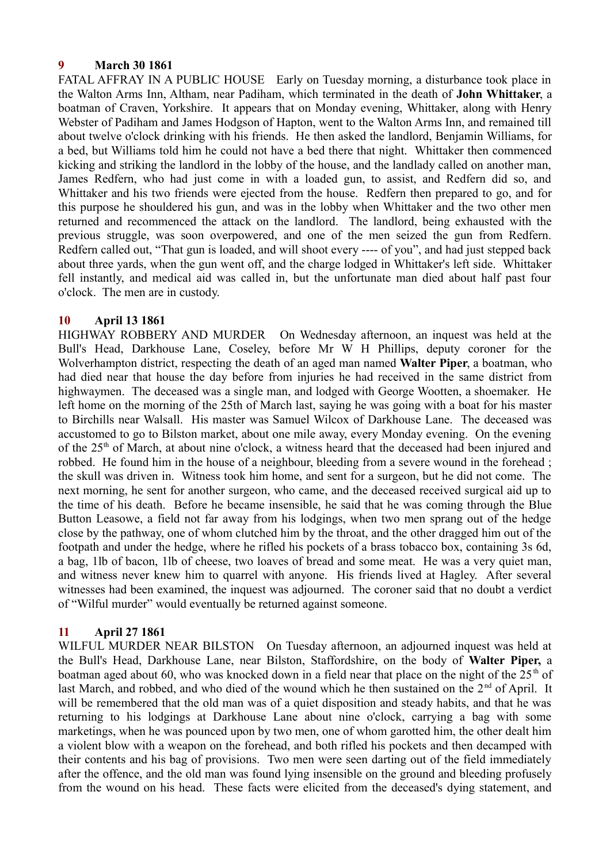## **9 March 30 1861**

FATAL AFFRAY IN A PUBLIC HOUSE Early on Tuesday morning, a disturbance took place in the Walton Arms Inn, Altham, near Padiham, which terminated in the death of **John Whittaker**, a boatman of Craven, Yorkshire. It appears that on Monday evening, Whittaker, along with Henry Webster of Padiham and James Hodgson of Hapton, went to the Walton Arms Inn, and remained till about twelve o'clock drinking with his friends. He then asked the landlord, Benjamin Williams, for a bed, but Williams told him he could not have a bed there that night. Whittaker then commenced kicking and striking the landlord in the lobby of the house, and the landlady called on another man, James Redfern, who had just come in with a loaded gun, to assist, and Redfern did so, and Whittaker and his two friends were ejected from the house. Redfern then prepared to go, and for this purpose he shouldered his gun, and was in the lobby when Whittaker and the two other men returned and recommenced the attack on the landlord. The landlord, being exhausted with the previous struggle, was soon overpowered, and one of the men seized the gun from Redfern. Redfern called out, "That gun is loaded, and will shoot every ---- of you", and had just stepped back about three yards, when the gun went off, and the charge lodged in Whittaker's left side. Whittaker fell instantly, and medical aid was called in, but the unfortunate man died about half past four o'clock. The men are in custody.

## **10 April 13 1861**

HIGHWAY ROBBERY AND MURDER On Wednesday afternoon, an inquest was held at the Bull's Head, Darkhouse Lane, Coseley, before Mr W H Phillips, deputy coroner for the Wolverhampton district, respecting the death of an aged man named **Walter Piper**, a boatman, who had died near that house the day before from injuries he had received in the same district from highwaymen. The deceased was a single man, and lodged with George Wootten, a shoemaker. He left home on the morning of the 25th of March last, saying he was going with a boat for his master to Birchills near Walsall. His master was Samuel Wilcox of Darkhouse Lane. The deceased was accustomed to go to Bilston market, about one mile away, every Monday evening. On the evening of the 25th of March, at about nine o'clock, a witness heard that the deceased had been injured and robbed. He found him in the house of a neighbour, bleeding from a severe wound in the forehead ; the skull was driven in. Witness took him home, and sent for a surgeon, but he did not come. The next morning, he sent for another surgeon, who came, and the deceased received surgical aid up to the time of his death. Before he became insensible, he said that he was coming through the Blue Button Leasowe, a field not far away from his lodgings, when two men sprang out of the hedge close by the pathway, one of whom clutched him by the throat, and the other dragged him out of the footpath and under the hedge, where he rifled his pockets of a brass tobacco box, containing 3s 6d, a bag, 1lb of bacon, 1lb of cheese, two loaves of bread and some meat. He was a very quiet man, and witness never knew him to quarrel with anyone. His friends lived at Hagley. After several witnesses had been examined, the inquest was adjourned. The coroner said that no doubt a verdict of "Wilful murder" would eventually be returned against someone.

## **11 April 27 1861**

WILFUL MURDER NEAR BILSTON On Tuesday afternoon, an adjourned inquest was held at the Bull's Head, Darkhouse Lane, near Bilston, Staffordshire, on the body of **Walter Piper,** a boatman aged about 60, who was knocked down in a field near that place on the night of the  $25<sup>th</sup>$  of last March, and robbed, and who died of the wound which he then sustained on the 2<sup>nd</sup> of April. It will be remembered that the old man was of a quiet disposition and steady habits, and that he was returning to his lodgings at Darkhouse Lane about nine o'clock, carrying a bag with some marketings, when he was pounced upon by two men, one of whom garotted him, the other dealt him a violent blow with a weapon on the forehead, and both rifled his pockets and then decamped with their contents and his bag of provisions. Two men were seen darting out of the field immediately after the offence, and the old man was found lying insensible on the ground and bleeding profusely from the wound on his head. These facts were elicited from the deceased's dying statement, and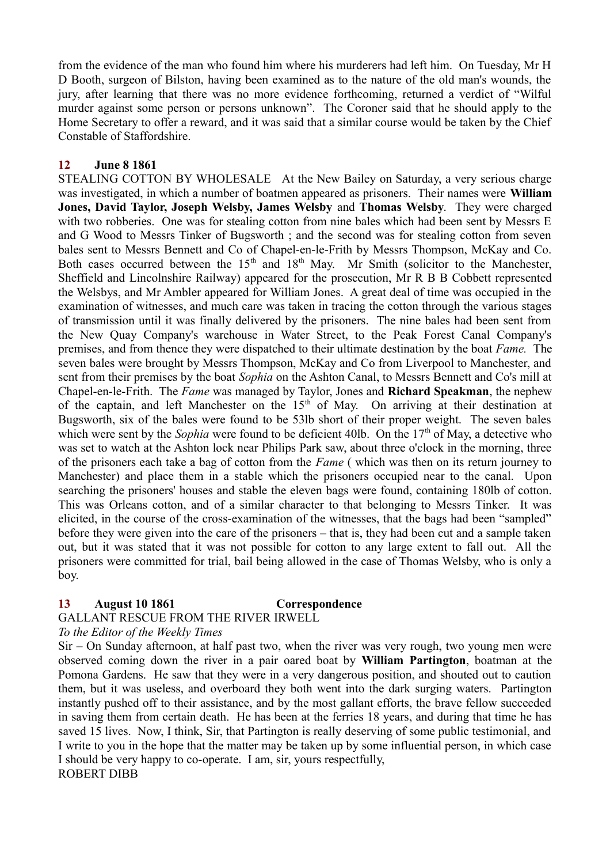from the evidence of the man who found him where his murderers had left him. On Tuesday, Mr H D Booth, surgeon of Bilston, having been examined as to the nature of the old man's wounds, the jury, after learning that there was no more evidence forthcoming, returned a verdict of "Wilful murder against some person or persons unknown". The Coroner said that he should apply to the Home Secretary to offer a reward, and it was said that a similar course would be taken by the Chief Constable of Staffordshire.

# **12 June 8 1861**

STEALING COTTON BY WHOLESALE At the New Bailey on Saturday, a very serious charge was investigated, in which a number of boatmen appeared as prisoners. Their names were **William Jones, David Taylor, Joseph Welsby, James Welsby** and **Thomas Welsby**. They were charged with two robberies. One was for stealing cotton from nine bales which had been sent by Messrs E and G Wood to Messrs Tinker of Bugsworth ; and the second was for stealing cotton from seven bales sent to Messrs Bennett and Co of Chapel-en-le-Frith by Messrs Thompson, McKay and Co. Both cases occurred between the  $15<sup>th</sup>$  and  $18<sup>th</sup>$  May. Mr Smith (solicitor to the Manchester, Sheffield and Lincolnshire Railway) appeared for the prosecution, Mr R B B Cobbett represented the Welsbys, and Mr Ambler appeared for William Jones. A great deal of time was occupied in the examination of witnesses, and much care was taken in tracing the cotton through the various stages of transmission until it was finally delivered by the prisoners. The nine bales had been sent from the New Quay Company's warehouse in Water Street, to the Peak Forest Canal Company's premises, and from thence they were dispatched to their ultimate destination by the boat *Fame.* The seven bales were brought by Messrs Thompson, McKay and Co from Liverpool to Manchester, and sent from their premises by the boat *Sophia* on the Ashton Canal, to Messrs Bennett and Co's mill at Chapel-en-le-Frith. The *Fame* was managed by Taylor, Jones and **Richard Speakman**, the nephew of the captain, and left Manchester on the  $15<sup>th</sup>$  of May. On arriving at their destination at Bugsworth, six of the bales were found to be 53lb short of their proper weight. The seven bales which were sent by the *Sophia* were found to be deficient 40lb. On the 17<sup>th</sup> of May, a detective who was set to watch at the Ashton lock near Philips Park saw, about three o'clock in the morning, three of the prisoners each take a bag of cotton from the *Fame* ( which was then on its return journey to Manchester) and place them in a stable which the prisoners occupied near to the canal. Upon searching the prisoners' houses and stable the eleven bags were found, containing 180lb of cotton. This was Orleans cotton, and of a similar character to that belonging to Messrs Tinker. It was elicited, in the course of the cross-examination of the witnesses, that the bags had been "sampled" before they were given into the care of the prisoners – that is, they had been cut and a sample taken out, but it was stated that it was not possible for cotton to any large extent to fall out. All the prisoners were committed for trial, bail being allowed in the case of Thomas Welsby, who is only a boy.

## **13 August 10 1861 Correspondence**

## GALLANT RESCUE FROM THE RIVER IRWELL

## *To the Editor of the Weekly Times*

Sir – On Sunday afternoon, at half past two, when the river was very rough, two young men were observed coming down the river in a pair oared boat by **William Partington**, boatman at the Pomona Gardens. He saw that they were in a very dangerous position, and shouted out to caution them, but it was useless, and overboard they both went into the dark surging waters. Partington instantly pushed off to their assistance, and by the most gallant efforts, the brave fellow succeeded in saving them from certain death. He has been at the ferries 18 years, and during that time he has saved 15 lives. Now, I think, Sir, that Partington is really deserving of some public testimonial, and I write to you in the hope that the matter may be taken up by some influential person, in which case I should be very happy to co-operate. I am, sir, yours respectfully, ROBERT DIBB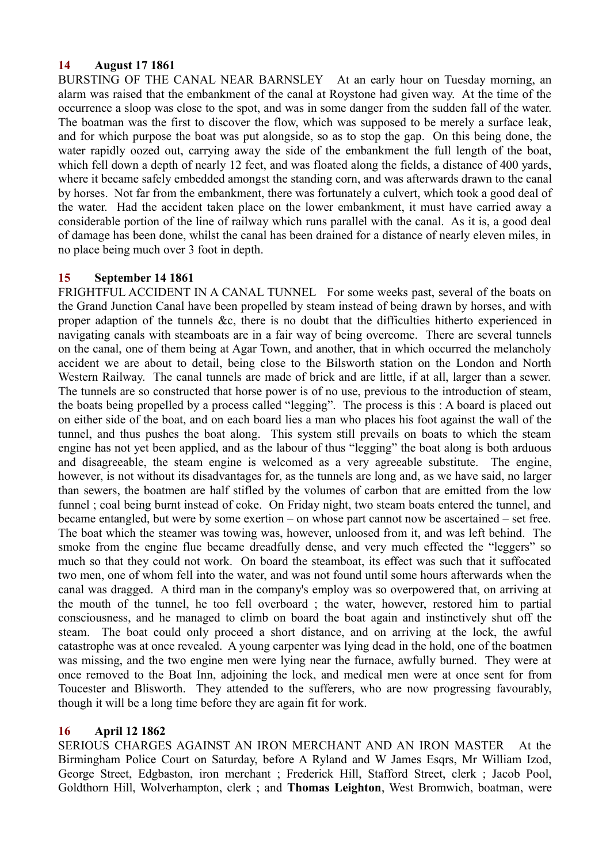## **14 August 17 1861**

BURSTING OF THE CANAL NEAR BARNSLEY At an early hour on Tuesday morning, an alarm was raised that the embankment of the canal at Roystone had given way. At the time of the occurrence a sloop was close to the spot, and was in some danger from the sudden fall of the water. The boatman was the first to discover the flow, which was supposed to be merely a surface leak, and for which purpose the boat was put alongside, so as to stop the gap. On this being done, the water rapidly oozed out, carrying away the side of the embankment the full length of the boat, which fell down a depth of nearly 12 feet, and was floated along the fields, a distance of 400 yards, where it became safely embedded amongst the standing corn, and was afterwards drawn to the canal by horses. Not far from the embankment, there was fortunately a culvert, which took a good deal of the water. Had the accident taken place on the lower embankment, it must have carried away a considerable portion of the line of railway which runs parallel with the canal. As it is, a good deal of damage has been done, whilst the canal has been drained for a distance of nearly eleven miles, in no place being much over 3 foot in depth.

## **15 September 14 1861**

FRIGHTFUL ACCIDENT IN A CANAL TUNNEL For some weeks past, several of the boats on the Grand Junction Canal have been propelled by steam instead of being drawn by horses, and with proper adaption of the tunnels &c, there is no doubt that the difficulties hitherto experienced in navigating canals with steamboats are in a fair way of being overcome. There are several tunnels on the canal, one of them being at Agar Town, and another, that in which occurred the melancholy accident we are about to detail, being close to the Bilsworth station on the London and North Western Railway. The canal tunnels are made of brick and are little, if at all, larger than a sewer. The tunnels are so constructed that horse power is of no use, previous to the introduction of steam, the boats being propelled by a process called "legging". The process is this : A board is placed out on either side of the boat, and on each board lies a man who places his foot against the wall of the tunnel, and thus pushes the boat along. This system still prevails on boats to which the steam engine has not yet been applied, and as the labour of thus "legging" the boat along is both arduous and disagreeable, the steam engine is welcomed as a very agreeable substitute. The engine, however, is not without its disadvantages for, as the tunnels are long and, as we have said, no larger than sewers, the boatmen are half stifled by the volumes of carbon that are emitted from the low funnel ; coal being burnt instead of coke. On Friday night, two steam boats entered the tunnel, and became entangled, but were by some exertion – on whose part cannot now be ascertained – set free. The boat which the steamer was towing was, however, unloosed from it, and was left behind. The smoke from the engine flue became dreadfully dense, and very much effected the "leggers" so much so that they could not work. On board the steamboat, its effect was such that it suffocated two men, one of whom fell into the water, and was not found until some hours afterwards when the canal was dragged. A third man in the company's employ was so overpowered that, on arriving at the mouth of the tunnel, he too fell overboard ; the water, however, restored him to partial consciousness, and he managed to climb on board the boat again and instinctively shut off the steam. The boat could only proceed a short distance, and on arriving at the lock, the awful catastrophe was at once revealed. A young carpenter was lying dead in the hold, one of the boatmen was missing, and the two engine men were lying near the furnace, awfully burned. They were at once removed to the Boat Inn, adjoining the lock, and medical men were at once sent for from Toucester and Blisworth. They attended to the sufferers, who are now progressing favourably, though it will be a long time before they are again fit for work.

## **16 April 12 1862**

SERIOUS CHARGES AGAINST AN IRON MERCHANT AND AN IRON MASTER At the Birmingham Police Court on Saturday, before A Ryland and W James Esqrs, Mr William Izod, George Street, Edgbaston, iron merchant ; Frederick Hill, Stafford Street, clerk ; Jacob Pool, Goldthorn Hill, Wolverhampton, clerk ; and **Thomas Leighton**, West Bromwich, boatman, were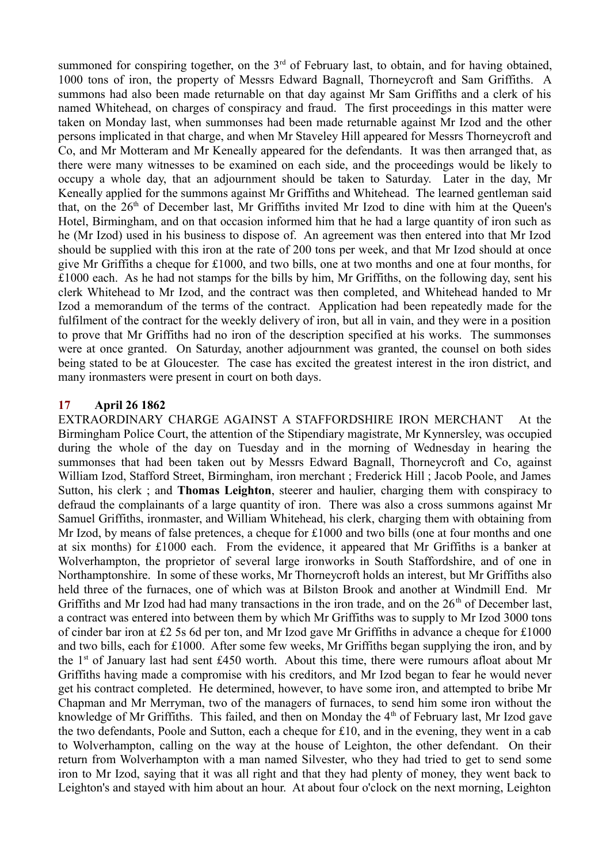summoned for conspiring together, on the  $3<sup>rd</sup>$  of February last, to obtain, and for having obtained, 1000 tons of iron, the property of Messrs Edward Bagnall, Thorneycroft and Sam Griffiths. A summons had also been made returnable on that day against Mr Sam Griffiths and a clerk of his named Whitehead, on charges of conspiracy and fraud. The first proceedings in this matter were taken on Monday last, when summonses had been made returnable against Mr Izod and the other persons implicated in that charge, and when Mr Staveley Hill appeared for Messrs Thorneycroft and Co, and Mr Motteram and Mr Keneally appeared for the defendants. It was then arranged that, as there were many witnesses to be examined on each side, and the proceedings would be likely to occupy a whole day, that an adjournment should be taken to Saturday. Later in the day, Mr Keneally applied for the summons against Mr Griffiths and Whitehead. The learned gentleman said that, on the  $26<sup>th</sup>$  of December last, Mr Griffiths invited Mr Izod to dine with him at the Queen's Hotel, Birmingham, and on that occasion informed him that he had a large quantity of iron such as he (Mr Izod) used in his business to dispose of. An agreement was then entered into that Mr Izod should be supplied with this iron at the rate of 200 tons per week, and that Mr Izod should at once give Mr Griffiths a cheque for £1000, and two bills, one at two months and one at four months, for £1000 each. As he had not stamps for the bills by him, Mr Griffiths, on the following day, sent his clerk Whitehead to Mr Izod, and the contract was then completed, and Whitehead handed to Mr Izod a memorandum of the terms of the contract. Application had been repeatedly made for the fulfilment of the contract for the weekly delivery of iron, but all in vain, and they were in a position to prove that Mr Griffiths had no iron of the description specified at his works. The summonses were at once granted. On Saturday, another adjournment was granted, the counsel on both sides being stated to be at Gloucester. The case has excited the greatest interest in the iron district, and many ironmasters were present in court on both days.

## **17 April 26 1862**

EXTRAORDINARY CHARGE AGAINST A STAFFORDSHIRE IRON MERCHANT At the Birmingham Police Court, the attention of the Stipendiary magistrate, Mr Kynnersley, was occupied during the whole of the day on Tuesday and in the morning of Wednesday in hearing the summonses that had been taken out by Messrs Edward Bagnall, Thorneycroft and Co, against William Izod, Stafford Street, Birmingham, iron merchant ; Frederick Hill ; Jacob Poole, and James Sutton, his clerk ; and **Thomas Leighton**, steerer and haulier, charging them with conspiracy to defraud the complainants of a large quantity of iron. There was also a cross summons against Mr Samuel Griffiths, ironmaster, and William Whitehead, his clerk, charging them with obtaining from Mr Izod, by means of false pretences, a cheque for £1000 and two bills (one at four months and one at six months) for £1000 each. From the evidence, it appeared that Mr Griffiths is a banker at Wolverhampton, the proprietor of several large ironworks in South Staffordshire, and of one in Northamptonshire. In some of these works, Mr Thorneycroft holds an interest, but Mr Griffiths also held three of the furnaces, one of which was at Bilston Brook and another at Windmill End. Mr Griffiths and Mr Izod had had many transactions in the iron trade, and on the  $26<sup>th</sup>$  of December last, a contract was entered into between them by which Mr Griffiths was to supply to Mr Izod 3000 tons of cinder bar iron at £2 5s 6d per ton, and Mr Izod gave Mr Griffiths in advance a cheque for £1000 and two bills, each for £1000. After some few weeks, Mr Griffiths began supplying the iron, and by the 1st of January last had sent £450 worth. About this time, there were rumours afloat about Mr Griffiths having made a compromise with his creditors, and Mr Izod began to fear he would never get his contract completed. He determined, however, to have some iron, and attempted to bribe Mr Chapman and Mr Merryman, two of the managers of furnaces, to send him some iron without the knowledge of Mr Griffiths. This failed, and then on Monday the  $4<sup>th</sup>$  of February last, Mr Izod gave the two defendants, Poole and Sutton, each a cheque for £10, and in the evening, they went in a cab to Wolverhampton, calling on the way at the house of Leighton, the other defendant. On their return from Wolverhampton with a man named Silvester, who they had tried to get to send some iron to Mr Izod, saying that it was all right and that they had plenty of money, they went back to Leighton's and stayed with him about an hour. At about four o'clock on the next morning, Leighton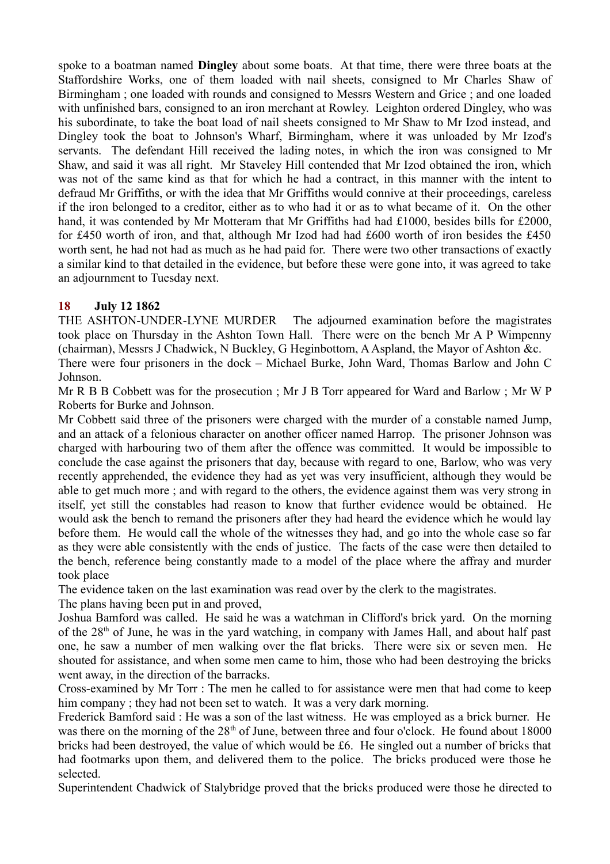spoke to a boatman named **Dingley** about some boats. At that time, there were three boats at the Staffordshire Works, one of them loaded with nail sheets, consigned to Mr Charles Shaw of Birmingham ; one loaded with rounds and consigned to Messrs Western and Grice ; and one loaded with unfinished bars, consigned to an iron merchant at Rowley. Leighton ordered Dingley, who was his subordinate, to take the boat load of nail sheets consigned to Mr Shaw to Mr Izod instead, and Dingley took the boat to Johnson's Wharf, Birmingham, where it was unloaded by Mr Izod's servants. The defendant Hill received the lading notes, in which the iron was consigned to Mr Shaw, and said it was all right. Mr Staveley Hill contended that Mr Izod obtained the iron, which was not of the same kind as that for which he had a contract, in this manner with the intent to defraud Mr Griffiths, or with the idea that Mr Griffiths would connive at their proceedings, careless if the iron belonged to a creditor, either as to who had it or as to what became of it. On the other hand, it was contended by Mr Motteram that Mr Griffiths had had £1000, besides bills for £2000, for £450 worth of iron, and that, although Mr Izod had had £600 worth of iron besides the £450 worth sent, he had not had as much as he had paid for. There were two other transactions of exactly a similar kind to that detailed in the evidence, but before these were gone into, it was agreed to take an adjournment to Tuesday next.

# **18 July 12 1862**

THE ASHTON-UNDER-LYNE MURDER The adjourned examination before the magistrates took place on Thursday in the Ashton Town Hall. There were on the bench Mr A P Wimpenny (chairman), Messrs J Chadwick, N Buckley, G Heginbottom, A Aspland, the Mayor of Ashton &c.

There were four prisoners in the dock – Michael Burke, John Ward, Thomas Barlow and John C Johnson.

Mr R B B Cobbett was for the prosecution ; Mr J B Torr appeared for Ward and Barlow ; Mr W P Roberts for Burke and Johnson.

Mr Cobbett said three of the prisoners were charged with the murder of a constable named Jump, and an attack of a felonious character on another officer named Harrop. The prisoner Johnson was charged with harbouring two of them after the offence was committed. It would be impossible to conclude the case against the prisoners that day, because with regard to one, Barlow, who was very recently apprehended, the evidence they had as yet was very insufficient, although they would be able to get much more ; and with regard to the others, the evidence against them was very strong in itself, yet still the constables had reason to know that further evidence would be obtained. He would ask the bench to remand the prisoners after they had heard the evidence which he would lay before them. He would call the whole of the witnesses they had, and go into the whole case so far as they were able consistently with the ends of justice. The facts of the case were then detailed to the bench, reference being constantly made to a model of the place where the affray and murder took place

The evidence taken on the last examination was read over by the clerk to the magistrates.

The plans having been put in and proved,

Joshua Bamford was called. He said he was a watchman in Clifford's brick yard. On the morning of the  $28<sup>th</sup>$  of June, he was in the yard watching, in company with James Hall, and about half past one, he saw a number of men walking over the flat bricks. There were six or seven men. He shouted for assistance, and when some men came to him, those who had been destroying the bricks went away, in the direction of the barracks.

Cross-examined by Mr Torr : The men he called to for assistance were men that had come to keep him company; they had not been set to watch. It was a very dark morning.

Frederick Bamford said : He was a son of the last witness. He was employed as a brick burner. He was there on the morning of the 28<sup>th</sup> of June, between three and four o'clock. He found about 18000 bricks had been destroyed, the value of which would be £6. He singled out a number of bricks that had footmarks upon them, and delivered them to the police. The bricks produced were those he selected.

Superintendent Chadwick of Stalybridge proved that the bricks produced were those he directed to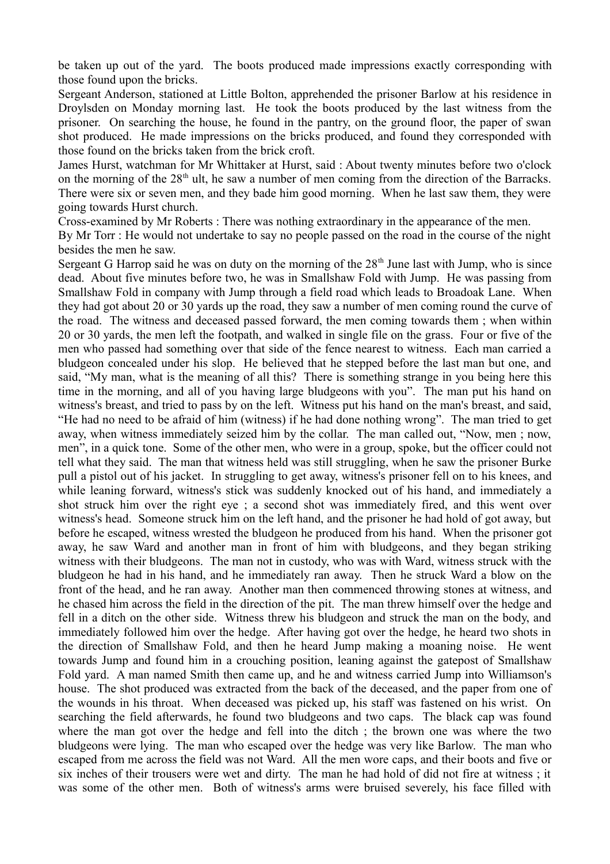be taken up out of the yard. The boots produced made impressions exactly corresponding with those found upon the bricks.

Sergeant Anderson, stationed at Little Bolton, apprehended the prisoner Barlow at his residence in Droylsden on Monday morning last. He took the boots produced by the last witness from the prisoner. On searching the house, he found in the pantry, on the ground floor, the paper of swan shot produced. He made impressions on the bricks produced, and found they corresponded with those found on the bricks taken from the brick croft.

James Hurst, watchman for Mr Whittaker at Hurst, said : About twenty minutes before two o'clock on the morning of the 28<sup>th</sup> ult, he saw a number of men coming from the direction of the Barracks. There were six or seven men, and they bade him good morning. When he last saw them, they were going towards Hurst church.

Cross-examined by Mr Roberts : There was nothing extraordinary in the appearance of the men.

By Mr Torr : He would not undertake to say no people passed on the road in the course of the night besides the men he saw.

Sergeant G Harrop said he was on duty on the morning of the  $28<sup>th</sup>$  June last with Jump, who is since dead. About five minutes before two, he was in Smallshaw Fold with Jump. He was passing from Smallshaw Fold in company with Jump through a field road which leads to Broadoak Lane. When they had got about 20 or 30 yards up the road, they saw a number of men coming round the curve of the road. The witness and deceased passed forward, the men coming towards them ; when within 20 or 30 yards, the men left the footpath, and walked in single file on the grass. Four or five of the men who passed had something over that side of the fence nearest to witness. Each man carried a bludgeon concealed under his slop. He believed that he stepped before the last man but one, and said, "My man, what is the meaning of all this? There is something strange in you being here this time in the morning, and all of you having large bludgeons with you". The man put his hand on witness's breast, and tried to pass by on the left. Witness put his hand on the man's breast, and said, "He had no need to be afraid of him (witness) if he had done nothing wrong". The man tried to get away, when witness immediately seized him by the collar. The man called out, "Now, men ; now, men", in a quick tone. Some of the other men, who were in a group, spoke, but the officer could not tell what they said. The man that witness held was still struggling, when he saw the prisoner Burke pull a pistol out of his jacket. In struggling to get away, witness's prisoner fell on to his knees, and while leaning forward, witness's stick was suddenly knocked out of his hand, and immediately a shot struck him over the right eye ; a second shot was immediately fired, and this went over witness's head. Someone struck him on the left hand, and the prisoner he had hold of got away, but before he escaped, witness wrested the bludgeon he produced from his hand. When the prisoner got away, he saw Ward and another man in front of him with bludgeons, and they began striking witness with their bludgeons. The man not in custody, who was with Ward, witness struck with the bludgeon he had in his hand, and he immediately ran away. Then he struck Ward a blow on the front of the head, and he ran away. Another man then commenced throwing stones at witness, and he chased him across the field in the direction of the pit. The man threw himself over the hedge and fell in a ditch on the other side. Witness threw his bludgeon and struck the man on the body, and immediately followed him over the hedge. After having got over the hedge, he heard two shots in the direction of Smallshaw Fold, and then he heard Jump making a moaning noise. He went towards Jump and found him in a crouching position, leaning against the gatepost of Smallshaw Fold yard. A man named Smith then came up, and he and witness carried Jump into Williamson's house. The shot produced was extracted from the back of the deceased, and the paper from one of the wounds in his throat. When deceased was picked up, his staff was fastened on his wrist. On searching the field afterwards, he found two bludgeons and two caps. The black cap was found where the man got over the hedge and fell into the ditch ; the brown one was where the two bludgeons were lying. The man who escaped over the hedge was very like Barlow. The man who escaped from me across the field was not Ward. All the men wore caps, and their boots and five or six inches of their trousers were wet and dirty. The man he had hold of did not fire at witness ; it was some of the other men. Both of witness's arms were bruised severely, his face filled with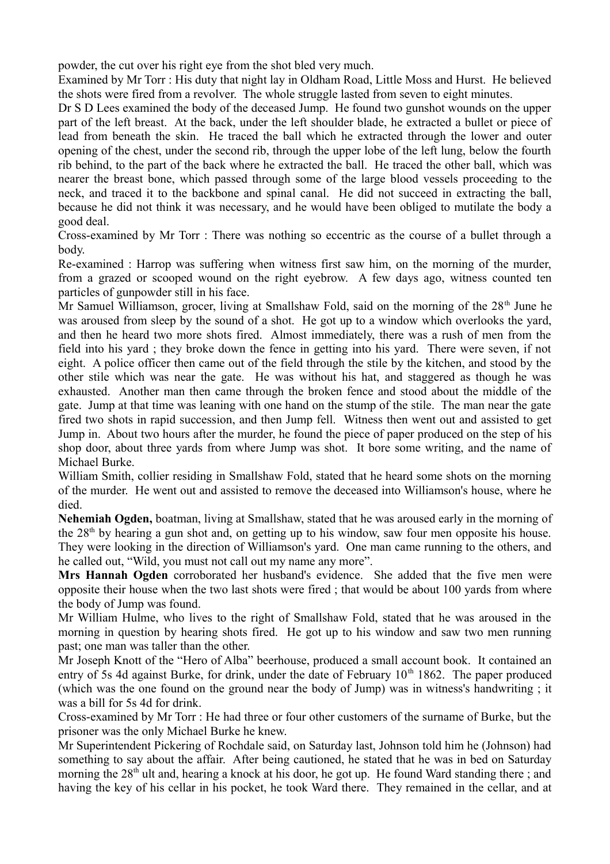powder, the cut over his right eye from the shot bled very much.

Examined by Mr Torr : His duty that night lay in Oldham Road, Little Moss and Hurst. He believed the shots were fired from a revolver. The whole struggle lasted from seven to eight minutes.

Dr S D Lees examined the body of the deceased Jump. He found two gunshot wounds on the upper part of the left breast. At the back, under the left shoulder blade, he extracted a bullet or piece of lead from beneath the skin. He traced the ball which he extracted through the lower and outer opening of the chest, under the second rib, through the upper lobe of the left lung, below the fourth rib behind, to the part of the back where he extracted the ball. He traced the other ball, which was nearer the breast bone, which passed through some of the large blood vessels proceeding to the neck, and traced it to the backbone and spinal canal. He did not succeed in extracting the ball, because he did not think it was necessary, and he would have been obliged to mutilate the body a good deal.

Cross-examined by Mr Torr : There was nothing so eccentric as the course of a bullet through a body.

Re-examined : Harrop was suffering when witness first saw him, on the morning of the murder, from a grazed or scooped wound on the right eyebrow. A few days ago, witness counted ten particles of gunpowder still in his face.

Mr Samuel Williamson, grocer, living at Smallshaw Fold, said on the morning of the  $28<sup>th</sup>$  June he was aroused from sleep by the sound of a shot. He got up to a window which overlooks the yard, and then he heard two more shots fired. Almost immediately, there was a rush of men from the field into his yard ; they broke down the fence in getting into his yard. There were seven, if not eight. A police officer then came out of the field through the stile by the kitchen, and stood by the other stile which was near the gate. He was without his hat, and staggered as though he was exhausted. Another man then came through the broken fence and stood about the middle of the gate. Jump at that time was leaning with one hand on the stump of the stile. The man near the gate fired two shots in rapid succession, and then Jump fell. Witness then went out and assisted to get Jump in. About two hours after the murder, he found the piece of paper produced on the step of his shop door, about three yards from where Jump was shot. It bore some writing, and the name of Michael Burke.

William Smith, collier residing in Smallshaw Fold, stated that he heard some shots on the morning of the murder. He went out and assisted to remove the deceased into Williamson's house, where he died.

**Nehemiah Ogden,** boatman, living at Smallshaw, stated that he was aroused early in the morning of the  $28<sup>th</sup>$  by hearing a gun shot and, on getting up to his window, saw four men opposite his house.

They were looking in the direction of Williamson's yard. One man came running to the others, and he called out, "Wild, you must not call out my name any more".

**Mrs Hannah Ogden** corroborated her husband's evidence. She added that the five men were opposite their house when the two last shots were fired ; that would be about 100 yards from where the body of Jump was found.

Mr William Hulme, who lives to the right of Smallshaw Fold, stated that he was aroused in the morning in question by hearing shots fired. He got up to his window and saw two men running past; one man was taller than the other.

Mr Joseph Knott of the "Hero of Alba" beerhouse, produced a small account book. It contained an entry of 5s 4d against Burke, for drink, under the date of February  $10<sup>th</sup> 1862$ . The paper produced (which was the one found on the ground near the body of Jump) was in witness's handwriting ; it was a bill for 5s 4d for drink.

Cross-examined by Mr Torr : He had three or four other customers of the surname of Burke, but the prisoner was the only Michael Burke he knew.

Mr Superintendent Pickering of Rochdale said, on Saturday last, Johnson told him he (Johnson) had something to say about the affair. After being cautioned, he stated that he was in bed on Saturday morning the  $28<sup>th</sup>$  ult and, hearing a knock at his door, he got up. He found Ward standing there; and having the key of his cellar in his pocket, he took Ward there. They remained in the cellar, and at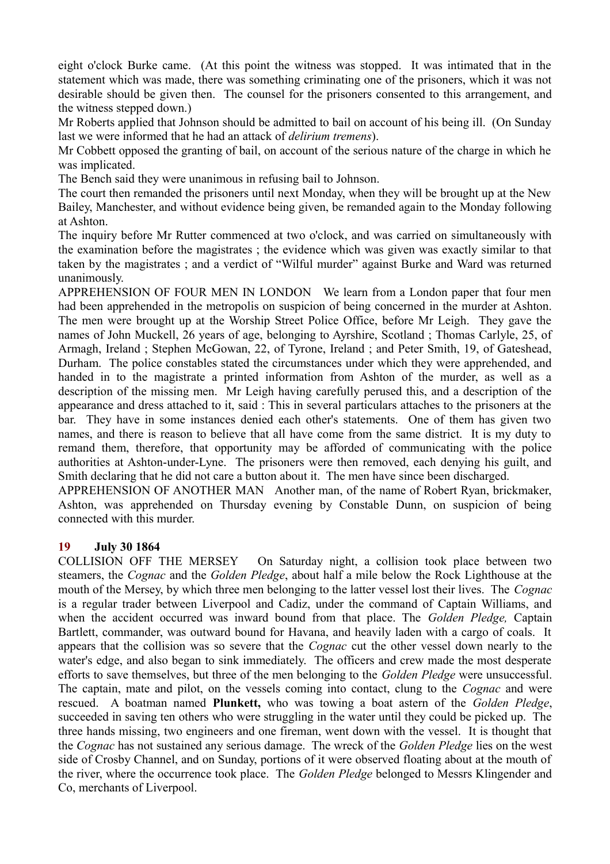eight o'clock Burke came. (At this point the witness was stopped. It was intimated that in the statement which was made, there was something criminating one of the prisoners, which it was not desirable should be given then. The counsel for the prisoners consented to this arrangement, and the witness stepped down.)

Mr Roberts applied that Johnson should be admitted to bail on account of his being ill. (On Sunday last we were informed that he had an attack of *delirium tremens*).

Mr Cobbett opposed the granting of bail, on account of the serious nature of the charge in which he was implicated.

The Bench said they were unanimous in refusing bail to Johnson.

The court then remanded the prisoners until next Monday, when they will be brought up at the New Bailey, Manchester, and without evidence being given, be remanded again to the Monday following at Ashton.

The inquiry before Mr Rutter commenced at two o'clock, and was carried on simultaneously with the examination before the magistrates ; the evidence which was given was exactly similar to that taken by the magistrates ; and a verdict of "Wilful murder" against Burke and Ward was returned unanimously.

APPREHENSION OF FOUR MEN IN LONDON We learn from a London paper that four men had been apprehended in the metropolis on suspicion of being concerned in the murder at Ashton. The men were brought up at the Worship Street Police Office, before Mr Leigh. They gave the names of John Muckell, 26 years of age, belonging to Ayrshire, Scotland ; Thomas Carlyle, 25, of Armagh, Ireland ; Stephen McGowan, 22, of Tyrone, Ireland ; and Peter Smith, 19, of Gateshead, Durham. The police constables stated the circumstances under which they were apprehended, and handed in to the magistrate a printed information from Ashton of the murder, as well as a description of the missing men. Mr Leigh having carefully perused this, and a description of the appearance and dress attached to it, said : This in several particulars attaches to the prisoners at the bar. They have in some instances denied each other's statements. One of them has given two names, and there is reason to believe that all have come from the same district. It is my duty to remand them, therefore, that opportunity may be afforded of communicating with the police authorities at Ashton-under-Lyne. The prisoners were then removed, each denying his guilt, and Smith declaring that he did not care a button about it. The men have since been discharged.

APPREHENSION OF ANOTHER MAN Another man, of the name of Robert Ryan, brickmaker, Ashton, was apprehended on Thursday evening by Constable Dunn, on suspicion of being connected with this murder.

## **19 July 30 1864**

COLLISION OFF THE MERSEY On Saturday night, a collision took place between two steamers, the *Cognac* and the *Golden Pledge*, about half a mile below the Rock Lighthouse at the mouth of the Mersey, by which three men belonging to the latter vessel lost their lives. The *Cognac* is a regular trader between Liverpool and Cadiz, under the command of Captain Williams, and when the accident occurred was inward bound from that place. The *Golden Pledge,* Captain Bartlett, commander, was outward bound for Havana, and heavily laden with a cargo of coals. It appears that the collision was so severe that the *Cognac* cut the other vessel down nearly to the water's edge, and also began to sink immediately. The officers and crew made the most desperate efforts to save themselves, but three of the men belonging to the *Golden Pledge* were unsuccessful. The captain, mate and pilot, on the vessels coming into contact, clung to the *Cognac* and were rescued. A boatman named **Plunkett,** who was towing a boat astern of the *Golden Pledge*, succeeded in saving ten others who were struggling in the water until they could be picked up. The three hands missing, two engineers and one fireman, went down with the vessel. It is thought that the *Cognac* has not sustained any serious damage. The wreck of the *Golden Pledge* lies on the west side of Crosby Channel, and on Sunday, portions of it were observed floating about at the mouth of the river, where the occurrence took place. The *Golden Pledge* belonged to Messrs Klingender and Co, merchants of Liverpool.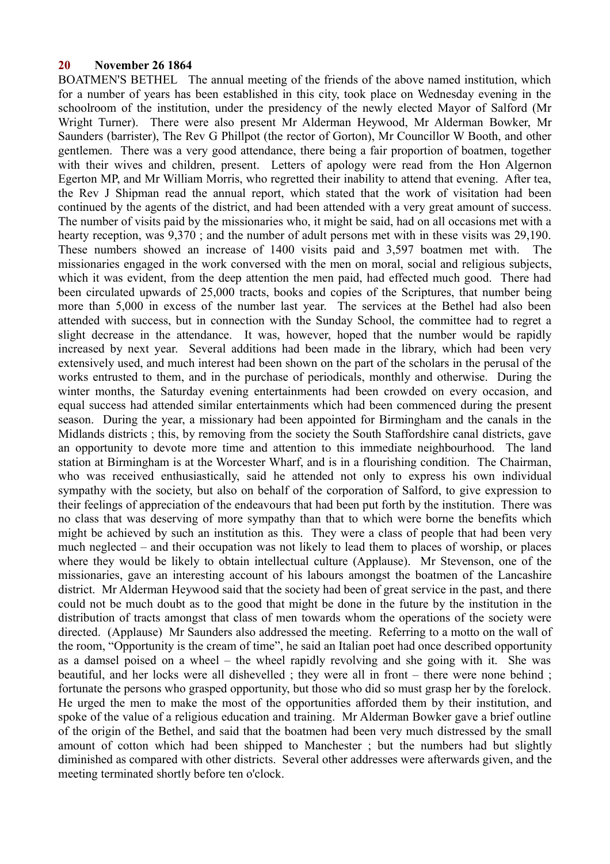#### **20 November 26 1864**

BOATMEN'S BETHEL The annual meeting of the friends of the above named institution, which for a number of years has been established in this city, took place on Wednesday evening in the schoolroom of the institution, under the presidency of the newly elected Mayor of Salford (Mr Wright Turner). There were also present Mr Alderman Heywood, Mr Alderman Bowker, Mr Saunders (barrister), The Rev G Phillpot (the rector of Gorton), Mr Councillor W Booth, and other gentlemen. There was a very good attendance, there being a fair proportion of boatmen, together with their wives and children, present. Letters of apology were read from the Hon Algernon Egerton MP, and Mr William Morris, who regretted their inability to attend that evening. After tea, the Rev J Shipman read the annual report, which stated that the work of visitation had been continued by the agents of the district, and had been attended with a very great amount of success. The number of visits paid by the missionaries who, it might be said, had on all occasions met with a hearty reception, was 9,370 ; and the number of adult persons met with in these visits was 29,190. These numbers showed an increase of 1400 visits paid and 3,597 boatmen met with. The missionaries engaged in the work conversed with the men on moral, social and religious subjects, which it was evident, from the deep attention the men paid, had effected much good. There had been circulated upwards of 25,000 tracts, books and copies of the Scriptures, that number being more than 5,000 in excess of the number last year. The services at the Bethel had also been attended with success, but in connection with the Sunday School, the committee had to regret a slight decrease in the attendance. It was, however, hoped that the number would be rapidly increased by next year. Several additions had been made in the library, which had been very extensively used, and much interest had been shown on the part of the scholars in the perusal of the works entrusted to them, and in the purchase of periodicals, monthly and otherwise. During the winter months, the Saturday evening entertainments had been crowded on every occasion, and equal success had attended similar entertainments which had been commenced during the present season. During the year, a missionary had been appointed for Birmingham and the canals in the Midlands districts ; this, by removing from the society the South Staffordshire canal districts, gave an opportunity to devote more time and attention to this immediate neighbourhood. The land station at Birmingham is at the Worcester Wharf, and is in a flourishing condition. The Chairman, who was received enthusiastically, said he attended not only to express his own individual sympathy with the society, but also on behalf of the corporation of Salford, to give expression to their feelings of appreciation of the endeavours that had been put forth by the institution. There was no class that was deserving of more sympathy than that to which were borne the benefits which might be achieved by such an institution as this. They were a class of people that had been very much neglected – and their occupation was not likely to lead them to places of worship, or places where they would be likely to obtain intellectual culture (Applause). Mr Stevenson, one of the missionaries, gave an interesting account of his labours amongst the boatmen of the Lancashire district. Mr Alderman Heywood said that the society had been of great service in the past, and there could not be much doubt as to the good that might be done in the future by the institution in the distribution of tracts amongst that class of men towards whom the operations of the society were directed. (Applause) Mr Saunders also addressed the meeting. Referring to a motto on the wall of the room, "Opportunity is the cream of time", he said an Italian poet had once described opportunity as a damsel poised on a wheel – the wheel rapidly revolving and she going with it. She was beautiful, and her locks were all dishevelled ; they were all in front – there were none behind ; fortunate the persons who grasped opportunity, but those who did so must grasp her by the forelock. He urged the men to make the most of the opportunities afforded them by their institution, and spoke of the value of a religious education and training. Mr Alderman Bowker gave a brief outline of the origin of the Bethel, and said that the boatmen had been very much distressed by the small amount of cotton which had been shipped to Manchester ; but the numbers had but slightly diminished as compared with other districts. Several other addresses were afterwards given, and the meeting terminated shortly before ten o'clock.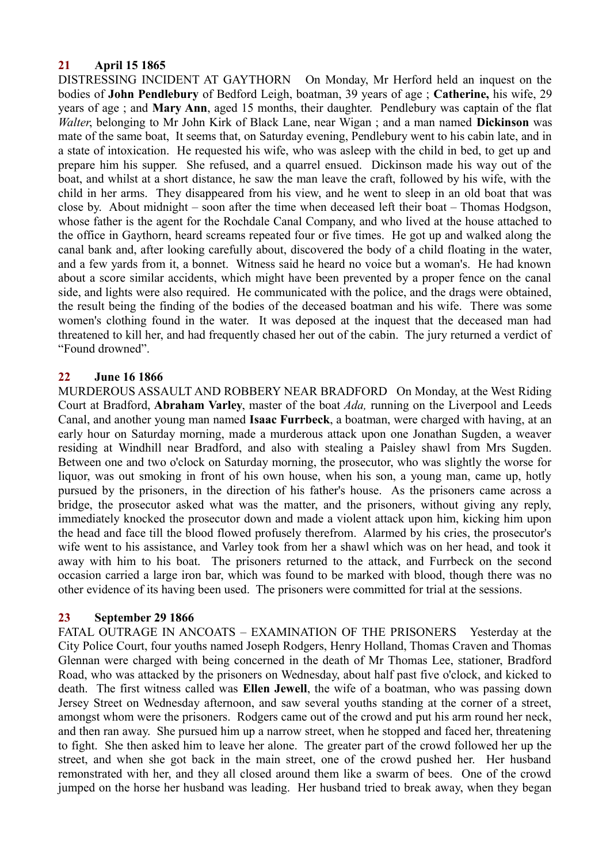# **21 April 15 1865**

DISTRESSING INCIDENT AT GAYTHORN On Monday, Mr Herford held an inquest on the bodies of **John Pendlebury** of Bedford Leigh, boatman, 39 years of age ; **Catherine,** his wife, 29 years of age ; and **Mary Ann**, aged 15 months, their daughter. Pendlebury was captain of the flat *Walter*, belonging to Mr John Kirk of Black Lane, near Wigan ; and a man named **Dickinson** was mate of the same boat, It seems that, on Saturday evening, Pendlebury went to his cabin late, and in a state of intoxication. He requested his wife, who was asleep with the child in bed, to get up and prepare him his supper. She refused, and a quarrel ensued. Dickinson made his way out of the boat, and whilst at a short distance, he saw the man leave the craft, followed by his wife, with the child in her arms. They disappeared from his view, and he went to sleep in an old boat that was close by. About midnight – soon after the time when deceased left their boat – Thomas Hodgson, whose father is the agent for the Rochdale Canal Company, and who lived at the house attached to the office in Gaythorn, heard screams repeated four or five times. He got up and walked along the canal bank and, after looking carefully about, discovered the body of a child floating in the water, and a few yards from it, a bonnet. Witness said he heard no voice but a woman's. He had known about a score similar accidents, which might have been prevented by a proper fence on the canal side, and lights were also required. He communicated with the police, and the drags were obtained, the result being the finding of the bodies of the deceased boatman and his wife. There was some women's clothing found in the water. It was deposed at the inquest that the deceased man had threatened to kill her, and had frequently chased her out of the cabin. The jury returned a verdict of "Found drowned".

## **22 June 16 1866**

MURDEROUS ASSAULT AND ROBBERY NEAR BRADFORD On Monday, at the West Riding Court at Bradford, **Abraham Varley**, master of the boat *Ada,* running on the Liverpool and Leeds Canal, and another young man named **Isaac Furrbeck**, a boatman, were charged with having, at an early hour on Saturday morning, made a murderous attack upon one Jonathan Sugden, a weaver residing at Windhill near Bradford, and also with stealing a Paisley shawl from Mrs Sugden. Between one and two o'clock on Saturday morning, the prosecutor, who was slightly the worse for liquor, was out smoking in front of his own house, when his son, a young man, came up, hotly pursued by the prisoners, in the direction of his father's house. As the prisoners came across a bridge, the prosecutor asked what was the matter, and the prisoners, without giving any reply, immediately knocked the prosecutor down and made a violent attack upon him, kicking him upon the head and face till the blood flowed profusely therefrom. Alarmed by his cries, the prosecutor's wife went to his assistance, and Varley took from her a shawl which was on her head, and took it away with him to his boat. The prisoners returned to the attack, and Furrbeck on the second occasion carried a large iron bar, which was found to be marked with blood, though there was no other evidence of its having been used. The prisoners were committed for trial at the sessions.

## **23 September 29 1866**

FATAL OUTRAGE IN ANCOATS – EXAMINATION OF THE PRISONERS Yesterday at the City Police Court, four youths named Joseph Rodgers, Henry Holland, Thomas Craven and Thomas Glennan were charged with being concerned in the death of Mr Thomas Lee, stationer, Bradford Road, who was attacked by the prisoners on Wednesday, about half past five o'clock, and kicked to death. The first witness called was **Ellen Jewell**, the wife of a boatman, who was passing down Jersey Street on Wednesday afternoon, and saw several youths standing at the corner of a street, amongst whom were the prisoners. Rodgers came out of the crowd and put his arm round her neck, and then ran away. She pursued him up a narrow street, when he stopped and faced her, threatening to fight. She then asked him to leave her alone. The greater part of the crowd followed her up the street, and when she got back in the main street, one of the crowd pushed her. Her husband remonstrated with her, and they all closed around them like a swarm of bees. One of the crowd jumped on the horse her husband was leading. Her husband tried to break away, when they began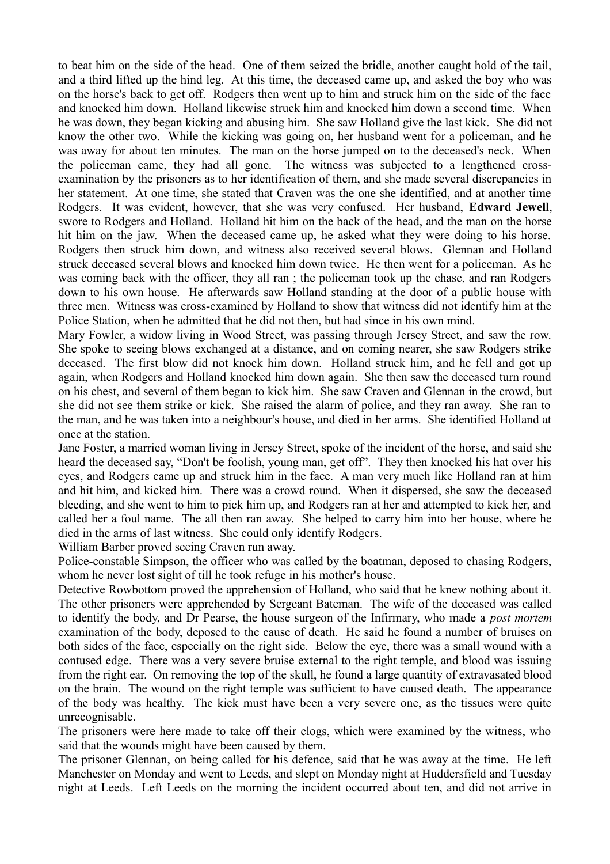to beat him on the side of the head. One of them seized the bridle, another caught hold of the tail, and a third lifted up the hind leg. At this time, the deceased came up, and asked the boy who was on the horse's back to get off. Rodgers then went up to him and struck him on the side of the face and knocked him down. Holland likewise struck him and knocked him down a second time. When he was down, they began kicking and abusing him. She saw Holland give the last kick. She did not know the other two. While the kicking was going on, her husband went for a policeman, and he was away for about ten minutes. The man on the horse jumped on to the deceased's neck. When the policeman came, they had all gone. The witness was subjected to a lengthened crossexamination by the prisoners as to her identification of them, and she made several discrepancies in her statement. At one time, she stated that Craven was the one she identified, and at another time Rodgers. It was evident, however, that she was very confused. Her husband, **Edward Jewell**, swore to Rodgers and Holland. Holland hit him on the back of the head, and the man on the horse hit him on the jaw. When the deceased came up, he asked what they were doing to his horse. Rodgers then struck him down, and witness also received several blows. Glennan and Holland struck deceased several blows and knocked him down twice. He then went for a policeman. As he was coming back with the officer, they all ran ; the policeman took up the chase, and ran Rodgers down to his own house. He afterwards saw Holland standing at the door of a public house with three men. Witness was cross-examined by Holland to show that witness did not identify him at the Police Station, when he admitted that he did not then, but had since in his own mind.

Mary Fowler, a widow living in Wood Street, was passing through Jersey Street, and saw the row. She spoke to seeing blows exchanged at a distance, and on coming nearer, she saw Rodgers strike deceased. The first blow did not knock him down. Holland struck him, and he fell and got up again, when Rodgers and Holland knocked him down again. She then saw the deceased turn round on his chest, and several of them began to kick him. She saw Craven and Glennan in the crowd, but she did not see them strike or kick. She raised the alarm of police, and they ran away. She ran to the man, and he was taken into a neighbour's house, and died in her arms. She identified Holland at once at the station.

Jane Foster, a married woman living in Jersey Street, spoke of the incident of the horse, and said she heard the deceased say, "Don't be foolish, young man, get off". They then knocked his hat over his eyes, and Rodgers came up and struck him in the face. A man very much like Holland ran at him and hit him, and kicked him. There was a crowd round. When it dispersed, she saw the deceased bleeding, and she went to him to pick him up, and Rodgers ran at her and attempted to kick her, and called her a foul name. The all then ran away. She helped to carry him into her house, where he died in the arms of last witness. She could only identify Rodgers.

William Barber proved seeing Craven run away.

Police-constable Simpson, the officer who was called by the boatman, deposed to chasing Rodgers, whom he never lost sight of till he took refuge in his mother's house.

Detective Rowbottom proved the apprehension of Holland, who said that he knew nothing about it. The other prisoners were apprehended by Sergeant Bateman. The wife of the deceased was called to identify the body, and Dr Pearse, the house surgeon of the Infirmary, who made a *post mortem* examination of the body, deposed to the cause of death. He said he found a number of bruises on both sides of the face, especially on the right side. Below the eye, there was a small wound with a contused edge. There was a very severe bruise external to the right temple, and blood was issuing from the right ear. On removing the top of the skull, he found a large quantity of extravasated blood on the brain. The wound on the right temple was sufficient to have caused death. The appearance of the body was healthy. The kick must have been a very severe one, as the tissues were quite unrecognisable.

The prisoners were here made to take off their clogs, which were examined by the witness, who said that the wounds might have been caused by them.

The prisoner Glennan, on being called for his defence, said that he was away at the time. He left Manchester on Monday and went to Leeds, and slept on Monday night at Huddersfield and Tuesday night at Leeds. Left Leeds on the morning the incident occurred about ten, and did not arrive in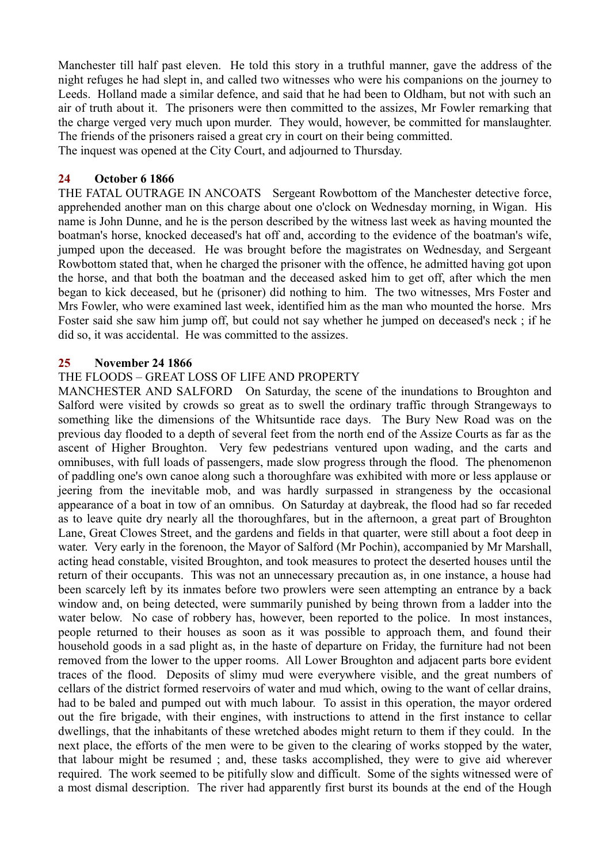Manchester till half past eleven. He told this story in a truthful manner, gave the address of the night refuges he had slept in, and called two witnesses who were his companions on the journey to Leeds. Holland made a similar defence, and said that he had been to Oldham, but not with such an air of truth about it. The prisoners were then committed to the assizes, Mr Fowler remarking that the charge verged very much upon murder. They would, however, be committed for manslaughter. The friends of the prisoners raised a great cry in court on their being committed.

The inquest was opened at the City Court, and adjourned to Thursday.

## **24 October 6 1866**

THE FATAL OUTRAGE IN ANCOATS Sergeant Rowbottom of the Manchester detective force, apprehended another man on this charge about one o'clock on Wednesday morning, in Wigan. His name is John Dunne, and he is the person described by the witness last week as having mounted the boatman's horse, knocked deceased's hat off and, according to the evidence of the boatman's wife, jumped upon the deceased. He was brought before the magistrates on Wednesday, and Sergeant Rowbottom stated that, when he charged the prisoner with the offence, he admitted having got upon the horse, and that both the boatman and the deceased asked him to get off, after which the men began to kick deceased, but he (prisoner) did nothing to him. The two witnesses, Mrs Foster and Mrs Fowler, who were examined last week, identified him as the man who mounted the horse. Mrs Foster said she saw him jump off, but could not say whether he jumped on deceased's neck ; if he did so, it was accidental. He was committed to the assizes.

## **25 November 24 1866**

## THE FLOODS – GREAT LOSS OF LIFE AND PROPERTY

MANCHESTER AND SALFORD On Saturday, the scene of the inundations to Broughton and Salford were visited by crowds so great as to swell the ordinary traffic through Strangeways to something like the dimensions of the Whitsuntide race days. The Bury New Road was on the previous day flooded to a depth of several feet from the north end of the Assize Courts as far as the ascent of Higher Broughton. Very few pedestrians ventured upon wading, and the carts and omnibuses, with full loads of passengers, made slow progress through the flood. The phenomenon of paddling one's own canoe along such a thoroughfare was exhibited with more or less applause or jeering from the inevitable mob, and was hardly surpassed in strangeness by the occasional appearance of a boat in tow of an omnibus. On Saturday at daybreak, the flood had so far receded as to leave quite dry nearly all the thoroughfares, but in the afternoon, a great part of Broughton Lane, Great Clowes Street, and the gardens and fields in that quarter, were still about a foot deep in water. Very early in the forenoon, the Mayor of Salford (Mr Pochin), accompanied by Mr Marshall, acting head constable, visited Broughton, and took measures to protect the deserted houses until the return of their occupants. This was not an unnecessary precaution as, in one instance, a house had been scarcely left by its inmates before two prowlers were seen attempting an entrance by a back window and, on being detected, were summarily punished by being thrown from a ladder into the water below. No case of robbery has, however, been reported to the police. In most instances, people returned to their houses as soon as it was possible to approach them, and found their household goods in a sad plight as, in the haste of departure on Friday, the furniture had not been removed from the lower to the upper rooms. All Lower Broughton and adjacent parts bore evident traces of the flood. Deposits of slimy mud were everywhere visible, and the great numbers of cellars of the district formed reservoirs of water and mud which, owing to the want of cellar drains, had to be baled and pumped out with much labour. To assist in this operation, the mayor ordered out the fire brigade, with their engines, with instructions to attend in the first instance to cellar dwellings, that the inhabitants of these wretched abodes might return to them if they could. In the next place, the efforts of the men were to be given to the clearing of works stopped by the water, that labour might be resumed ; and, these tasks accomplished, they were to give aid wherever required. The work seemed to be pitifully slow and difficult. Some of the sights witnessed were of a most dismal description. The river had apparently first burst its bounds at the end of the Hough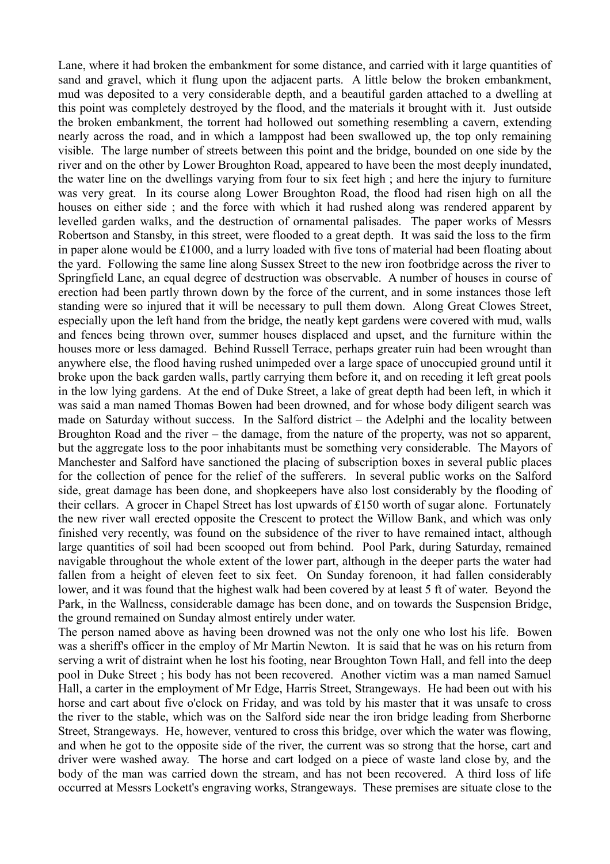Lane, where it had broken the embankment for some distance, and carried with it large quantities of sand and gravel, which it flung upon the adjacent parts. A little below the broken embankment, mud was deposited to a very considerable depth, and a beautiful garden attached to a dwelling at this point was completely destroyed by the flood, and the materials it brought with it. Just outside the broken embankment, the torrent had hollowed out something resembling a cavern, extending nearly across the road, and in which a lamppost had been swallowed up, the top only remaining visible. The large number of streets between this point and the bridge, bounded on one side by the river and on the other by Lower Broughton Road, appeared to have been the most deeply inundated, the water line on the dwellings varying from four to six feet high ; and here the injury to furniture was very great. In its course along Lower Broughton Road, the flood had risen high on all the houses on either side ; and the force with which it had rushed along was rendered apparent by levelled garden walks, and the destruction of ornamental palisades. The paper works of Messrs Robertson and Stansby, in this street, were flooded to a great depth. It was said the loss to the firm in paper alone would be £1000, and a lurry loaded with five tons of material had been floating about the yard. Following the same line along Sussex Street to the new iron footbridge across the river to Springfield Lane, an equal degree of destruction was observable. A number of houses in course of erection had been partly thrown down by the force of the current, and in some instances those left standing were so injured that it will be necessary to pull them down. Along Great Clowes Street, especially upon the left hand from the bridge, the neatly kept gardens were covered with mud, walls and fences being thrown over, summer houses displaced and upset, and the furniture within the houses more or less damaged. Behind Russell Terrace, perhaps greater ruin had been wrought than anywhere else, the flood having rushed unimpeded over a large space of unoccupied ground until it broke upon the back garden walls, partly carrying them before it, and on receding it left great pools in the low lying gardens. At the end of Duke Street, a lake of great depth had been left, in which it was said a man named Thomas Bowen had been drowned, and for whose body diligent search was made on Saturday without success. In the Salford district – the Adelphi and the locality between Broughton Road and the river – the damage, from the nature of the property, was not so apparent, but the aggregate loss to the poor inhabitants must be something very considerable. The Mayors of Manchester and Salford have sanctioned the placing of subscription boxes in several public places for the collection of pence for the relief of the sufferers. In several public works on the Salford side, great damage has been done, and shopkeepers have also lost considerably by the flooding of their cellars. A grocer in Chapel Street has lost upwards of £150 worth of sugar alone. Fortunately the new river wall erected opposite the Crescent to protect the Willow Bank, and which was only finished very recently, was found on the subsidence of the river to have remained intact, although large quantities of soil had been scooped out from behind. Pool Park, during Saturday, remained navigable throughout the whole extent of the lower part, although in the deeper parts the water had fallen from a height of eleven feet to six feet. On Sunday forenoon, it had fallen considerably lower, and it was found that the highest walk had been covered by at least 5 ft of water. Beyond the Park, in the Wallness, considerable damage has been done, and on towards the Suspension Bridge, the ground remained on Sunday almost entirely under water.

The person named above as having been drowned was not the only one who lost his life. Bowen was a sheriff's officer in the employ of Mr Martin Newton. It is said that he was on his return from serving a writ of distraint when he lost his footing, near Broughton Town Hall, and fell into the deep pool in Duke Street ; his body has not been recovered. Another victim was a man named Samuel Hall, a carter in the employment of Mr Edge, Harris Street, Strangeways. He had been out with his horse and cart about five o'clock on Friday, and was told by his master that it was unsafe to cross the river to the stable, which was on the Salford side near the iron bridge leading from Sherborne Street, Strangeways. He, however, ventured to cross this bridge, over which the water was flowing, and when he got to the opposite side of the river, the current was so strong that the horse, cart and driver were washed away. The horse and cart lodged on a piece of waste land close by, and the body of the man was carried down the stream, and has not been recovered. A third loss of life occurred at Messrs Lockett's engraving works, Strangeways. These premises are situate close to the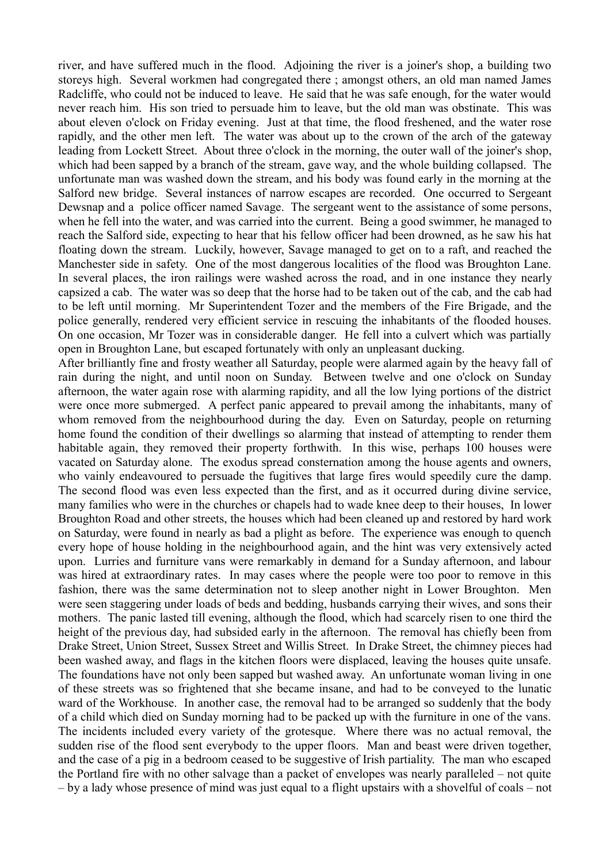river, and have suffered much in the flood. Adjoining the river is a joiner's shop, a building two storeys high. Several workmen had congregated there ; amongst others, an old man named James Radcliffe, who could not be induced to leave. He said that he was safe enough, for the water would never reach him. His son tried to persuade him to leave, but the old man was obstinate. This was about eleven o'clock on Friday evening. Just at that time, the flood freshened, and the water rose rapidly, and the other men left. The water was about up to the crown of the arch of the gateway leading from Lockett Street. About three o'clock in the morning, the outer wall of the joiner's shop, which had been sapped by a branch of the stream, gave way, and the whole building collapsed. The unfortunate man was washed down the stream, and his body was found early in the morning at the Salford new bridge. Several instances of narrow escapes are recorded. One occurred to Sergeant Dewsnap and a police officer named Savage. The sergeant went to the assistance of some persons, when he fell into the water, and was carried into the current. Being a good swimmer, he managed to reach the Salford side, expecting to hear that his fellow officer had been drowned, as he saw his hat floating down the stream. Luckily, however, Savage managed to get on to a raft, and reached the Manchester side in safety. One of the most dangerous localities of the flood was Broughton Lane. In several places, the iron railings were washed across the road, and in one instance they nearly capsized a cab. The water was so deep that the horse had to be taken out of the cab, and the cab had to be left until morning. Mr Superintendent Tozer and the members of the Fire Brigade, and the police generally, rendered very efficient service in rescuing the inhabitants of the flooded houses. On one occasion, Mr Tozer was in considerable danger. He fell into a culvert which was partially open in Broughton Lane, but escaped fortunately with only an unpleasant ducking.

After brilliantly fine and frosty weather all Saturday, people were alarmed again by the heavy fall of rain during the night, and until noon on Sunday. Between twelve and one o'clock on Sunday afternoon, the water again rose with alarming rapidity, and all the low lying portions of the district were once more submerged. A perfect panic appeared to prevail among the inhabitants, many of whom removed from the neighbourhood during the day. Even on Saturday, people on returning home found the condition of their dwellings so alarming that instead of attempting to render them habitable again, they removed their property forthwith. In this wise, perhaps 100 houses were vacated on Saturday alone. The exodus spread consternation among the house agents and owners, who vainly endeavoured to persuade the fugitives that large fires would speedily cure the damp. The second flood was even less expected than the first, and as it occurred during divine service, many families who were in the churches or chapels had to wade knee deep to their houses, In lower Broughton Road and other streets, the houses which had been cleaned up and restored by hard work on Saturday, were found in nearly as bad a plight as before. The experience was enough to quench every hope of house holding in the neighbourhood again, and the hint was very extensively acted upon. Lurries and furniture vans were remarkably in demand for a Sunday afternoon, and labour was hired at extraordinary rates. In may cases where the people were too poor to remove in this fashion, there was the same determination not to sleep another night in Lower Broughton. Men were seen staggering under loads of beds and bedding, husbands carrying their wives, and sons their mothers. The panic lasted till evening, although the flood, which had scarcely risen to one third the height of the previous day, had subsided early in the afternoon. The removal has chiefly been from Drake Street, Union Street, Sussex Street and Willis Street. In Drake Street, the chimney pieces had been washed away, and flags in the kitchen floors were displaced, leaving the houses quite unsafe. The foundations have not only been sapped but washed away. An unfortunate woman living in one of these streets was so frightened that she became insane, and had to be conveyed to the lunatic ward of the Workhouse. In another case, the removal had to be arranged so suddenly that the body of a child which died on Sunday morning had to be packed up with the furniture in one of the vans. The incidents included every variety of the grotesque. Where there was no actual removal, the sudden rise of the flood sent everybody to the upper floors. Man and beast were driven together, and the case of a pig in a bedroom ceased to be suggestive of Irish partiality. The man who escaped the Portland fire with no other salvage than a packet of envelopes was nearly paralleled – not quite – by a lady whose presence of mind was just equal to a flight upstairs with a shovelful of coals – not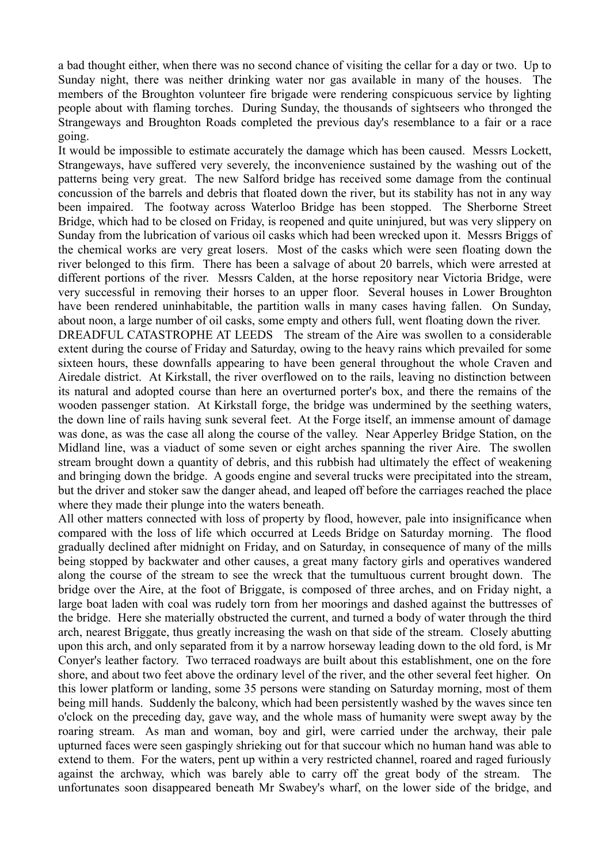a bad thought either, when there was no second chance of visiting the cellar for a day or two. Up to Sunday night, there was neither drinking water nor gas available in many of the houses. The members of the Broughton volunteer fire brigade were rendering conspicuous service by lighting people about with flaming torches. During Sunday, the thousands of sightseers who thronged the Strangeways and Broughton Roads completed the previous day's resemblance to a fair or a race going.

It would be impossible to estimate accurately the damage which has been caused. Messrs Lockett, Strangeways, have suffered very severely, the inconvenience sustained by the washing out of the patterns being very great. The new Salford bridge has received some damage from the continual concussion of the barrels and debris that floated down the river, but its stability has not in any way been impaired. The footway across Waterloo Bridge has been stopped. The Sherborne Street Bridge, which had to be closed on Friday, is reopened and quite uninjured, but was very slippery on Sunday from the lubrication of various oil casks which had been wrecked upon it. Messrs Briggs of the chemical works are very great losers. Most of the casks which were seen floating down the river belonged to this firm. There has been a salvage of about 20 barrels, which were arrested at different portions of the river. Messrs Calden, at the horse repository near Victoria Bridge, were very successful in removing their horses to an upper floor. Several houses in Lower Broughton have been rendered uninhabitable, the partition walls in many cases having fallen. On Sunday, about noon, a large number of oil casks, some empty and others full, went floating down the river.

DREADFUL CATASTROPHE AT LEEDS The stream of the Aire was swollen to a considerable extent during the course of Friday and Saturday, owing to the heavy rains which prevailed for some sixteen hours, these downfalls appearing to have been general throughout the whole Craven and Airedale district. At Kirkstall, the river overflowed on to the rails, leaving no distinction between its natural and adopted course than here an overturned porter's box, and there the remains of the wooden passenger station. At Kirkstall forge, the bridge was undermined by the seething waters, the down line of rails having sunk several feet. At the Forge itself, an immense amount of damage was done, as was the case all along the course of the valley. Near Apperley Bridge Station, on the Midland line, was a viaduct of some seven or eight arches spanning the river Aire. The swollen stream brought down a quantity of debris, and this rubbish had ultimately the effect of weakening and bringing down the bridge. A goods engine and several trucks were precipitated into the stream, but the driver and stoker saw the danger ahead, and leaped off before the carriages reached the place where they made their plunge into the waters beneath.

All other matters connected with loss of property by flood, however, pale into insignificance when compared with the loss of life which occurred at Leeds Bridge on Saturday morning. The flood gradually declined after midnight on Friday, and on Saturday, in consequence of many of the mills being stopped by backwater and other causes, a great many factory girls and operatives wandered along the course of the stream to see the wreck that the tumultuous current brought down. The bridge over the Aire, at the foot of Briggate, is composed of three arches, and on Friday night, a large boat laden with coal was rudely torn from her moorings and dashed against the buttresses of the bridge. Here she materially obstructed the current, and turned a body of water through the third arch, nearest Briggate, thus greatly increasing the wash on that side of the stream. Closely abutting upon this arch, and only separated from it by a narrow horseway leading down to the old ford, is Mr Conyer's leather factory. Two terraced roadways are built about this establishment, one on the fore shore, and about two feet above the ordinary level of the river, and the other several feet higher. On this lower platform or landing, some 35 persons were standing on Saturday morning, most of them being mill hands. Suddenly the balcony, which had been persistently washed by the waves since ten o'clock on the preceding day, gave way, and the whole mass of humanity were swept away by the roaring stream. As man and woman, boy and girl, were carried under the archway, their pale upturned faces were seen gaspingly shrieking out for that succour which no human hand was able to extend to them. For the waters, pent up within a very restricted channel, roared and raged furiously against the archway, which was barely able to carry off the great body of the stream. The unfortunates soon disappeared beneath Mr Swabey's wharf, on the lower side of the bridge, and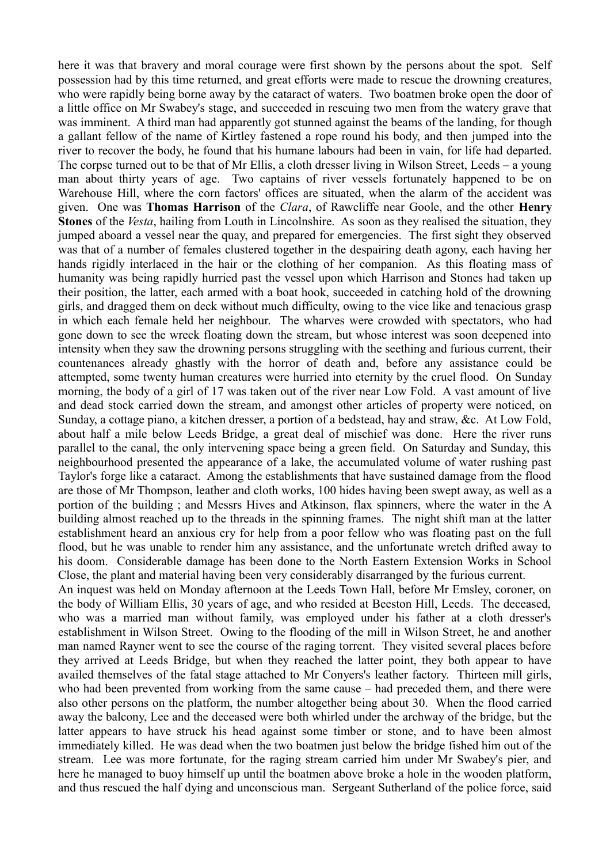here it was that bravery and moral courage were first shown by the persons about the spot. Self possession had by this time returned, and great efforts were made to rescue the drowning creatures, who were rapidly being borne away by the cataract of waters. Two boatmen broke open the door of a little office on Mr Swabey's stage, and succeeded in rescuing two men from the watery grave that was imminent. A third man had apparently got stunned against the beams of the landing, for though a gallant fellow of the name of Kirtley fastened a rope round his body, and then jumped into the river to recover the body, he found that his humane labours had been in vain, for life had departed. The corpse turned out to be that of Mr Ellis, a cloth dresser living in Wilson Street, Leeds – a young man about thirty years of age. Two captains of river vessels fortunately happened to be on Warehouse Hill, where the corn factors' offices are situated, when the alarm of the accident was given. One was **Thomas Harrison** of the *Clara*, of Rawcliffe near Goole, and the other **Henry Stones** of the *Vesta*, hailing from Louth in Lincolnshire. As soon as they realised the situation, they jumped aboard a vessel near the quay, and prepared for emergencies. The first sight they observed was that of a number of females clustered together in the despairing death agony, each having her hands rigidly interlaced in the hair or the clothing of her companion. As this floating mass of humanity was being rapidly hurried past the vessel upon which Harrison and Stones had taken up their position, the latter, each armed with a boat hook, succeeded in catching hold of the drowning girls, and dragged them on deck without much difficulty, owing to the vice like and tenacious grasp in which each female held her neighbour. The wharves were crowded with spectators, who had gone down to see the wreck floating down the stream, but whose interest was soon deepened into intensity when they saw the drowning persons struggling with the seething and furious current, their countenances already ghastly with the horror of death and, before any assistance could be attempted, some twenty human creatures were hurried into eternity by the cruel flood. On Sunday morning, the body of a girl of 17 was taken out of the river near Low Fold. A vast amount of live and dead stock carried down the stream, and amongst other articles of property were noticed, on Sunday, a cottage piano, a kitchen dresser, a portion of a bedstead, hay and straw, &c. At Low Fold, about half a mile below Leeds Bridge, a great deal of mischief was done. Here the river runs parallel to the canal, the only intervening space being a green field. On Saturday and Sunday, this neighbourhood presented the appearance of a lake, the accumulated volume of water rushing past Taylor's forge like a cataract. Among the establishments that have sustained damage from the flood are those of Mr Thompson, leather and cloth works, 100 hides having been swept away, as well as a portion of the building ; and Messrs Hives and Atkinson, flax spinners, where the water in the A building almost reached up to the threads in the spinning frames. The night shift man at the latter establishment heard an anxious cry for help from a poor fellow who was floating past on the full flood, but he was unable to render him any assistance, and the unfortunate wretch drifted away to his doom. Considerable damage has been done to the North Eastern Extension Works in School Close, the plant and material having been very considerably disarranged by the furious current. An inquest was held on Monday afternoon at the Leeds Town Hall, before Mr Emsley, coroner, on

the body of William Ellis, 30 years of age, and who resided at Beeston Hill, Leeds. The deceased, who was a married man without family, was employed under his father at a cloth dresser's establishment in Wilson Street. Owing to the flooding of the mill in Wilson Street, he and another man named Rayner went to see the course of the raging torrent. They visited several places before they arrived at Leeds Bridge, but when they reached the latter point, they both appear to have availed themselves of the fatal stage attached to Mr Conyers's leather factory. Thirteen mill girls, who had been prevented from working from the same cause – had preceded them, and there were also other persons on the platform, the number altogether being about 30. When the flood carried away the balcony, Lee and the deceased were both whirled under the archway of the bridge, but the latter appears to have struck his head against some timber or stone, and to have been almost immediately killed. He was dead when the two boatmen just below the bridge fished him out of the stream. Lee was more fortunate, for the raging stream carried him under Mr Swabey's pier, and here he managed to buoy himself up until the boatmen above broke a hole in the wooden platform, and thus rescued the half dying and unconscious man. Sergeant Sutherland of the police force, said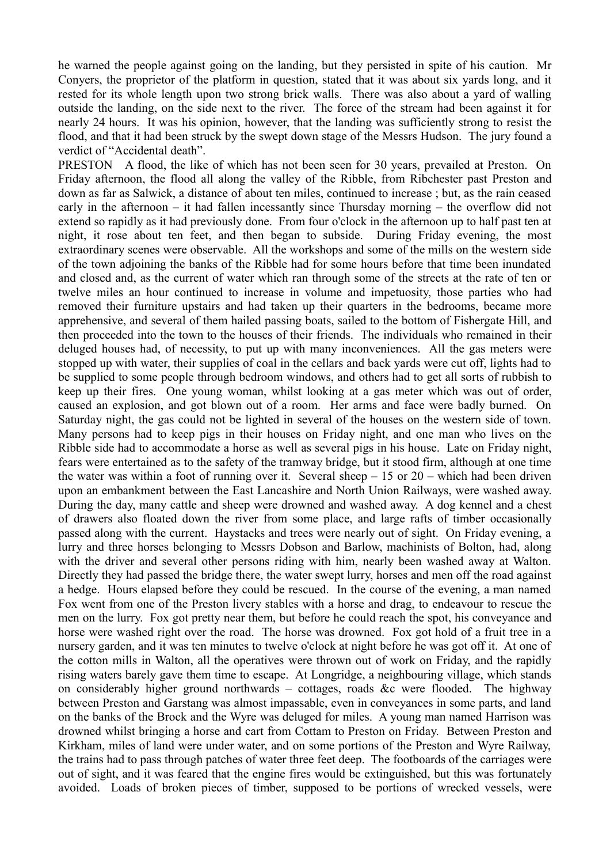he warned the people against going on the landing, but they persisted in spite of his caution. Mr Conyers, the proprietor of the platform in question, stated that it was about six yards long, and it rested for its whole length upon two strong brick walls. There was also about a yard of walling outside the landing, on the side next to the river. The force of the stream had been against it for nearly 24 hours. It was his opinion, however, that the landing was sufficiently strong to resist the flood, and that it had been struck by the swept down stage of the Messrs Hudson. The jury found a verdict of "Accidental death".

PRESTON A flood, the like of which has not been seen for 30 years, prevailed at Preston. On Friday afternoon, the flood all along the valley of the Ribble, from Ribchester past Preston and down as far as Salwick, a distance of about ten miles, continued to increase ; but, as the rain ceased early in the afternoon – it had fallen incessantly since Thursday morning – the overflow did not extend so rapidly as it had previously done. From four o'clock in the afternoon up to half past ten at night, it rose about ten feet, and then began to subside. During Friday evening, the most extraordinary scenes were observable. All the workshops and some of the mills on the western side of the town adjoining the banks of the Ribble had for some hours before that time been inundated and closed and, as the current of water which ran through some of the streets at the rate of ten or twelve miles an hour continued to increase in volume and impetuosity, those parties who had removed their furniture upstairs and had taken up their quarters in the bedrooms, became more apprehensive, and several of them hailed passing boats, sailed to the bottom of Fishergate Hill, and then proceeded into the town to the houses of their friends. The individuals who remained in their deluged houses had, of necessity, to put up with many inconveniences. All the gas meters were stopped up with water, their supplies of coal in the cellars and back yards were cut off, lights had to be supplied to some people through bedroom windows, and others had to get all sorts of rubbish to keep up their fires. One young woman, whilst looking at a gas meter which was out of order, caused an explosion, and got blown out of a room. Her arms and face were badly burned. On Saturday night, the gas could not be lighted in several of the houses on the western side of town. Many persons had to keep pigs in their houses on Friday night, and one man who lives on the Ribble side had to accommodate a horse as well as several pigs in his house. Late on Friday night, fears were entertained as to the safety of the tramway bridge, but it stood firm, although at one time the water was within a foot of running over it. Several sheep  $-15$  or  $20$  – which had been driven upon an embankment between the East Lancashire and North Union Railways, were washed away. During the day, many cattle and sheep were drowned and washed away. A dog kennel and a chest of drawers also floated down the river from some place, and large rafts of timber occasionally passed along with the current. Haystacks and trees were nearly out of sight. On Friday evening, a lurry and three horses belonging to Messrs Dobson and Barlow, machinists of Bolton, had, along with the driver and several other persons riding with him, nearly been washed away at Walton. Directly they had passed the bridge there, the water swept lurry, horses and men off the road against a hedge. Hours elapsed before they could be rescued. In the course of the evening, a man named Fox went from one of the Preston livery stables with a horse and drag, to endeavour to rescue the men on the lurry. Fox got pretty near them, but before he could reach the spot, his conveyance and horse were washed right over the road. The horse was drowned. Fox got hold of a fruit tree in a nursery garden, and it was ten minutes to twelve o'clock at night before he was got off it. At one of the cotton mills in Walton, all the operatives were thrown out of work on Friday, and the rapidly rising waters barely gave them time to escape. At Longridge, a neighbouring village, which stands on considerably higher ground northwards – cottages, roads &c were flooded. The highway between Preston and Garstang was almost impassable, even in conveyances in some parts, and land on the banks of the Brock and the Wyre was deluged for miles. A young man named Harrison was drowned whilst bringing a horse and cart from Cottam to Preston on Friday. Between Preston and Kirkham, miles of land were under water, and on some portions of the Preston and Wyre Railway, the trains had to pass through patches of water three feet deep. The footboards of the carriages were out of sight, and it was feared that the engine fires would be extinguished, but this was fortunately avoided. Loads of broken pieces of timber, supposed to be portions of wrecked vessels, were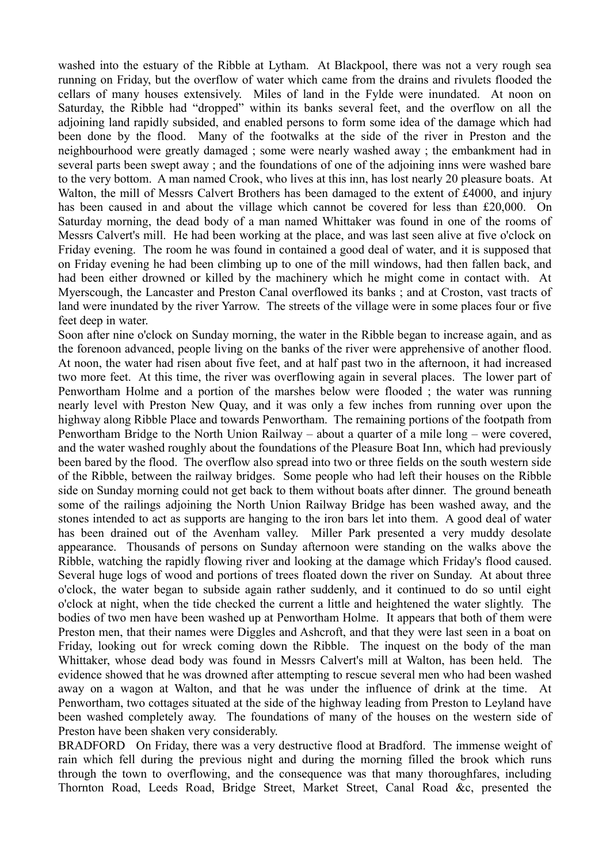washed into the estuary of the Ribble at Lytham. At Blackpool, there was not a very rough sea running on Friday, but the overflow of water which came from the drains and rivulets flooded the cellars of many houses extensively. Miles of land in the Fylde were inundated. At noon on Saturday, the Ribble had "dropped" within its banks several feet, and the overflow on all the adjoining land rapidly subsided, and enabled persons to form some idea of the damage which had been done by the flood. Many of the footwalks at the side of the river in Preston and the neighbourhood were greatly damaged ; some were nearly washed away ; the embankment had in several parts been swept away ; and the foundations of one of the adjoining inns were washed bare to the very bottom. A man named Crook, who lives at this inn, has lost nearly 20 pleasure boats. At Walton, the mill of Messrs Calvert Brothers has been damaged to the extent of £4000, and injury has been caused in and about the village which cannot be covered for less than £20,000. On Saturday morning, the dead body of a man named Whittaker was found in one of the rooms of Messrs Calvert's mill. He had been working at the place, and was last seen alive at five o'clock on Friday evening. The room he was found in contained a good deal of water, and it is supposed that on Friday evening he had been climbing up to one of the mill windows, had then fallen back, and had been either drowned or killed by the machinery which he might come in contact with. At Myerscough, the Lancaster and Preston Canal overflowed its banks ; and at Croston, vast tracts of land were inundated by the river Yarrow. The streets of the village were in some places four or five feet deep in water.

Soon after nine o'clock on Sunday morning, the water in the Ribble began to increase again, and as the forenoon advanced, people living on the banks of the river were apprehensive of another flood. At noon, the water had risen about five feet, and at half past two in the afternoon, it had increased two more feet. At this time, the river was overflowing again in several places. The lower part of Penwortham Holme and a portion of the marshes below were flooded ; the water was running nearly level with Preston New Quay, and it was only a few inches from running over upon the highway along Ribble Place and towards Penwortham. The remaining portions of the footpath from Penwortham Bridge to the North Union Railway – about a quarter of a mile long – were covered, and the water washed roughly about the foundations of the Pleasure Boat Inn, which had previously been bared by the flood. The overflow also spread into two or three fields on the south western side of the Ribble, between the railway bridges. Some people who had left their houses on the Ribble side on Sunday morning could not get back to them without boats after dinner. The ground beneath some of the railings adjoining the North Union Railway Bridge has been washed away, and the stones intended to act as supports are hanging to the iron bars let into them. A good deal of water has been drained out of the Avenham valley. Miller Park presented a very muddy desolate appearance. Thousands of persons on Sunday afternoon were standing on the walks above the Ribble, watching the rapidly flowing river and looking at the damage which Friday's flood caused. Several huge logs of wood and portions of trees floated down the river on Sunday. At about three o'clock, the water began to subside again rather suddenly, and it continued to do so until eight o'clock at night, when the tide checked the current a little and heightened the water slightly. The bodies of two men have been washed up at Penwortham Holme. It appears that both of them were Preston men, that their names were Diggles and Ashcroft, and that they were last seen in a boat on Friday, looking out for wreck coming down the Ribble. The inquest on the body of the man Whittaker, whose dead body was found in Messrs Calvert's mill at Walton, has been held. The evidence showed that he was drowned after attempting to rescue several men who had been washed away on a wagon at Walton, and that he was under the influence of drink at the time. At Penwortham, two cottages situated at the side of the highway leading from Preston to Leyland have been washed completely away. The foundations of many of the houses on the western side of Preston have been shaken very considerably.

BRADFORD On Friday, there was a very destructive flood at Bradford. The immense weight of rain which fell during the previous night and during the morning filled the brook which runs through the town to overflowing, and the consequence was that many thoroughfares, including Thornton Road, Leeds Road, Bridge Street, Market Street, Canal Road &c, presented the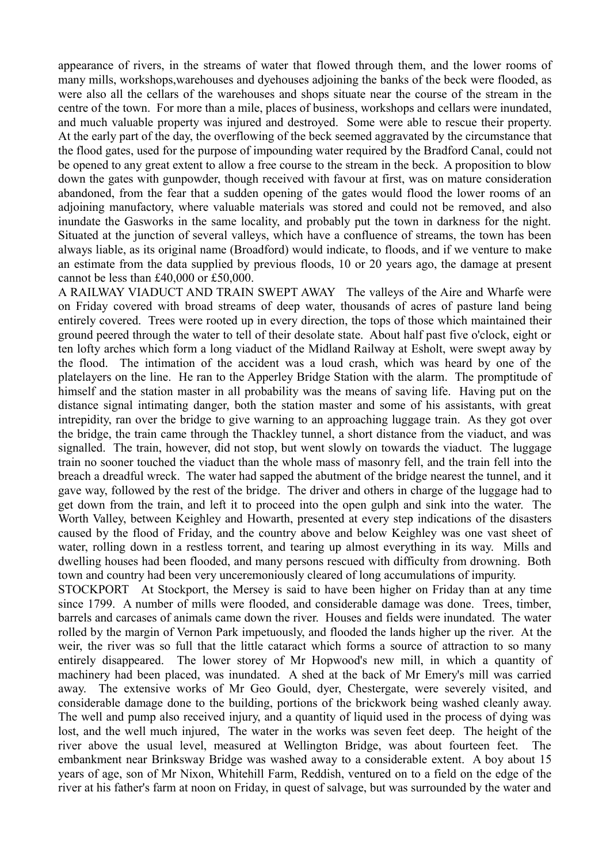appearance of rivers, in the streams of water that flowed through them, and the lower rooms of many mills, workshops,warehouses and dyehouses adjoining the banks of the beck were flooded, as were also all the cellars of the warehouses and shops situate near the course of the stream in the centre of the town. For more than a mile, places of business, workshops and cellars were inundated, and much valuable property was injured and destroyed. Some were able to rescue their property. At the early part of the day, the overflowing of the beck seemed aggravated by the circumstance that the flood gates, used for the purpose of impounding water required by the Bradford Canal, could not be opened to any great extent to allow a free course to the stream in the beck. A proposition to blow down the gates with gunpowder, though received with favour at first, was on mature consideration abandoned, from the fear that a sudden opening of the gates would flood the lower rooms of an adjoining manufactory, where valuable materials was stored and could not be removed, and also inundate the Gasworks in the same locality, and probably put the town in darkness for the night. Situated at the junction of several valleys, which have a confluence of streams, the town has been always liable, as its original name (Broadford) would indicate, to floods, and if we venture to make an estimate from the data supplied by previous floods, 10 or 20 years ago, the damage at present cannot be less than £40,000 or £50,000.

A RAILWAY VIADUCT AND TRAIN SWEPT AWAY The valleys of the Aire and Wharfe were on Friday covered with broad streams of deep water, thousands of acres of pasture land being entirely covered. Trees were rooted up in every direction, the tops of those which maintained their ground peered through the water to tell of their desolate state. About half past five o'clock, eight or ten lofty arches which form a long viaduct of the Midland Railway at Esholt, were swept away by the flood. The intimation of the accident was a loud crash, which was heard by one of the platelayers on the line. He ran to the Apperley Bridge Station with the alarm. The promptitude of himself and the station master in all probability was the means of saving life. Having put on the distance signal intimating danger, both the station master and some of his assistants, with great intrepidity, ran over the bridge to give warning to an approaching luggage train. As they got over the bridge, the train came through the Thackley tunnel, a short distance from the viaduct, and was signalled. The train, however, did not stop, but went slowly on towards the viaduct. The luggage train no sooner touched the viaduct than the whole mass of masonry fell, and the train fell into the breach a dreadful wreck. The water had sapped the abutment of the bridge nearest the tunnel, and it gave way, followed by the rest of the bridge. The driver and others in charge of the luggage had to get down from the train, and left it to proceed into the open gulph and sink into the water. The Worth Valley, between Keighley and Howarth, presented at every step indications of the disasters caused by the flood of Friday, and the country above and below Keighley was one vast sheet of water, rolling down in a restless torrent, and tearing up almost everything in its way. Mills and dwelling houses had been flooded, and many persons rescued with difficulty from drowning. Both town and country had been very unceremoniously cleared of long accumulations of impurity.

STOCKPORT At Stockport, the Mersey is said to have been higher on Friday than at any time since 1799. A number of mills were flooded, and considerable damage was done. Trees, timber, barrels and carcases of animals came down the river. Houses and fields were inundated. The water rolled by the margin of Vernon Park impetuously, and flooded the lands higher up the river. At the weir, the river was so full that the little cataract which forms a source of attraction to so many entirely disappeared. The lower storey of Mr Hopwood's new mill, in which a quantity of machinery had been placed, was inundated. A shed at the back of Mr Emery's mill was carried away. The extensive works of Mr Geo Gould, dyer, Chestergate, were severely visited, and considerable damage done to the building, portions of the brickwork being washed cleanly away. The well and pump also received injury, and a quantity of liquid used in the process of dying was lost, and the well much injured, The water in the works was seven feet deep. The height of the river above the usual level, measured at Wellington Bridge, was about fourteen feet. The embankment near Brinksway Bridge was washed away to a considerable extent. A boy about 15 years of age, son of Mr Nixon, Whitehill Farm, Reddish, ventured on to a field on the edge of the river at his father's farm at noon on Friday, in quest of salvage, but was surrounded by the water and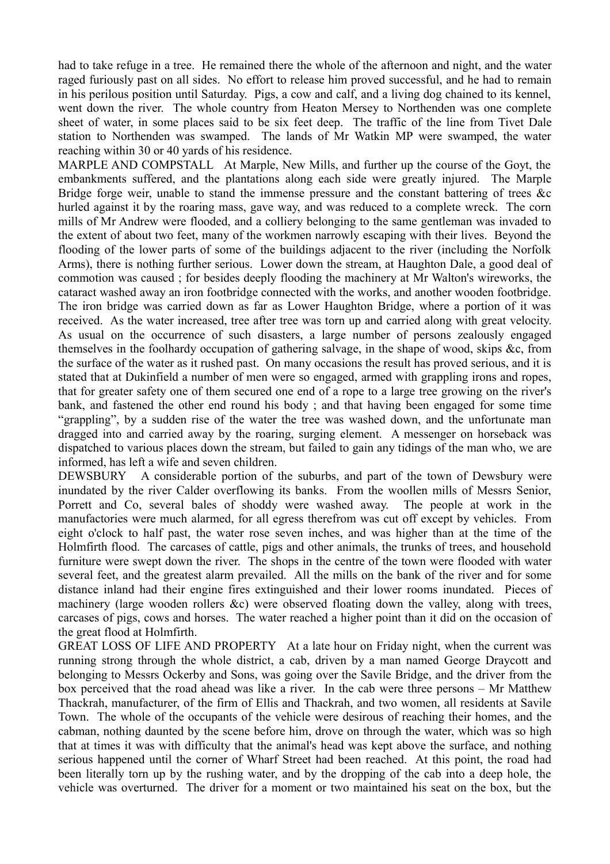had to take refuge in a tree. He remained there the whole of the afternoon and night, and the water raged furiously past on all sides. No effort to release him proved successful, and he had to remain in his perilous position until Saturday. Pigs, a cow and calf, and a living dog chained to its kennel, went down the river. The whole country from Heaton Mersey to Northenden was one complete sheet of water, in some places said to be six feet deep. The traffic of the line from Tivet Dale station to Northenden was swamped. The lands of Mr Watkin MP were swamped, the water reaching within 30 or 40 yards of his residence.

MARPLE AND COMPSTALL At Marple, New Mills, and further up the course of the Goyt, the embankments suffered, and the plantations along each side were greatly injured. The Marple Bridge forge weir, unable to stand the immense pressure and the constant battering of trees &c hurled against it by the roaring mass, gave way, and was reduced to a complete wreck. The corn mills of Mr Andrew were flooded, and a colliery belonging to the same gentleman was invaded to the extent of about two feet, many of the workmen narrowly escaping with their lives. Beyond the flooding of the lower parts of some of the buildings adjacent to the river (including the Norfolk Arms), there is nothing further serious. Lower down the stream, at Haughton Dale, a good deal of commotion was caused ; for besides deeply flooding the machinery at Mr Walton's wireworks, the cataract washed away an iron footbridge connected with the works, and another wooden footbridge. The iron bridge was carried down as far as Lower Haughton Bridge, where a portion of it was received. As the water increased, tree after tree was torn up and carried along with great velocity. As usual on the occurrence of such disasters, a large number of persons zealously engaged themselves in the foolhardy occupation of gathering salvage, in the shape of wood, skips &c, from the surface of the water as it rushed past. On many occasions the result has proved serious, and it is stated that at Dukinfield a number of men were so engaged, armed with grappling irons and ropes, that for greater safety one of them secured one end of a rope to a large tree growing on the river's bank, and fastened the other end round his body ; and that having been engaged for some time "grappling", by a sudden rise of the water the tree was washed down, and the unfortunate man dragged into and carried away by the roaring, surging element. A messenger on horseback was dispatched to various places down the stream, but failed to gain any tidings of the man who, we are informed, has left a wife and seven children.

DEWSBURY A considerable portion of the suburbs, and part of the town of Dewsbury were inundated by the river Calder overflowing its banks. From the woollen mills of Messrs Senior, Porrett and Co, several bales of shoddy were washed away. The people at work in the manufactories were much alarmed, for all egress therefrom was cut off except by vehicles. From eight o'clock to half past, the water rose seven inches, and was higher than at the time of the Holmfirth flood. The carcases of cattle, pigs and other animals, the trunks of trees, and household furniture were swept down the river. The shops in the centre of the town were flooded with water several feet, and the greatest alarm prevailed. All the mills on the bank of the river and for some distance inland had their engine fires extinguished and their lower rooms inundated. Pieces of machinery (large wooden rollers &c) were observed floating down the valley, along with trees, carcases of pigs, cows and horses. The water reached a higher point than it did on the occasion of the great flood at Holmfirth.

GREAT LOSS OF LIFE AND PROPERTY At a late hour on Friday night, when the current was running strong through the whole district, a cab, driven by a man named George Draycott and belonging to Messrs Ockerby and Sons, was going over the Savile Bridge, and the driver from the box perceived that the road ahead was like a river. In the cab were three persons – Mr Matthew Thackrah, manufacturer, of the firm of Ellis and Thackrah, and two women, all residents at Savile Town. The whole of the occupants of the vehicle were desirous of reaching their homes, and the cabman, nothing daunted by the scene before him, drove on through the water, which was so high that at times it was with difficulty that the animal's head was kept above the surface, and nothing serious happened until the corner of Wharf Street had been reached. At this point, the road had been literally torn up by the rushing water, and by the dropping of the cab into a deep hole, the vehicle was overturned. The driver for a moment or two maintained his seat on the box, but the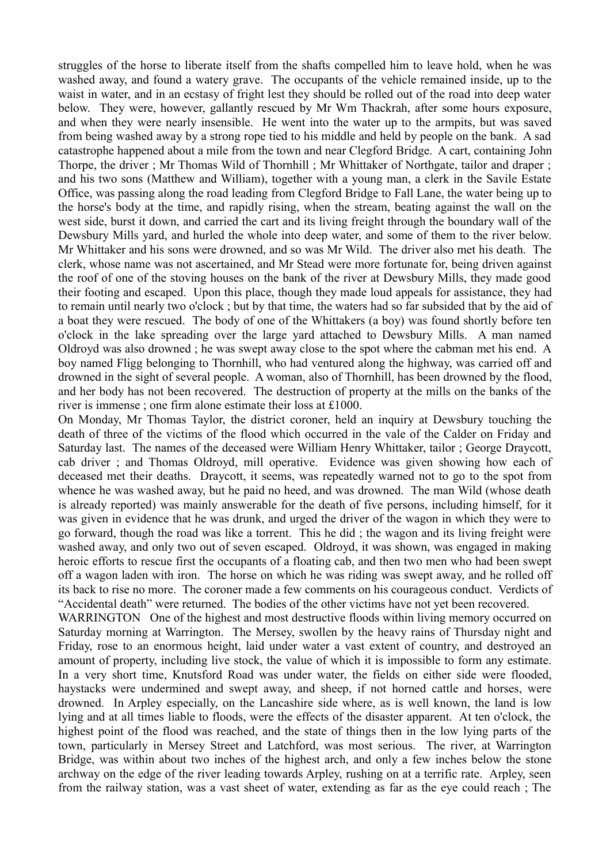struggles of the horse to liberate itself from the shafts compelled him to leave hold, when he was washed away, and found a watery grave. The occupants of the vehicle remained inside, up to the waist in water, and in an ecstasy of fright lest they should be rolled out of the road into deep water below. They were, however, gallantly rescued by Mr Wm Thackrah, after some hours exposure, and when they were nearly insensible. He went into the water up to the armpits, but was saved from being washed away by a strong rope tied to his middle and held by people on the bank. A sad catastrophe happened about a mile from the town and near Clegford Bridge. A cart, containing John Thorpe, the driver ; Mr Thomas Wild of Thornhill ; Mr Whittaker of Northgate, tailor and draper ; and his two sons (Matthew and William), together with a young man, a clerk in the Savile Estate Office, was passing along the road leading from Clegford Bridge to Fall Lane, the water being up to the horse's body at the time, and rapidly rising, when the stream, beating against the wall on the west side, burst it down, and carried the cart and its living freight through the boundary wall of the Dewsbury Mills yard, and hurled the whole into deep water, and some of them to the river below. Mr Whittaker and his sons were drowned, and so was Mr Wild. The driver also met his death. The clerk, whose name was not ascertained, and Mr Stead were more fortunate for, being driven against the roof of one of the stoving houses on the bank of the river at Dewsbury Mills, they made good their footing and escaped. Upon this place, though they made loud appeals for assistance, they had to remain until nearly two o'clock ; but by that time, the waters had so far subsided that by the aid of a boat they were rescued. The body of one of the Whittakers (a boy) was found shortly before ten o'clock in the lake spreading over the large yard attached to Dewsbury Mills. A man named Oldroyd was also drowned ; he was swept away close to the spot where the cabman met his end. A boy named Fligg belonging to Thornhill, who had ventured along the highway, was carried off and drowned in the sight of several people. A woman, also of Thornhill, has been drowned by the flood, and her body has not been recovered. The destruction of property at the mills on the banks of the river is immense ; one firm alone estimate their loss at £1000.

On Monday, Mr Thomas Taylor, the district coroner, held an inquiry at Dewsbury touching the death of three of the victims of the flood which occurred in the vale of the Calder on Friday and Saturday last. The names of the deceased were William Henry Whittaker, tailor ; George Draycott, cab driver ; and Thomas Oldroyd, mill operative. Evidence was given showing how each of deceased met their deaths. Draycott, it seems, was repeatedly warned not to go to the spot from whence he was washed away, but he paid no heed, and was drowned. The man Wild (whose death is already reported) was mainly answerable for the death of five persons, including himself, for it was given in evidence that he was drunk, and urged the driver of the wagon in which they were to go forward, though the road was like a torrent. This he did ; the wagon and its living freight were washed away, and only two out of seven escaped. Oldroyd, it was shown, was engaged in making heroic efforts to rescue first the occupants of a floating cab, and then two men who had been swept off a wagon laden with iron. The horse on which he was riding was swept away, and he rolled off its back to rise no more. The coroner made a few comments on his courageous conduct. Verdicts of "Accidental death" were returned. The bodies of the other victims have not yet been recovered.

WARRINGTON One of the highest and most destructive floods within living memory occurred on Saturday morning at Warrington. The Mersey, swollen by the heavy rains of Thursday night and Friday, rose to an enormous height, laid under water a vast extent of country, and destroyed an amount of property, including live stock, the value of which it is impossible to form any estimate. In a very short time, Knutsford Road was under water, the fields on either side were flooded, haystacks were undermined and swept away, and sheep, if not horned cattle and horses, were drowned. In Arpley especially, on the Lancashire side where, as is well known, the land is low lying and at all times liable to floods, were the effects of the disaster apparent. At ten o'clock, the highest point of the flood was reached, and the state of things then in the low lying parts of the town, particularly in Mersey Street and Latchford, was most serious. The river, at Warrington Bridge, was within about two inches of the highest arch, and only a few inches below the stone archway on the edge of the river leading towards Arpley, rushing on at a terrific rate. Arpley, seen from the railway station, was a vast sheet of water, extending as far as the eye could reach ; The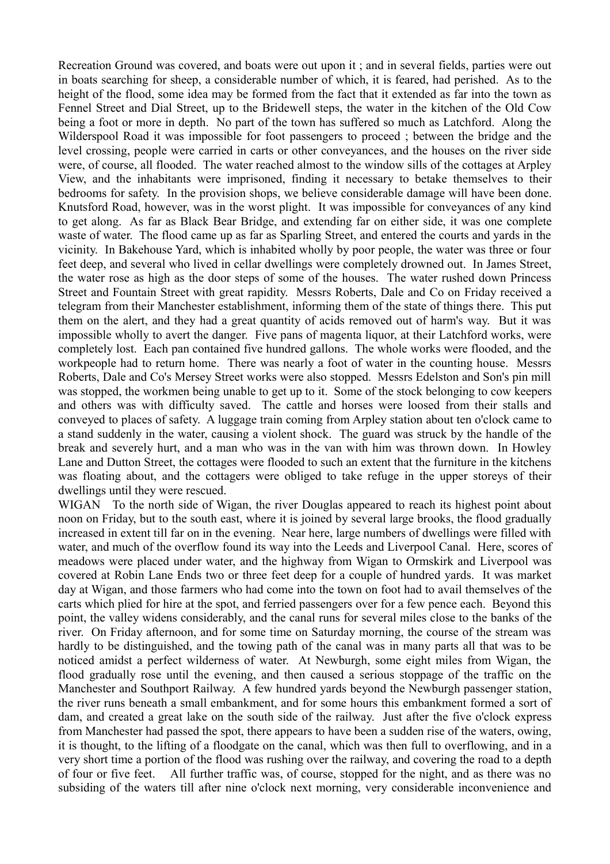Recreation Ground was covered, and boats were out upon it ; and in several fields, parties were out in boats searching for sheep, a considerable number of which, it is feared, had perished. As to the height of the flood, some idea may be formed from the fact that it extended as far into the town as Fennel Street and Dial Street, up to the Bridewell steps, the water in the kitchen of the Old Cow being a foot or more in depth. No part of the town has suffered so much as Latchford. Along the Wilderspool Road it was impossible for foot passengers to proceed ; between the bridge and the level crossing, people were carried in carts or other conveyances, and the houses on the river side were, of course, all flooded. The water reached almost to the window sills of the cottages at Arpley View, and the inhabitants were imprisoned, finding it necessary to betake themselves to their bedrooms for safety. In the provision shops, we believe considerable damage will have been done. Knutsford Road, however, was in the worst plight. It was impossible for conveyances of any kind to get along. As far as Black Bear Bridge, and extending far on either side, it was one complete waste of water. The flood came up as far as Sparling Street, and entered the courts and yards in the vicinity. In Bakehouse Yard, which is inhabited wholly by poor people, the water was three or four feet deep, and several who lived in cellar dwellings were completely drowned out. In James Street, the water rose as high as the door steps of some of the houses. The water rushed down Princess Street and Fountain Street with great rapidity. Messrs Roberts, Dale and Co on Friday received a telegram from their Manchester establishment, informing them of the state of things there. This put them on the alert, and they had a great quantity of acids removed out of harm's way. But it was impossible wholly to avert the danger. Five pans of magenta liquor, at their Latchford works, were completely lost. Each pan contained five hundred gallons. The whole works were flooded, and the workpeople had to return home. There was nearly a foot of water in the counting house. Messrs Roberts, Dale and Co's Mersey Street works were also stopped. Messrs Edelston and Son's pin mill was stopped, the workmen being unable to get up to it. Some of the stock belonging to cow keepers and others was with difficulty saved. The cattle and horses were loosed from their stalls and conveyed to places of safety. A luggage train coming from Arpley station about ten o'clock came to a stand suddenly in the water, causing a violent shock. The guard was struck by the handle of the break and severely hurt, and a man who was in the van with him was thrown down. In Howley Lane and Dutton Street, the cottages were flooded to such an extent that the furniture in the kitchens was floating about, and the cottagers were obliged to take refuge in the upper storeys of their dwellings until they were rescued.

WIGAN To the north side of Wigan, the river Douglas appeared to reach its highest point about noon on Friday, but to the south east, where it is joined by several large brooks, the flood gradually increased in extent till far on in the evening. Near here, large numbers of dwellings were filled with water, and much of the overflow found its way into the Leeds and Liverpool Canal. Here, scores of meadows were placed under water, and the highway from Wigan to Ormskirk and Liverpool was covered at Robin Lane Ends two or three feet deep for a couple of hundred yards. It was market day at Wigan, and those farmers who had come into the town on foot had to avail themselves of the carts which plied for hire at the spot, and ferried passengers over for a few pence each. Beyond this point, the valley widens considerably, and the canal runs for several miles close to the banks of the river. On Friday afternoon, and for some time on Saturday morning, the course of the stream was hardly to be distinguished, and the towing path of the canal was in many parts all that was to be noticed amidst a perfect wilderness of water. At Newburgh, some eight miles from Wigan, the flood gradually rose until the evening, and then caused a serious stoppage of the traffic on the Manchester and Southport Railway. A few hundred yards beyond the Newburgh passenger station, the river runs beneath a small embankment, and for some hours this embankment formed a sort of dam, and created a great lake on the south side of the railway. Just after the five o'clock express from Manchester had passed the spot, there appears to have been a sudden rise of the waters, owing, it is thought, to the lifting of a floodgate on the canal, which was then full to overflowing, and in a very short time a portion of the flood was rushing over the railway, and covering the road to a depth of four or five feet. All further traffic was, of course, stopped for the night, and as there was no subsiding of the waters till after nine o'clock next morning, very considerable inconvenience and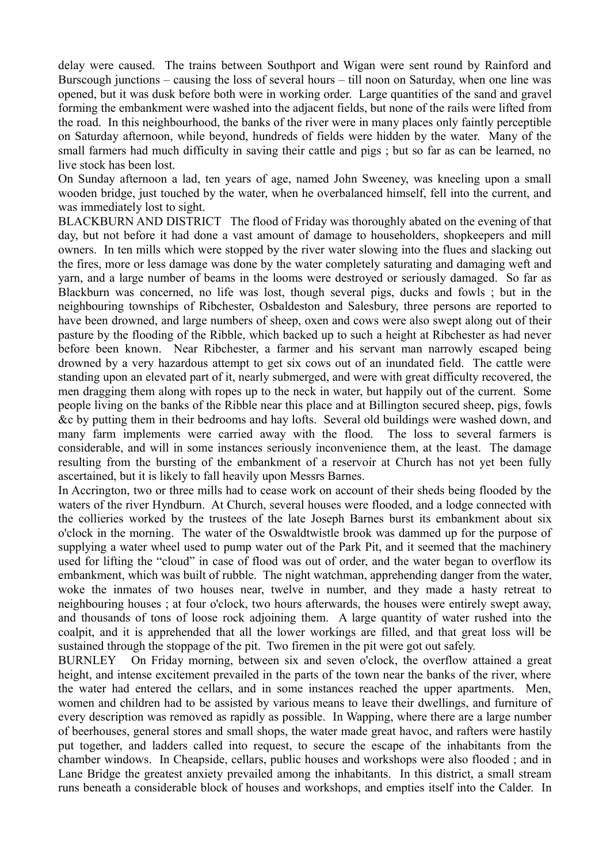delay were caused. The trains between Southport and Wigan were sent round by Rainford and Burscough junctions – causing the loss of several hours – till noon on Saturday, when one line was opened, but it was dusk before both were in working order. Large quantities of the sand and gravel forming the embankment were washed into the adjacent fields, but none of the rails were lifted from the road. In this neighbourhood, the banks of the river were in many places only faintly perceptible on Saturday afternoon, while beyond, hundreds of fields were hidden by the water. Many of the small farmers had much difficulty in saving their cattle and pigs ; but so far as can be learned, no live stock has been lost.

On Sunday afternoon a lad, ten years of age, named John Sweeney, was kneeling upon a small wooden bridge, just touched by the water, when he overbalanced himself, fell into the current, and was immediately lost to sight.

BLACKBURN AND DISTRICT The flood of Friday was thoroughly abated on the evening of that day, but not before it had done a vast amount of damage to householders, shopkeepers and mill owners. In ten mills which were stopped by the river water slowing into the flues and slacking out the fires, more or less damage was done by the water completely saturating and damaging weft and yarn, and a large number of beams in the looms were destroyed or seriously damaged. So far as Blackburn was concerned, no life was lost, though several pigs, ducks and fowls ; but in the neighbouring townships of Ribchester, Osbaldeston and Salesbury, three persons are reported to have been drowned, and large numbers of sheep, oxen and cows were also swept along out of their pasture by the flooding of the Ribble, which backed up to such a height at Ribchester as had never before been known. Near Ribchester, a farmer and his servant man narrowly escaped being drowned by a very hazardous attempt to get six cows out of an inundated field. The cattle were standing upon an elevated part of it, nearly submerged, and were with great difficulty recovered, the men dragging them along with ropes up to the neck in water, but happily out of the current. Some people living on the banks of the Ribble near this place and at Billington secured sheep, pigs, fowls &c by putting them in their bedrooms and hay lofts. Several old buildings were washed down, and many farm implements were carried away with the flood. The loss to several farmers is considerable, and will in some instances seriously inconvenience them, at the least. The damage resulting from the bursting of the embankment of a reservoir at Church has not yet been fully ascertained, but it is likely to fall heavily upon Messrs Barnes.

In Accrington, two or three mills had to cease work on account of their sheds being flooded by the waters of the river Hyndburn. At Church, several houses were flooded, and a lodge connected with the collieries worked by the trustees of the late Joseph Barnes burst its embankment about six o'clock in the morning. The water of the Oswaldtwistle brook was dammed up for the purpose of supplying a water wheel used to pump water out of the Park Pit, and it seemed that the machinery used for lifting the "cloud" in case of flood was out of order, and the water began to overflow its embankment, which was built of rubble. The night watchman, apprehending danger from the water, woke the inmates of two houses near, twelve in number, and they made a hasty retreat to neighbouring houses ; at four o'clock, two hours afterwards, the houses were entirely swept away, and thousands of tons of loose rock adjoining them. A large quantity of water rushed into the coalpit, and it is apprehended that all the lower workings are filled, and that great loss will be sustained through the stoppage of the pit. Two firemen in the pit were got out safely.

BURNLEY On Friday morning, between six and seven o'clock, the overflow attained a great height, and intense excitement prevailed in the parts of the town near the banks of the river, where the water had entered the cellars, and in some instances reached the upper apartments. Men, women and children had to be assisted by various means to leave their dwellings, and furniture of every description was removed as rapidly as possible. In Wapping, where there are a large number of beerhouses, general stores and small shops, the water made great havoc, and rafters were hastily put together, and ladders called into request, to secure the escape of the inhabitants from the chamber windows. In Cheapside, cellars, public houses and workshops were also flooded ; and in Lane Bridge the greatest anxiety prevailed among the inhabitants. In this district, a small stream runs beneath a considerable block of houses and workshops, and empties itself into the Calder. In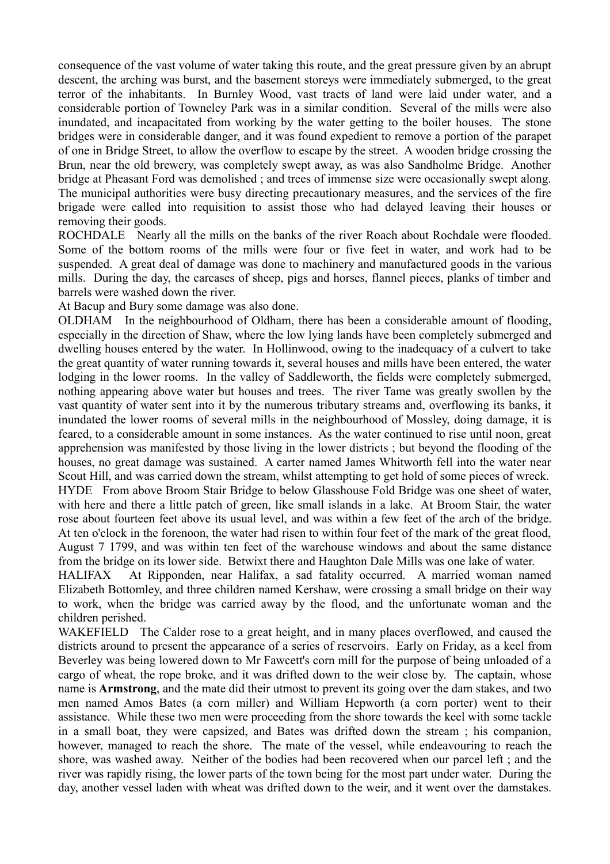consequence of the vast volume of water taking this route, and the great pressure given by an abrupt descent, the arching was burst, and the basement storeys were immediately submerged, to the great terror of the inhabitants. In Burnley Wood, vast tracts of land were laid under water, and a considerable portion of Towneley Park was in a similar condition. Several of the mills were also inundated, and incapacitated from working by the water getting to the boiler houses. The stone bridges were in considerable danger, and it was found expedient to remove a portion of the parapet of one in Bridge Street, to allow the overflow to escape by the street. A wooden bridge crossing the Brun, near the old brewery, was completely swept away, as was also Sandholme Bridge. Another bridge at Pheasant Ford was demolished ; and trees of immense size were occasionally swept along. The municipal authorities were busy directing precautionary measures, and the services of the fire brigade were called into requisition to assist those who had delayed leaving their houses or removing their goods.

ROCHDALE Nearly all the mills on the banks of the river Roach about Rochdale were flooded. Some of the bottom rooms of the mills were four or five feet in water, and work had to be suspended. A great deal of damage was done to machinery and manufactured goods in the various mills. During the day, the carcases of sheep, pigs and horses, flannel pieces, planks of timber and barrels were washed down the river.

At Bacup and Bury some damage was also done.

OLDHAM In the neighbourhood of Oldham, there has been a considerable amount of flooding, especially in the direction of Shaw, where the low lying lands have been completely submerged and dwelling houses entered by the water. In Hollinwood, owing to the inadequacy of a culvert to take the great quantity of water running towards it, several houses and mills have been entered, the water lodging in the lower rooms. In the valley of Saddleworth, the fields were completely submerged, nothing appearing above water but houses and trees. The river Tame was greatly swollen by the vast quantity of water sent into it by the numerous tributary streams and, overflowing its banks, it inundated the lower rooms of several mills in the neighbourhood of Mossley, doing damage, it is feared, to a considerable amount in some instances. As the water continued to rise until noon, great apprehension was manifested by those living in the lower districts ; but beyond the flooding of the houses, no great damage was sustained. A carter named James Whitworth fell into the water near Scout Hill, and was carried down the stream, whilst attempting to get hold of some pieces of wreck. HYDE From above Broom Stair Bridge to below Glasshouse Fold Bridge was one sheet of water,

with here and there a little patch of green, like small islands in a lake. At Broom Stair, the water rose about fourteen feet above its usual level, and was within a few feet of the arch of the bridge. At ten o'clock in the forenoon, the water had risen to within four feet of the mark of the great flood, August 7 1799, and was within ten feet of the warehouse windows and about the same distance from the bridge on its lower side. Betwixt there and Haughton Dale Mills was one lake of water.

HALIFAX At Ripponden, near Halifax, a sad fatality occurred. A married woman named Elizabeth Bottomley, and three children named Kershaw, were crossing a small bridge on their way to work, when the bridge was carried away by the flood, and the unfortunate woman and the children perished.

WAKEFIELD The Calder rose to a great height, and in many places overflowed, and caused the districts around to present the appearance of a series of reservoirs. Early on Friday, as a keel from Beverley was being lowered down to Mr Fawcett's corn mill for the purpose of being unloaded of a cargo of wheat, the rope broke, and it was drifted down to the weir close by. The captain, whose name is **Armstrong**, and the mate did their utmost to prevent its going over the dam stakes, and two men named Amos Bates (a corn miller) and William Hepworth (a corn porter) went to their assistance. While these two men were proceeding from the shore towards the keel with some tackle in a small boat, they were capsized, and Bates was drifted down the stream ; his companion, however, managed to reach the shore. The mate of the vessel, while endeavouring to reach the shore, was washed away. Neither of the bodies had been recovered when our parcel left ; and the river was rapidly rising, the lower parts of the town being for the most part under water. During the day, another vessel laden with wheat was drifted down to the weir, and it went over the damstakes.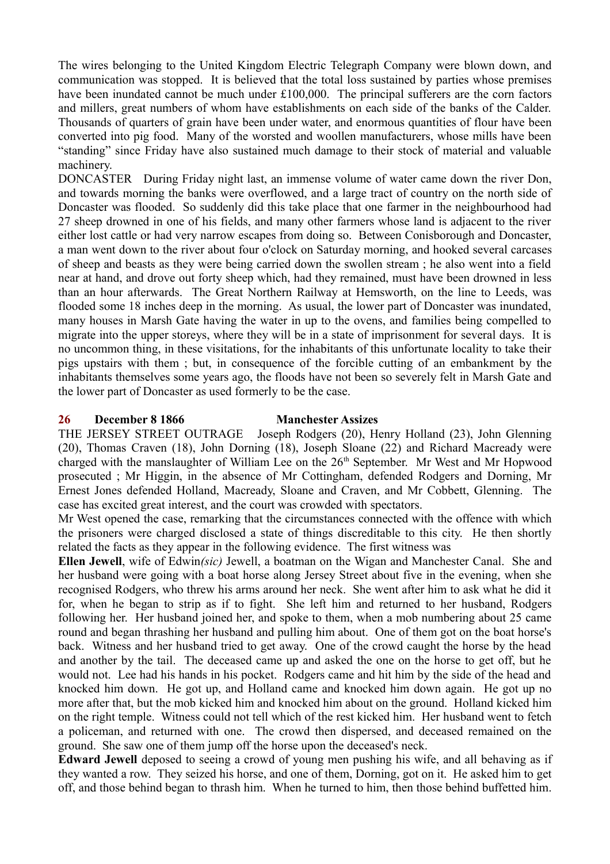The wires belonging to the United Kingdom Electric Telegraph Company were blown down, and communication was stopped. It is believed that the total loss sustained by parties whose premises have been inundated cannot be much under £100,000. The principal sufferers are the corn factors and millers, great numbers of whom have establishments on each side of the banks of the Calder. Thousands of quarters of grain have been under water, and enormous quantities of flour have been converted into pig food. Many of the worsted and woollen manufacturers, whose mills have been "standing" since Friday have also sustained much damage to their stock of material and valuable machinery.

DONCASTER During Friday night last, an immense volume of water came down the river Don, and towards morning the banks were overflowed, and a large tract of country on the north side of Doncaster was flooded. So suddenly did this take place that one farmer in the neighbourhood had 27 sheep drowned in one of his fields, and many other farmers whose land is adjacent to the river either lost cattle or had very narrow escapes from doing so. Between Conisborough and Doncaster, a man went down to the river about four o'clock on Saturday morning, and hooked several carcases of sheep and beasts as they were being carried down the swollen stream ; he also went into a field near at hand, and drove out forty sheep which, had they remained, must have been drowned in less than an hour afterwards. The Great Northern Railway at Hemsworth, on the line to Leeds, was flooded some 18 inches deep in the morning. As usual, the lower part of Doncaster was inundated, many houses in Marsh Gate having the water in up to the ovens, and families being compelled to migrate into the upper storeys, where they will be in a state of imprisonment for several days. It is no uncommon thing, in these visitations, for the inhabitants of this unfortunate locality to take their pigs upstairs with them ; but, in consequence of the forcible cutting of an embankment by the inhabitants themselves some years ago, the floods have not been so severely felt in Marsh Gate and the lower part of Doncaster as used formerly to be the case.

#### **26 December 8 1866 Manchester Assizes**

THE JERSEY STREET OUTRAGE Joseph Rodgers (20), Henry Holland (23), John Glenning (20), Thomas Craven (18), John Dorning (18), Joseph Sloane (22) and Richard Macready were charged with the manslaughter of William Lee on the  $26<sup>th</sup>$  September. Mr West and Mr Hopwood prosecuted ; Mr Higgin, in the absence of Mr Cottingham, defended Rodgers and Dorning, Mr Ernest Jones defended Holland, Macready, Sloane and Craven, and Mr Cobbett, Glenning. The case has excited great interest, and the court was crowded with spectators.

Mr West opened the case, remarking that the circumstances connected with the offence with which the prisoners were charged disclosed a state of things discreditable to this city. He then shortly related the facts as they appear in the following evidence. The first witness was

**Ellen Jewell**, wife of Edwin*(sic)* Jewell, a boatman on the Wigan and Manchester Canal. She and her husband were going with a boat horse along Jersey Street about five in the evening, when she recognised Rodgers, who threw his arms around her neck. She went after him to ask what he did it for, when he began to strip as if to fight. She left him and returned to her husband, Rodgers following her. Her husband joined her, and spoke to them, when a mob numbering about 25 came round and began thrashing her husband and pulling him about. One of them got on the boat horse's back. Witness and her husband tried to get away. One of the crowd caught the horse by the head and another by the tail. The deceased came up and asked the one on the horse to get off, but he would not. Lee had his hands in his pocket. Rodgers came and hit him by the side of the head and knocked him down. He got up, and Holland came and knocked him down again. He got up no more after that, but the mob kicked him and knocked him about on the ground. Holland kicked him on the right temple. Witness could not tell which of the rest kicked him. Her husband went to fetch a policeman, and returned with one. The crowd then dispersed, and deceased remained on the ground. She saw one of them jump off the horse upon the deceased's neck.

**Edward Jewell** deposed to seeing a crowd of young men pushing his wife, and all behaving as if they wanted a row. They seized his horse, and one of them, Dorning, got on it. He asked him to get off, and those behind began to thrash him. When he turned to him, then those behind buffetted him.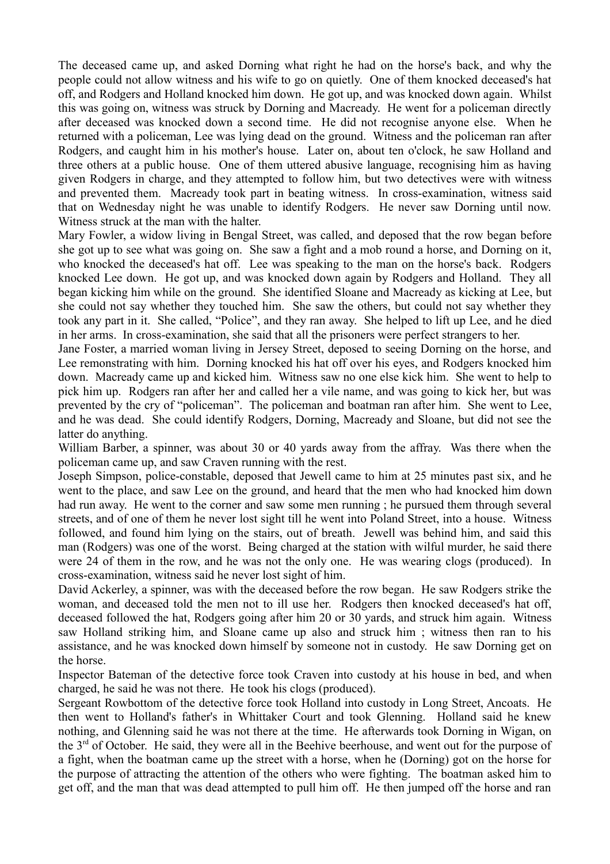The deceased came up, and asked Dorning what right he had on the horse's back, and why the people could not allow witness and his wife to go on quietly. One of them knocked deceased's hat off, and Rodgers and Holland knocked him down. He got up, and was knocked down again. Whilst this was going on, witness was struck by Dorning and Macready. He went for a policeman directly after deceased was knocked down a second time. He did not recognise anyone else. When he returned with a policeman, Lee was lying dead on the ground. Witness and the policeman ran after Rodgers, and caught him in his mother's house. Later on, about ten o'clock, he saw Holland and three others at a public house. One of them uttered abusive language, recognising him as having given Rodgers in charge, and they attempted to follow him, but two detectives were with witness and prevented them. Macready took part in beating witness. In cross-examination, witness said that on Wednesday night he was unable to identify Rodgers. He never saw Dorning until now. Witness struck at the man with the halter.

Mary Fowler, a widow living in Bengal Street, was called, and deposed that the row began before she got up to see what was going on. She saw a fight and a mob round a horse, and Dorning on it, who knocked the deceased's hat off. Lee was speaking to the man on the horse's back. Rodgers knocked Lee down. He got up, and was knocked down again by Rodgers and Holland. They all began kicking him while on the ground. She identified Sloane and Macready as kicking at Lee, but she could not say whether they touched him. She saw the others, but could not say whether they took any part in it. She called, "Police", and they ran away. She helped to lift up Lee, and he died in her arms. In cross-examination, she said that all the prisoners were perfect strangers to her.

Jane Foster, a married woman living in Jersey Street, deposed to seeing Dorning on the horse, and Lee remonstrating with him. Dorning knocked his hat off over his eyes, and Rodgers knocked him down. Macready came up and kicked him. Witness saw no one else kick him. She went to help to pick him up. Rodgers ran after her and called her a vile name, and was going to kick her, but was prevented by the cry of "policeman". The policeman and boatman ran after him. She went to Lee, and he was dead. She could identify Rodgers, Dorning, Macready and Sloane, but did not see the latter do anything.

William Barber, a spinner, was about 30 or 40 yards away from the affray. Was there when the policeman came up, and saw Craven running with the rest.

Joseph Simpson, police-constable, deposed that Jewell came to him at 25 minutes past six, and he went to the place, and saw Lee on the ground, and heard that the men who had knocked him down had run away. He went to the corner and saw some men running ; he pursued them through several streets, and of one of them he never lost sight till he went into Poland Street, into a house. Witness followed, and found him lying on the stairs, out of breath. Jewell was behind him, and said this man (Rodgers) was one of the worst. Being charged at the station with wilful murder, he said there were 24 of them in the row, and he was not the only one. He was wearing clogs (produced). In cross-examination, witness said he never lost sight of him.

David Ackerley, a spinner, was with the deceased before the row began. He saw Rodgers strike the woman, and deceased told the men not to ill use her. Rodgers then knocked deceased's hat off, deceased followed the hat, Rodgers going after him 20 or 30 yards, and struck him again. Witness saw Holland striking him, and Sloane came up also and struck him ; witness then ran to his assistance, and he was knocked down himself by someone not in custody. He saw Dorning get on the horse.

Inspector Bateman of the detective force took Craven into custody at his house in bed, and when charged, he said he was not there. He took his clogs (produced).

Sergeant Rowbottom of the detective force took Holland into custody in Long Street, Ancoats. He then went to Holland's father's in Whittaker Court and took Glenning. Holland said he knew nothing, and Glenning said he was not there at the time. He afterwards took Dorning in Wigan, on the 3rd of October. He said, they were all in the Beehive beerhouse, and went out for the purpose of a fight, when the boatman came up the street with a horse, when he (Dorning) got on the horse for the purpose of attracting the attention of the others who were fighting. The boatman asked him to get off, and the man that was dead attempted to pull him off. He then jumped off the horse and ran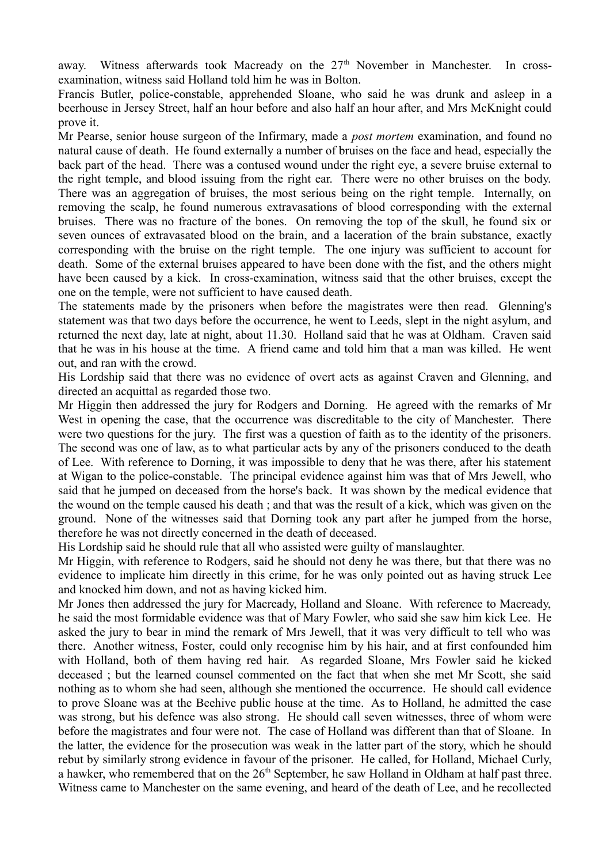away. Witness afterwards took Macready on the  $27<sup>th</sup>$  November in Manchester. In crossexamination, witness said Holland told him he was in Bolton.

Francis Butler, police-constable, apprehended Sloane, who said he was drunk and asleep in a beerhouse in Jersey Street, half an hour before and also half an hour after, and Mrs McKnight could prove it.

Mr Pearse, senior house surgeon of the Infirmary, made a *post mortem* examination, and found no natural cause of death. He found externally a number of bruises on the face and head, especially the back part of the head. There was a contused wound under the right eye, a severe bruise external to the right temple, and blood issuing from the right ear. There were no other bruises on the body. There was an aggregation of bruises, the most serious being on the right temple. Internally, on removing the scalp, he found numerous extravasations of blood corresponding with the external bruises. There was no fracture of the bones. On removing the top of the skull, he found six or seven ounces of extravasated blood on the brain, and a laceration of the brain substance, exactly corresponding with the bruise on the right temple. The one injury was sufficient to account for death. Some of the external bruises appeared to have been done with the fist, and the others might have been caused by a kick. In cross-examination, witness said that the other bruises, except the one on the temple, were not sufficient to have caused death.

The statements made by the prisoners when before the magistrates were then read. Glenning's statement was that two days before the occurrence, he went to Leeds, slept in the night asylum, and returned the next day, late at night, about 11.30. Holland said that he was at Oldham. Craven said that he was in his house at the time. A friend came and told him that a man was killed. He went out, and ran with the crowd.

His Lordship said that there was no evidence of overt acts as against Craven and Glenning, and directed an acquittal as regarded those two.

Mr Higgin then addressed the jury for Rodgers and Dorning. He agreed with the remarks of Mr West in opening the case, that the occurrence was discreditable to the city of Manchester. There were two questions for the jury. The first was a question of faith as to the identity of the prisoners. The second was one of law, as to what particular acts by any of the prisoners conduced to the death of Lee. With reference to Dorning, it was impossible to deny that he was there, after his statement at Wigan to the police-constable. The principal evidence against him was that of Mrs Jewell, who said that he jumped on deceased from the horse's back. It was shown by the medical evidence that the wound on the temple caused his death ; and that was the result of a kick, which was given on the ground. None of the witnesses said that Dorning took any part after he jumped from the horse, therefore he was not directly concerned in the death of deceased.

His Lordship said he should rule that all who assisted were guilty of manslaughter.

Mr Higgin, with reference to Rodgers, said he should not deny he was there, but that there was no evidence to implicate him directly in this crime, for he was only pointed out as having struck Lee and knocked him down, and not as having kicked him.

Mr Jones then addressed the jury for Macready, Holland and Sloane. With reference to Macready, he said the most formidable evidence was that of Mary Fowler, who said she saw him kick Lee. He asked the jury to bear in mind the remark of Mrs Jewell, that it was very difficult to tell who was there. Another witness, Foster, could only recognise him by his hair, and at first confounded him with Holland, both of them having red hair. As regarded Sloane, Mrs Fowler said he kicked deceased ; but the learned counsel commented on the fact that when she met Mr Scott, she said nothing as to whom she had seen, although she mentioned the occurrence. He should call evidence to prove Sloane was at the Beehive public house at the time. As to Holland, he admitted the case was strong, but his defence was also strong. He should call seven witnesses, three of whom were before the magistrates and four were not. The case of Holland was different than that of Sloane. In the latter, the evidence for the prosecution was weak in the latter part of the story, which he should rebut by similarly strong evidence in favour of the prisoner. He called, for Holland, Michael Curly, a hawker, who remembered that on the  $26<sup>th</sup>$  September, he saw Holland in Oldham at half past three. Witness came to Manchester on the same evening, and heard of the death of Lee, and he recollected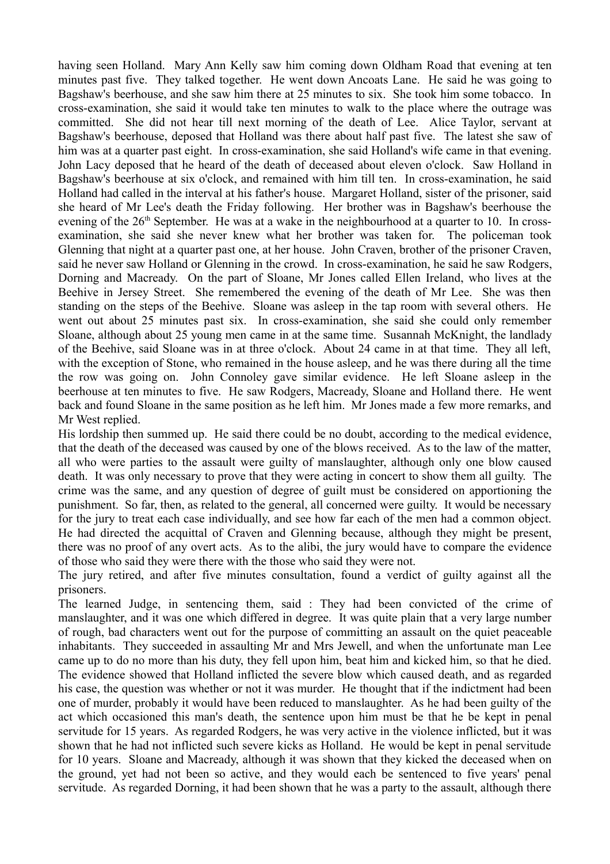having seen Holland. Mary Ann Kelly saw him coming down Oldham Road that evening at ten minutes past five. They talked together. He went down Ancoats Lane. He said he was going to Bagshaw's beerhouse, and she saw him there at 25 minutes to six. She took him some tobacco. In cross-examination, she said it would take ten minutes to walk to the place where the outrage was committed. She did not hear till next morning of the death of Lee. Alice Taylor, servant at Bagshaw's beerhouse, deposed that Holland was there about half past five. The latest she saw of him was at a quarter past eight. In cross-examination, she said Holland's wife came in that evening. John Lacy deposed that he heard of the death of deceased about eleven o'clock. Saw Holland in Bagshaw's beerhouse at six o'clock, and remained with him till ten. In cross-examination, he said Holland had called in the interval at his father's house. Margaret Holland, sister of the prisoner, said she heard of Mr Lee's death the Friday following. Her brother was in Bagshaw's beerhouse the evening of the 26<sup>th</sup> September. He was at a wake in the neighbourhood at a quarter to 10. In crossexamination, she said she never knew what her brother was taken for. The policeman took Glenning that night at a quarter past one, at her house. John Craven, brother of the prisoner Craven, said he never saw Holland or Glenning in the crowd. In cross-examination, he said he saw Rodgers, Dorning and Macready. On the part of Sloane, Mr Jones called Ellen Ireland, who lives at the Beehive in Jersey Street. She remembered the evening of the death of Mr Lee. She was then standing on the steps of the Beehive. Sloane was asleep in the tap room with several others. He went out about 25 minutes past six. In cross-examination, she said she could only remember Sloane, although about 25 young men came in at the same time. Susannah McKnight, the landlady of the Beehive, said Sloane was in at three o'clock. About 24 came in at that time. They all left, with the exception of Stone, who remained in the house asleep, and he was there during all the time the row was going on. John Connoley gave similar evidence. He left Sloane asleep in the beerhouse at ten minutes to five. He saw Rodgers, Macready, Sloane and Holland there. He went back and found Sloane in the same position as he left him. Mr Jones made a few more remarks, and Mr West replied.

His lordship then summed up. He said there could be no doubt, according to the medical evidence, that the death of the deceased was caused by one of the blows received. As to the law of the matter, all who were parties to the assault were guilty of manslaughter, although only one blow caused death. It was only necessary to prove that they were acting in concert to show them all guilty. The crime was the same, and any question of degree of guilt must be considered on apportioning the punishment. So far, then, as related to the general, all concerned were guilty. It would be necessary for the jury to treat each case individually, and see how far each of the men had a common object. He had directed the acquittal of Craven and Glenning because, although they might be present, there was no proof of any overt acts. As to the alibi, the jury would have to compare the evidence of those who said they were there with the those who said they were not.

The jury retired, and after five minutes consultation, found a verdict of guilty against all the prisoners.

The learned Judge, in sentencing them, said : They had been convicted of the crime of manslaughter, and it was one which differed in degree. It was quite plain that a very large number of rough, bad characters went out for the purpose of committing an assault on the quiet peaceable inhabitants. They succeeded in assaulting Mr and Mrs Jewell, and when the unfortunate man Lee came up to do no more than his duty, they fell upon him, beat him and kicked him, so that he died. The evidence showed that Holland inflicted the severe blow which caused death, and as regarded his case, the question was whether or not it was murder. He thought that if the indictment had been one of murder, probably it would have been reduced to manslaughter. As he had been guilty of the act which occasioned this man's death, the sentence upon him must be that he be kept in penal servitude for 15 years. As regarded Rodgers, he was very active in the violence inflicted, but it was shown that he had not inflicted such severe kicks as Holland. He would be kept in penal servitude for 10 years. Sloane and Macready, although it was shown that they kicked the deceased when on the ground, yet had not been so active, and they would each be sentenced to five years' penal servitude. As regarded Dorning, it had been shown that he was a party to the assault, although there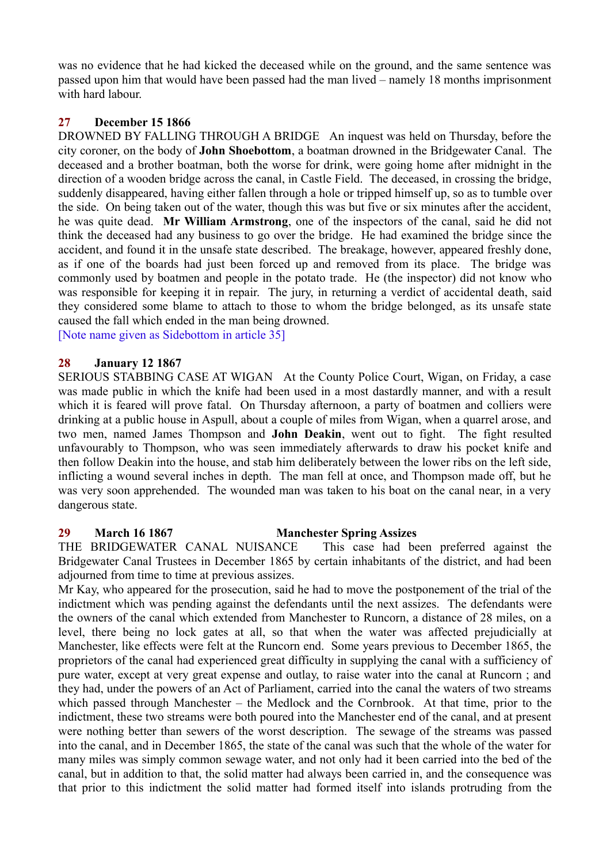was no evidence that he had kicked the deceased while on the ground, and the same sentence was passed upon him that would have been passed had the man lived – namely 18 months imprisonment with hard labour.

## **27 December 15 1866**

DROWNED BY FALLING THROUGH A BRIDGE An inquest was held on Thursday, before the city coroner, on the body of **John Shoebottom**, a boatman drowned in the Bridgewater Canal. The deceased and a brother boatman, both the worse for drink, were going home after midnight in the direction of a wooden bridge across the canal, in Castle Field. The deceased, in crossing the bridge, suddenly disappeared, having either fallen through a hole or tripped himself up, so as to tumble over the side. On being taken out of the water, though this was but five or six minutes after the accident, he was quite dead. **Mr William Armstrong**, one of the inspectors of the canal, said he did not think the deceased had any business to go over the bridge. He had examined the bridge since the accident, and found it in the unsafe state described. The breakage, however, appeared freshly done, as if one of the boards had just been forced up and removed from its place. The bridge was commonly used by boatmen and people in the potato trade. He (the inspector) did not know who was responsible for keeping it in repair. The jury, in returning a verdict of accidental death, said they considered some blame to attach to those to whom the bridge belonged, as its unsafe state caused the fall which ended in the man being drowned.

[Note name given as Sidebottom in article 35]

#### **28 January 12 1867**

SERIOUS STABBING CASE AT WIGAN At the County Police Court, Wigan, on Friday, a case was made public in which the knife had been used in a most dastardly manner, and with a result which it is feared will prove fatal. On Thursday afternoon, a party of boatmen and colliers were drinking at a public house in Aspull, about a couple of miles from Wigan, when a quarrel arose, and two men, named James Thompson and **John Deakin**, went out to fight. The fight resulted unfavourably to Thompson, who was seen immediately afterwards to draw his pocket knife and then follow Deakin into the house, and stab him deliberately between the lower ribs on the left side, inflicting a wound several inches in depth. The man fell at once, and Thompson made off, but he was very soon apprehended. The wounded man was taken to his boat on the canal near, in a very dangerous state.

#### **29 March 16 1867 Manchester Spring Assizes**

THE BRIDGEWATER CANAL NUISANCE This case had been preferred against the Bridgewater Canal Trustees in December 1865 by certain inhabitants of the district, and had been adjourned from time to time at previous assizes.

Mr Kay, who appeared for the prosecution, said he had to move the postponement of the trial of the indictment which was pending against the defendants until the next assizes. The defendants were the owners of the canal which extended from Manchester to Runcorn, a distance of 28 miles, on a level, there being no lock gates at all, so that when the water was affected prejudicially at Manchester, like effects were felt at the Runcorn end. Some years previous to December 1865, the proprietors of the canal had experienced great difficulty in supplying the canal with a sufficiency of pure water, except at very great expense and outlay, to raise water into the canal at Runcorn ; and they had, under the powers of an Act of Parliament, carried into the canal the waters of two streams which passed through Manchester – the Medlock and the Cornbrook. At that time, prior to the indictment, these two streams were both poured into the Manchester end of the canal, and at present were nothing better than sewers of the worst description. The sewage of the streams was passed into the canal, and in December 1865, the state of the canal was such that the whole of the water for many miles was simply common sewage water, and not only had it been carried into the bed of the canal, but in addition to that, the solid matter had always been carried in, and the consequence was that prior to this indictment the solid matter had formed itself into islands protruding from the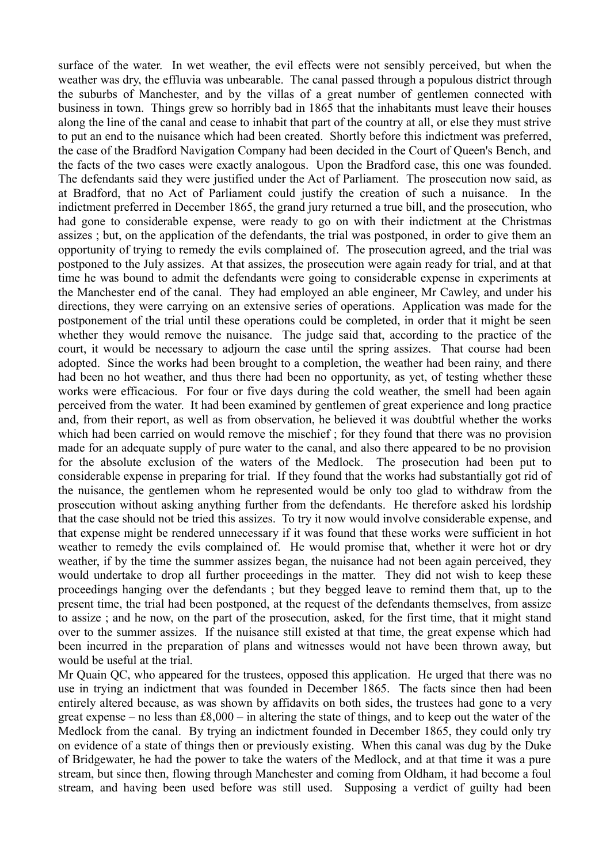surface of the water. In wet weather, the evil effects were not sensibly perceived, but when the weather was dry, the effluvia was unbearable. The canal passed through a populous district through the suburbs of Manchester, and by the villas of a great number of gentlemen connected with business in town. Things grew so horribly bad in 1865 that the inhabitants must leave their houses along the line of the canal and cease to inhabit that part of the country at all, or else they must strive to put an end to the nuisance which had been created. Shortly before this indictment was preferred, the case of the Bradford Navigation Company had been decided in the Court of Queen's Bench, and the facts of the two cases were exactly analogous. Upon the Bradford case, this one was founded. The defendants said they were justified under the Act of Parliament. The prosecution now said, as at Bradford, that no Act of Parliament could justify the creation of such a nuisance. In the indictment preferred in December 1865, the grand jury returned a true bill, and the prosecution, who had gone to considerable expense, were ready to go on with their indictment at the Christmas assizes ; but, on the application of the defendants, the trial was postponed, in order to give them an opportunity of trying to remedy the evils complained of. The prosecution agreed, and the trial was postponed to the July assizes. At that assizes, the prosecution were again ready for trial, and at that time he was bound to admit the defendants were going to considerable expense in experiments at the Manchester end of the canal. They had employed an able engineer, Mr Cawley, and under his directions, they were carrying on an extensive series of operations. Application was made for the postponement of the trial until these operations could be completed, in order that it might be seen whether they would remove the nuisance. The judge said that, according to the practice of the court, it would be necessary to adjourn the case until the spring assizes. That course had been adopted. Since the works had been brought to a completion, the weather had been rainy, and there had been no hot weather, and thus there had been no opportunity, as yet, of testing whether these works were efficacious. For four or five days during the cold weather, the smell had been again perceived from the water. It had been examined by gentlemen of great experience and long practice and, from their report, as well as from observation, he believed it was doubtful whether the works which had been carried on would remove the mischief ; for they found that there was no provision made for an adequate supply of pure water to the canal, and also there appeared to be no provision for the absolute exclusion of the waters of the Medlock. The prosecution had been put to considerable expense in preparing for trial. If they found that the works had substantially got rid of the nuisance, the gentlemen whom he represented would be only too glad to withdraw from the prosecution without asking anything further from the defendants. He therefore asked his lordship that the case should not be tried this assizes. To try it now would involve considerable expense, and that expense might be rendered unnecessary if it was found that these works were sufficient in hot weather to remedy the evils complained of. He would promise that, whether it were hot or dry weather, if by the time the summer assizes began, the nuisance had not been again perceived, they would undertake to drop all further proceedings in the matter. They did not wish to keep these proceedings hanging over the defendants ; but they begged leave to remind them that, up to the present time, the trial had been postponed, at the request of the defendants themselves, from assize to assize ; and he now, on the part of the prosecution, asked, for the first time, that it might stand over to the summer assizes. If the nuisance still existed at that time, the great expense which had been incurred in the preparation of plans and witnesses would not have been thrown away, but would be useful at the trial.

Mr Quain QC, who appeared for the trustees, opposed this application. He urged that there was no use in trying an indictment that was founded in December 1865. The facts since then had been entirely altered because, as was shown by affidavits on both sides, the trustees had gone to a very great expense – no less than £8,000 – in altering the state of things, and to keep out the water of the Medlock from the canal. By trying an indictment founded in December 1865, they could only try on evidence of a state of things then or previously existing. When this canal was dug by the Duke of Bridgewater, he had the power to take the waters of the Medlock, and at that time it was a pure stream, but since then, flowing through Manchester and coming from Oldham, it had become a foul stream, and having been used before was still used. Supposing a verdict of guilty had been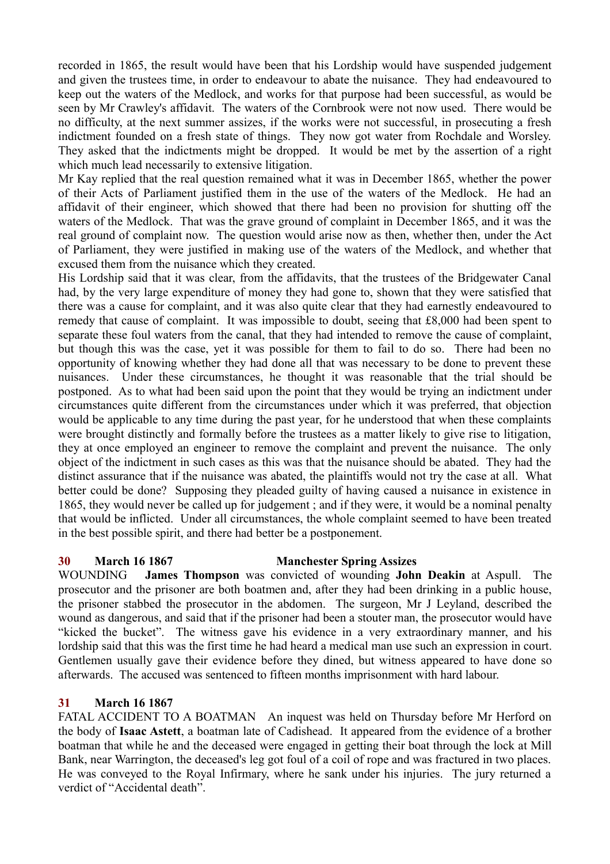recorded in 1865, the result would have been that his Lordship would have suspended judgement and given the trustees time, in order to endeavour to abate the nuisance. They had endeavoured to keep out the waters of the Medlock, and works for that purpose had been successful, as would be seen by Mr Crawley's affidavit. The waters of the Cornbrook were not now used. There would be no difficulty, at the next summer assizes, if the works were not successful, in prosecuting a fresh indictment founded on a fresh state of things. They now got water from Rochdale and Worsley. They asked that the indictments might be dropped. It would be met by the assertion of a right which much lead necessarily to extensive litigation.

Mr Kay replied that the real question remained what it was in December 1865, whether the power of their Acts of Parliament justified them in the use of the waters of the Medlock. He had an affidavit of their engineer, which showed that there had been no provision for shutting off the waters of the Medlock. That was the grave ground of complaint in December 1865, and it was the real ground of complaint now. The question would arise now as then, whether then, under the Act of Parliament, they were justified in making use of the waters of the Medlock, and whether that excused them from the nuisance which they created.

His Lordship said that it was clear, from the affidavits, that the trustees of the Bridgewater Canal had, by the very large expenditure of money they had gone to, shown that they were satisfied that there was a cause for complaint, and it was also quite clear that they had earnestly endeavoured to remedy that cause of complaint. It was impossible to doubt, seeing that £8,000 had been spent to separate these foul waters from the canal, that they had intended to remove the cause of complaint, but though this was the case, yet it was possible for them to fail to do so. There had been no opportunity of knowing whether they had done all that was necessary to be done to prevent these nuisances. Under these circumstances, he thought it was reasonable that the trial should be postponed. As to what had been said upon the point that they would be trying an indictment under circumstances quite different from the circumstances under which it was preferred, that objection would be applicable to any time during the past year, for he understood that when these complaints were brought distinctly and formally before the trustees as a matter likely to give rise to litigation, they at once employed an engineer to remove the complaint and prevent the nuisance. The only object of the indictment in such cases as this was that the nuisance should be abated. They had the distinct assurance that if the nuisance was abated, the plaintiffs would not try the case at all. What better could be done? Supposing they pleaded guilty of having caused a nuisance in existence in 1865, they would never be called up for judgement ; and if they were, it would be a nominal penalty that would be inflicted. Under all circumstances, the whole complaint seemed to have been treated in the best possible spirit, and there had better be a postponement.

#### **30 March 16 1867 Manchester Spring Assizes**

WOUNDING **James Thompson** was convicted of wounding **John Deakin** at Aspull. The prosecutor and the prisoner are both boatmen and, after they had been drinking in a public house, the prisoner stabbed the prosecutor in the abdomen. The surgeon, Mr J Leyland, described the wound as dangerous, and said that if the prisoner had been a stouter man, the prosecutor would have "kicked the bucket". The witness gave his evidence in a very extraordinary manner, and his lordship said that this was the first time he had heard a medical man use such an expression in court. Gentlemen usually gave their evidence before they dined, but witness appeared to have done so afterwards. The accused was sentenced to fifteen months imprisonment with hard labour.

## **31 March 16 1867**

FATAL ACCIDENT TO A BOATMAN An inquest was held on Thursday before Mr Herford on the body of **Isaac Astett**, a boatman late of Cadishead. It appeared from the evidence of a brother boatman that while he and the deceased were engaged in getting their boat through the lock at Mill Bank, near Warrington, the deceased's leg got foul of a coil of rope and was fractured in two places. He was conveyed to the Royal Infirmary, where he sank under his injuries. The jury returned a verdict of "Accidental death".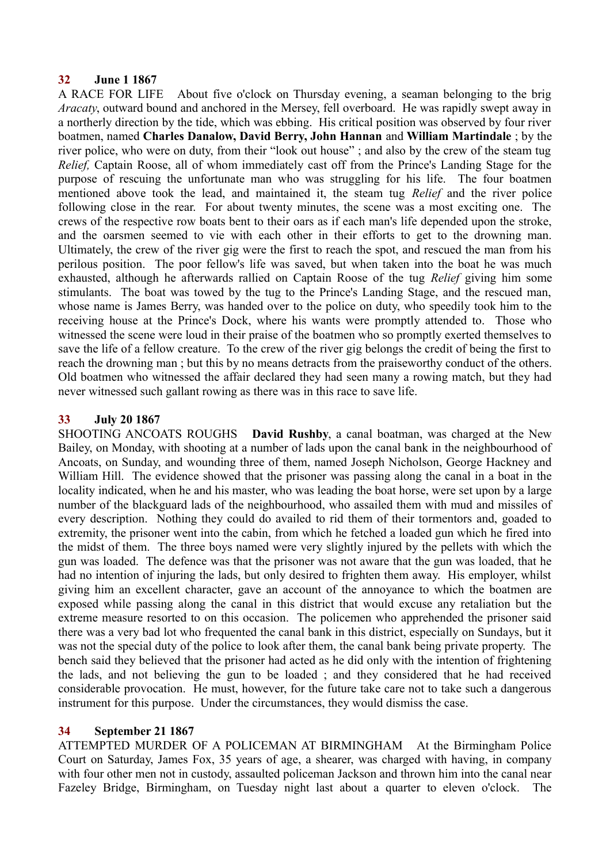## **32 June 1 1867**

A RACE FOR LIFE About five o'clock on Thursday evening, a seaman belonging to the brig *Aracaty*, outward bound and anchored in the Mersey, fell overboard. He was rapidly swept away in a northerly direction by the tide, which was ebbing. His critical position was observed by four river boatmen, named **Charles Danalow, David Berry, John Hannan** and **William Martindale** ; by the river police, who were on duty, from their "look out house" ; and also by the crew of the steam tug *Relief,* Captain Roose, all of whom immediately cast off from the Prince's Landing Stage for the purpose of rescuing the unfortunate man who was struggling for his life. The four boatmen mentioned above took the lead, and maintained it, the steam tug *Relief* and the river police following close in the rear. For about twenty minutes, the scene was a most exciting one. The crews of the respective row boats bent to their oars as if each man's life depended upon the stroke, and the oarsmen seemed to vie with each other in their efforts to get to the drowning man. Ultimately, the crew of the river gig were the first to reach the spot, and rescued the man from his perilous position. The poor fellow's life was saved, but when taken into the boat he was much exhausted, although he afterwards rallied on Captain Roose of the tug *Relief* giving him some stimulants. The boat was towed by the tug to the Prince's Landing Stage, and the rescued man, whose name is James Berry, was handed over to the police on duty, who speedily took him to the receiving house at the Prince's Dock, where his wants were promptly attended to. Those who witnessed the scene were loud in their praise of the boatmen who so promptly exerted themselves to save the life of a fellow creature. To the crew of the river gig belongs the credit of being the first to reach the drowning man ; but this by no means detracts from the praiseworthy conduct of the others. Old boatmen who witnessed the affair declared they had seen many a rowing match, but they had never witnessed such gallant rowing as there was in this race to save life.

## **33 July 20 1867**

SHOOTING ANCOATS ROUGHS **David Rushby**, a canal boatman, was charged at the New Bailey, on Monday, with shooting at a number of lads upon the canal bank in the neighbourhood of Ancoats, on Sunday, and wounding three of them, named Joseph Nicholson, George Hackney and William Hill. The evidence showed that the prisoner was passing along the canal in a boat in the locality indicated, when he and his master, who was leading the boat horse, were set upon by a large number of the blackguard lads of the neighbourhood, who assailed them with mud and missiles of every description. Nothing they could do availed to rid them of their tormentors and, goaded to extremity, the prisoner went into the cabin, from which he fetched a loaded gun which he fired into the midst of them. The three boys named were very slightly injured by the pellets with which the gun was loaded. The defence was that the prisoner was not aware that the gun was loaded, that he had no intention of injuring the lads, but only desired to frighten them away. His employer, whilst giving him an excellent character, gave an account of the annoyance to which the boatmen are exposed while passing along the canal in this district that would excuse any retaliation but the extreme measure resorted to on this occasion. The policemen who apprehended the prisoner said there was a very bad lot who frequented the canal bank in this district, especially on Sundays, but it was not the special duty of the police to look after them, the canal bank being private property. The bench said they believed that the prisoner had acted as he did only with the intention of frightening the lads, and not believing the gun to be loaded ; and they considered that he had received considerable provocation. He must, however, for the future take care not to take such a dangerous instrument for this purpose. Under the circumstances, they would dismiss the case.

## **34 September 21 1867**

ATTEMPTED MURDER OF A POLICEMAN AT BIRMINGHAM At the Birmingham Police Court on Saturday, James Fox, 35 years of age, a shearer, was charged with having, in company with four other men not in custody, assaulted policeman Jackson and thrown him into the canal near Fazeley Bridge, Birmingham, on Tuesday night last about a quarter to eleven o'clock. The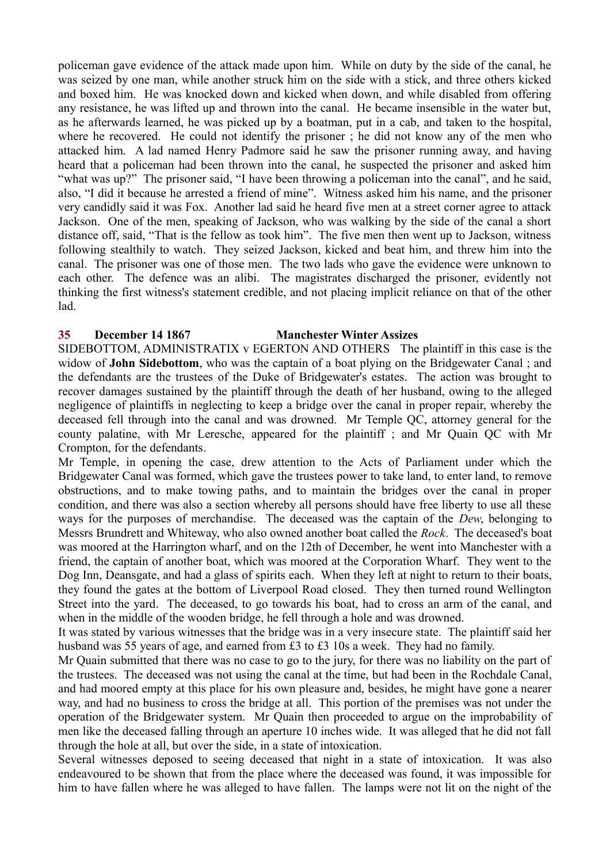policeman gave evidence of the attack made upon him. While on duty by the side of the canal, he was seized by one man, while another struck him on the side with a stick, and three others kicked and boxed him. He was knocked down and kicked when down, and while disabled from offering any resistance, he was lifted up and thrown into the canal. He became insensible in the water but, as he afterwards learned, he was picked up by a boatman, put in a cab, and taken to the hospital, where he recovered. He could not identify the prisoner ; he did not know any of the men who attacked him. A lad named Henry Padmore said he saw the prisoner running away, and having heard that a policeman had been thrown into the canal, he suspected the prisoner and asked him "what was up?" The prisoner said, "I have been throwing a policeman into the canal", and he said, also, "I did it because he arrested a friend of mine". Witness asked him his name, and the prisoner very candidly said it was Fox. Another lad said he heard five men at a street corner agree to attack Jackson. One of the men, speaking of Jackson, who was walking by the side of the canal a short distance off, said, "That is the fellow as took him". The five men then went up to Jackson, witness following stealthily to watch. They seized Jackson, kicked and beat him, and threw him into the canal. The prisoner was one of those men. The two lads who gave the evidence were unknown to each other. The defence was an alibi. The magistrates discharged the prisoner, evidently not thinking the first witness's statement credible, and not placing implicit reliance on that of the other lad.

## **35 December 14 1867 Manchester Winter Assizes**

SIDEBOTTOM, ADMINISTRATIX v EGERTON AND OTHERS The plaintiff in this case is the widow of **John Sidebottom**, who was the captain of a boat plying on the Bridgewater Canal ; and the defendants are the trustees of the Duke of Bridgewater's estates. The action was brought to recover damages sustained by the plaintiff through the death of her husband, owing to the alleged negligence of plaintiffs in neglecting to keep a bridge over the canal in proper repair, whereby the deceased fell through into the canal and was drowned. Mr Temple QC, attorney general for the county palatine, with Mr Leresche, appeared for the plaintiff ; and Mr Quain QC with Mr Crompton, for the defendants.

Mr Temple, in opening the case, drew attention to the Acts of Parliament under which the Bridgewater Canal was formed, which gave the trustees power to take land, to enter land, to remove obstructions, and to make towing paths, and to maintain the bridges over the canal in proper condition, and there was also a section whereby all persons should have free liberty to use all these ways for the purposes of merchandise. The deceased was the captain of the *Dew*, belonging to Messrs Brundrett and Whiteway, who also owned another boat called the *Rock*. The deceased's boat was moored at the Harrington wharf, and on the 12th of December, he went into Manchester with a friend, the captain of another boat, which was moored at the Corporation Wharf. They went to the Dog Inn, Deansgate, and had a glass of spirits each. When they left at night to return to their boats, they found the gates at the bottom of Liverpool Road closed. They then turned round Wellington Street into the yard. The deceased, to go towards his boat, had to cross an arm of the canal, and when in the middle of the wooden bridge, he fell through a hole and was drowned.

It was stated by various witnesses that the bridge was in a very insecure state. The plaintiff said her husband was 55 years of age, and earned from £3 to £3 10s a week. They had no family.

Mr Quain submitted that there was no case to go to the jury, for there was no liability on the part of the trustees. The deceased was not using the canal at the time, but had been in the Rochdale Canal, and had moored empty at this place for his own pleasure and, besides, he might have gone a nearer way, and had no business to cross the bridge at all. This portion of the premises was not under the operation of the Bridgewater system. Mr Quain then proceeded to argue on the improbability of men like the deceased falling through an aperture 10 inches wide. It was alleged that he did not fall through the hole at all, but over the side, in a state of intoxication.

Several witnesses deposed to seeing deceased that night in a state of intoxication. It was also endeavoured to be shown that from the place where the deceased was found, it was impossible for him to have fallen where he was alleged to have fallen. The lamps were not lit on the night of the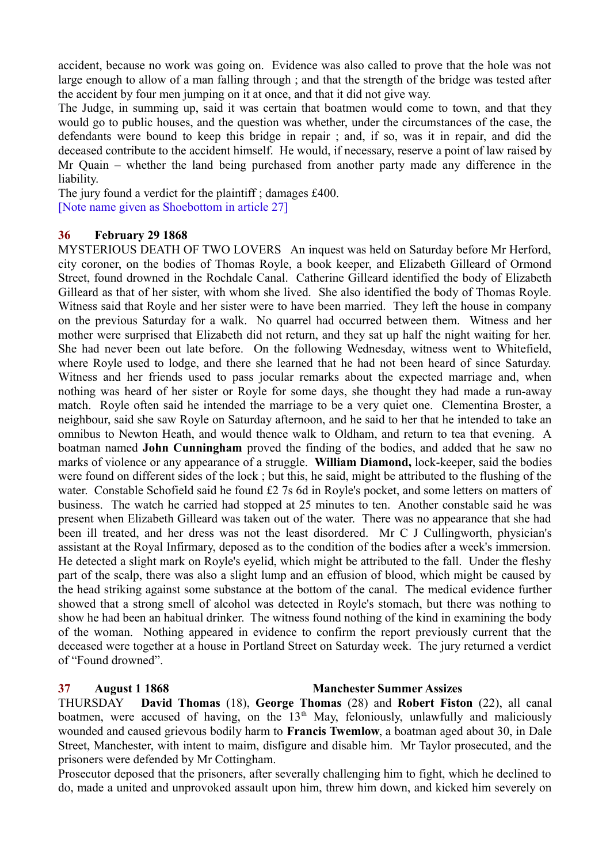accident, because no work was going on. Evidence was also called to prove that the hole was not large enough to allow of a man falling through ; and that the strength of the bridge was tested after the accident by four men jumping on it at once, and that it did not give way.

The Judge, in summing up, said it was certain that boatmen would come to town, and that they would go to public houses, and the question was whether, under the circumstances of the case, the defendants were bound to keep this bridge in repair ; and, if so, was it in repair, and did the deceased contribute to the accident himself. He would, if necessary, reserve a point of law raised by Mr Quain – whether the land being purchased from another party made any difference in the liability.

The jury found a verdict for the plaintiff ; damages £400. [Note name given as Shoebottom in article 27]

## **36 February 29 1868**

MYSTERIOUS DEATH OF TWO LOVERS An inquest was held on Saturday before Mr Herford, city coroner, on the bodies of Thomas Royle, a book keeper, and Elizabeth Gilleard of Ormond Street, found drowned in the Rochdale Canal. Catherine Gilleard identified the body of Elizabeth Gilleard as that of her sister, with whom she lived. She also identified the body of Thomas Royle. Witness said that Royle and her sister were to have been married. They left the house in company on the previous Saturday for a walk. No quarrel had occurred between them. Witness and her mother were surprised that Elizabeth did not return, and they sat up half the night waiting for her. She had never been out late before. On the following Wednesday, witness went to Whitefield, where Royle used to lodge, and there she learned that he had not been heard of since Saturday. Witness and her friends used to pass jocular remarks about the expected marriage and, when nothing was heard of her sister or Royle for some days, she thought they had made a run-away match. Royle often said he intended the marriage to be a very quiet one. Clementina Broster, a neighbour, said she saw Royle on Saturday afternoon, and he said to her that he intended to take an omnibus to Newton Heath, and would thence walk to Oldham, and return to tea that evening. A boatman named **John Cunningham** proved the finding of the bodies, and added that he saw no marks of violence or any appearance of a struggle. **William Diamond,** lock-keeper, said the bodies were found on different sides of the lock ; but this, he said, might be attributed to the flushing of the water. Constable Schofield said he found £2 7s 6d in Royle's pocket, and some letters on matters of business. The watch he carried had stopped at 25 minutes to ten. Another constable said he was present when Elizabeth Gilleard was taken out of the water. There was no appearance that she had been ill treated, and her dress was not the least disordered. Mr C J Cullingworth, physician's assistant at the Royal Infirmary, deposed as to the condition of the bodies after a week's immersion. He detected a slight mark on Royle's eyelid, which might be attributed to the fall. Under the fleshy part of the scalp, there was also a slight lump and an effusion of blood, which might be caused by the head striking against some substance at the bottom of the canal. The medical evidence further showed that a strong smell of alcohol was detected in Royle's stomach, but there was nothing to show he had been an habitual drinker. The witness found nothing of the kind in examining the body of the woman. Nothing appeared in evidence to confirm the report previously current that the deceased were together at a house in Portland Street on Saturday week. The jury returned a verdict of "Found drowned".

#### **37 August 1 1868 Manchester Summer Assizes**

THURSDAY **David Thomas** (18), **George Thomas** (28) and **Robert Fiston** (22), all canal boatmen, were accused of having, on the  $13<sup>th</sup>$  May, feloniously, unlawfully and maliciously wounded and caused grievous bodily harm to **Francis Twemlow**, a boatman aged about 30, in Dale Street, Manchester, with intent to maim, disfigure and disable him. Mr Taylor prosecuted, and the prisoners were defended by Mr Cottingham.

Prosecutor deposed that the prisoners, after severally challenging him to fight, which he declined to do, made a united and unprovoked assault upon him, threw him down, and kicked him severely on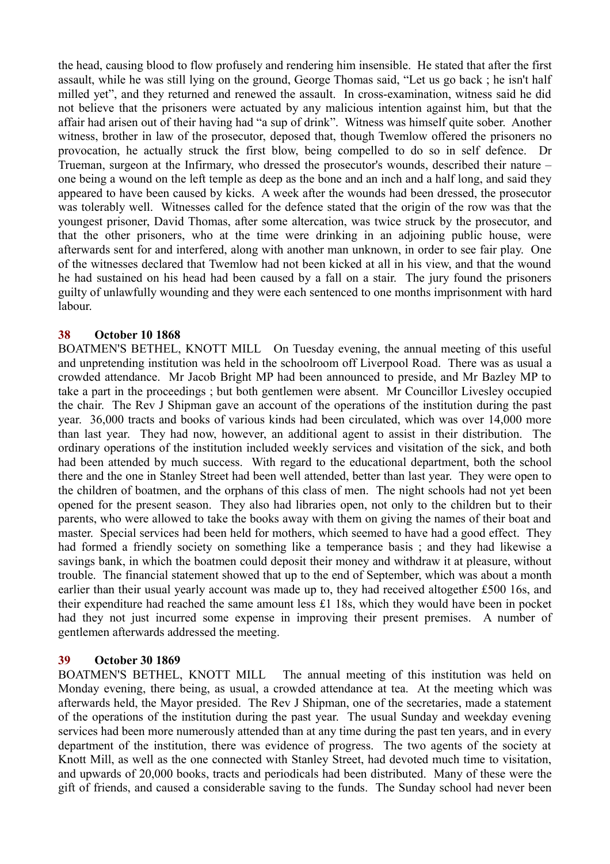the head, causing blood to flow profusely and rendering him insensible. He stated that after the first assault, while he was still lying on the ground, George Thomas said, "Let us go back ; he isn't half milled yet", and they returned and renewed the assault. In cross-examination, witness said he did not believe that the prisoners were actuated by any malicious intention against him, but that the affair had arisen out of their having had "a sup of drink". Witness was himself quite sober. Another witness, brother in law of the prosecutor, deposed that, though Twemlow offered the prisoners no provocation, he actually struck the first blow, being compelled to do so in self defence. Dr Trueman, surgeon at the Infirmary, who dressed the prosecutor's wounds, described their nature – one being a wound on the left temple as deep as the bone and an inch and a half long, and said they appeared to have been caused by kicks. A week after the wounds had been dressed, the prosecutor was tolerably well. Witnesses called for the defence stated that the origin of the row was that the youngest prisoner, David Thomas, after some altercation, was twice struck by the prosecutor, and that the other prisoners, who at the time were drinking in an adjoining public house, were afterwards sent for and interfered, along with another man unknown, in order to see fair play. One of the witnesses declared that Twemlow had not been kicked at all in his view, and that the wound he had sustained on his head had been caused by a fall on a stair. The jury found the prisoners guilty of unlawfully wounding and they were each sentenced to one months imprisonment with hard labour.

## **38 October 10 1868**

BOATMEN'S BETHEL, KNOTT MILL On Tuesday evening, the annual meeting of this useful and unpretending institution was held in the schoolroom off Liverpool Road. There was as usual a crowded attendance. Mr Jacob Bright MP had been announced to preside, and Mr Bazley MP to take a part in the proceedings ; but both gentlemen were absent. Mr Councillor Livesley occupied the chair. The Rev J Shipman gave an account of the operations of the institution during the past year. 36,000 tracts and books of various kinds had been circulated, which was over 14,000 more than last year. They had now, however, an additional agent to assist in their distribution. The ordinary operations of the institution included weekly services and visitation of the sick, and both had been attended by much success. With regard to the educational department, both the school there and the one in Stanley Street had been well attended, better than last year. They were open to the children of boatmen, and the orphans of this class of men. The night schools had not yet been opened for the present season. They also had libraries open, not only to the children but to their parents, who were allowed to take the books away with them on giving the names of their boat and master. Special services had been held for mothers, which seemed to have had a good effect. They had formed a friendly society on something like a temperance basis ; and they had likewise a savings bank, in which the boatmen could deposit their money and withdraw it at pleasure, without trouble. The financial statement showed that up to the end of September, which was about a month earlier than their usual yearly account was made up to, they had received altogether £500 16s, and their expenditure had reached the same amount less £1 18s, which they would have been in pocket had they not just incurred some expense in improving their present premises. A number of gentlemen afterwards addressed the meeting.

#### **39 October 30 1869**

BOATMEN'S BETHEL, KNOTT MILL The annual meeting of this institution was held on Monday evening, there being, as usual, a crowded attendance at tea. At the meeting which was afterwards held, the Mayor presided. The Rev J Shipman, one of the secretaries, made a statement of the operations of the institution during the past year. The usual Sunday and weekday evening services had been more numerously attended than at any time during the past ten years, and in every department of the institution, there was evidence of progress. The two agents of the society at Knott Mill, as well as the one connected with Stanley Street, had devoted much time to visitation, and upwards of 20,000 books, tracts and periodicals had been distributed. Many of these were the gift of friends, and caused a considerable saving to the funds. The Sunday school had never been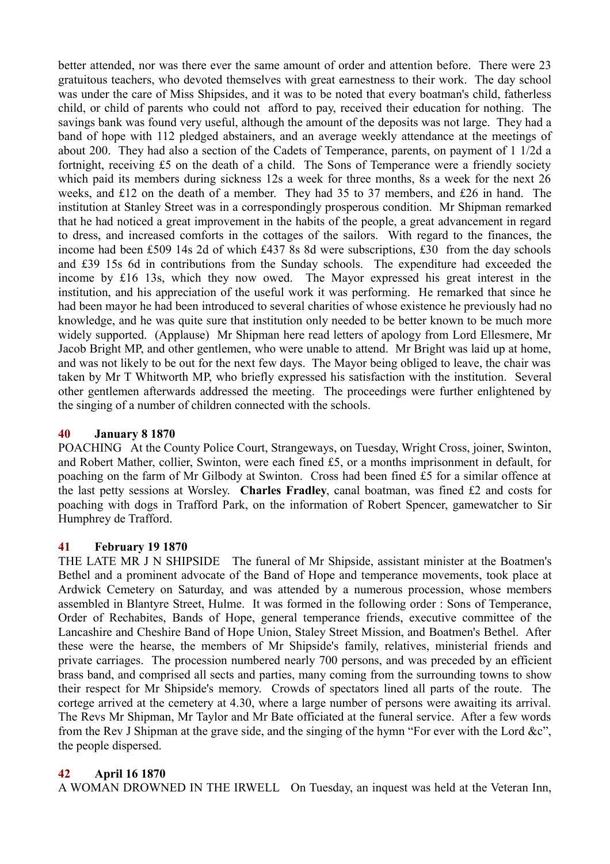better attended, nor was there ever the same amount of order and attention before. There were 23 gratuitous teachers, who devoted themselves with great earnestness to their work. The day school was under the care of Miss Shipsides, and it was to be noted that every boatman's child, fatherless child, or child of parents who could not afford to pay, received their education for nothing. The savings bank was found very useful, although the amount of the deposits was not large. They had a band of hope with 112 pledged abstainers, and an average weekly attendance at the meetings of about 200. They had also a section of the Cadets of Temperance, parents, on payment of 1 1/2d a fortnight, receiving £5 on the death of a child. The Sons of Temperance were a friendly society which paid its members during sickness 12s a week for three months, 8s a week for the next 26 weeks, and £12 on the death of a member. They had 35 to 37 members, and £26 in hand. The institution at Stanley Street was in a correspondingly prosperous condition. Mr Shipman remarked that he had noticed a great improvement in the habits of the people, a great advancement in regard to dress, and increased comforts in the cottages of the sailors. With regard to the finances, the income had been £509 14s 2d of which £437 8s 8d were subscriptions, £30 from the day schools and £39 15s 6d in contributions from the Sunday schools. The expenditure had exceeded the income by £16 13s, which they now owed. The Mayor expressed his great interest in the institution, and his appreciation of the useful work it was performing. He remarked that since he had been mayor he had been introduced to several charities of whose existence he previously had no knowledge, and he was quite sure that institution only needed to be better known to be much more widely supported. (Applause) Mr Shipman here read letters of apology from Lord Ellesmere, Mr Jacob Bright MP, and other gentlemen, who were unable to attend. Mr Bright was laid up at home, and was not likely to be out for the next few days. The Mayor being obliged to leave, the chair was taken by Mr T Whitworth MP, who briefly expressed his satisfaction with the institution. Several other gentlemen afterwards addressed the meeting. The proceedings were further enlightened by the singing of a number of children connected with the schools.

## **40 January 8 1870**

POACHING At the County Police Court, Strangeways, on Tuesday, Wright Cross, joiner, Swinton, and Robert Mather, collier, Swinton, were each fined £5, or a months imprisonment in default, for poaching on the farm of Mr Gilbody at Swinton. Cross had been fined £5 for a similar offence at the last petty sessions at Worsley. **Charles Fradley**, canal boatman, was fined £2 and costs for poaching with dogs in Trafford Park, on the information of Robert Spencer, gamewatcher to Sir Humphrey de Trafford.

#### **41 February 19 1870**

THE LATE MR J N SHIPSIDE The funeral of Mr Shipside, assistant minister at the Boatmen's Bethel and a prominent advocate of the Band of Hope and temperance movements, took place at Ardwick Cemetery on Saturday, and was attended by a numerous procession, whose members assembled in Blantyre Street, Hulme. It was formed in the following order : Sons of Temperance, Order of Rechabites, Bands of Hope, general temperance friends, executive committee of the Lancashire and Cheshire Band of Hope Union, Staley Street Mission, and Boatmen's Bethel. After these were the hearse, the members of Mr Shipside's family, relatives, ministerial friends and private carriages. The procession numbered nearly 700 persons, and was preceded by an efficient brass band, and comprised all sects and parties, many coming from the surrounding towns to show their respect for Mr Shipside's memory. Crowds of spectators lined all parts of the route. The cortege arrived at the cemetery at 4.30, where a large number of persons were awaiting its arrival. The Revs Mr Shipman, Mr Taylor and Mr Bate officiated at the funeral service. After a few words from the Rev J Shipman at the grave side, and the singing of the hymn "For ever with the Lord &c", the people dispersed.

#### **42 April 16 1870**

A WOMAN DROWNED IN THE IRWELL On Tuesday, an inquest was held at the Veteran Inn,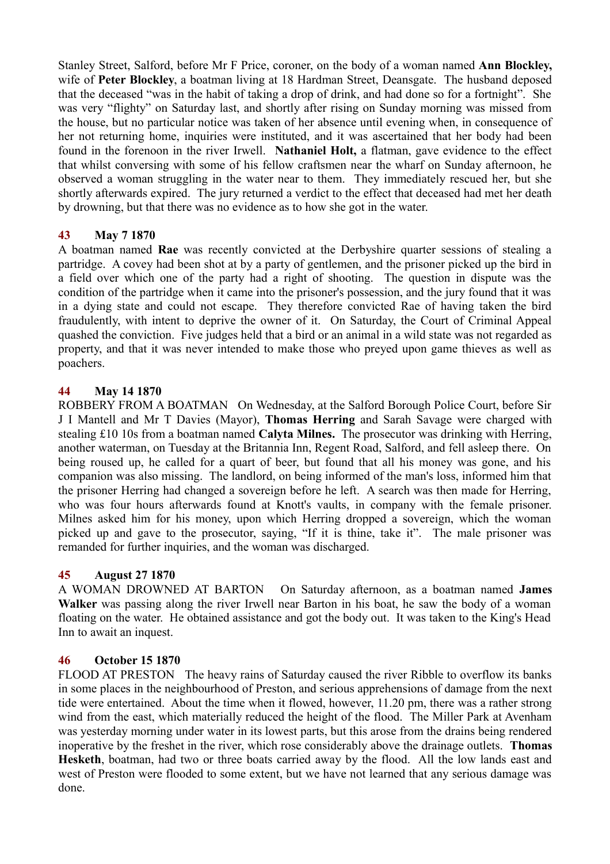Stanley Street, Salford, before Mr F Price, coroner, on the body of a woman named **Ann Blockley,** wife of **Peter Blockley**, a boatman living at 18 Hardman Street, Deansgate. The husband deposed that the deceased "was in the habit of taking a drop of drink, and had done so for a fortnight". She was very "flighty" on Saturday last, and shortly after rising on Sunday morning was missed from the house, but no particular notice was taken of her absence until evening when, in consequence of her not returning home, inquiries were instituted, and it was ascertained that her body had been found in the forenoon in the river Irwell. **Nathaniel Holt,** a flatman, gave evidence to the effect that whilst conversing with some of his fellow craftsmen near the wharf on Sunday afternoon, he observed a woman struggling in the water near to them. They immediately rescued her, but she shortly afterwards expired. The jury returned a verdict to the effect that deceased had met her death by drowning, but that there was no evidence as to how she got in the water.

# **43 May 7 1870**

A boatman named **Rae** was recently convicted at the Derbyshire quarter sessions of stealing a partridge. A covey had been shot at by a party of gentlemen, and the prisoner picked up the bird in a field over which one of the party had a right of shooting. The question in dispute was the condition of the partridge when it came into the prisoner's possession, and the jury found that it was in a dying state and could not escape. They therefore convicted Rae of having taken the bird fraudulently, with intent to deprive the owner of it. On Saturday, the Court of Criminal Appeal quashed the conviction. Five judges held that a bird or an animal in a wild state was not regarded as property, and that it was never intended to make those who preyed upon game thieves as well as poachers.

# **44 May 14 1870**

ROBBERY FROM A BOATMAN On Wednesday, at the Salford Borough Police Court, before Sir J I Mantell and Mr T Davies (Mayor), **Thomas Herring** and Sarah Savage were charged with stealing £10 10s from a boatman named **Calyta Milnes.** The prosecutor was drinking with Herring, another waterman, on Tuesday at the Britannia Inn, Regent Road, Salford, and fell asleep there. On being roused up, he called for a quart of beer, but found that all his money was gone, and his companion was also missing. The landlord, on being informed of the man's loss, informed him that the prisoner Herring had changed a sovereign before he left. A search was then made for Herring, who was four hours afterwards found at Knott's vaults, in company with the female prisoner. Milnes asked him for his money, upon which Herring dropped a sovereign, which the woman picked up and gave to the prosecutor, saying, "If it is thine, take it". The male prisoner was remanded for further inquiries, and the woman was discharged.

## **45 August 27 1870**

A WOMAN DROWNED AT BARTON On Saturday afternoon, as a boatman named **James Walker** was passing along the river Irwell near Barton in his boat, he saw the body of a woman floating on the water. He obtained assistance and got the body out. It was taken to the King's Head Inn to await an inquest.

## **46 October 15 1870**

FLOOD AT PRESTON The heavy rains of Saturday caused the river Ribble to overflow its banks in some places in the neighbourhood of Preston, and serious apprehensions of damage from the next tide were entertained. About the time when it flowed, however, 11.20 pm, there was a rather strong wind from the east, which materially reduced the height of the flood. The Miller Park at Avenham was yesterday morning under water in its lowest parts, but this arose from the drains being rendered inoperative by the freshet in the river, which rose considerably above the drainage outlets. **Thomas Hesketh**, boatman, had two or three boats carried away by the flood. All the low lands east and west of Preston were flooded to some extent, but we have not learned that any serious damage was done.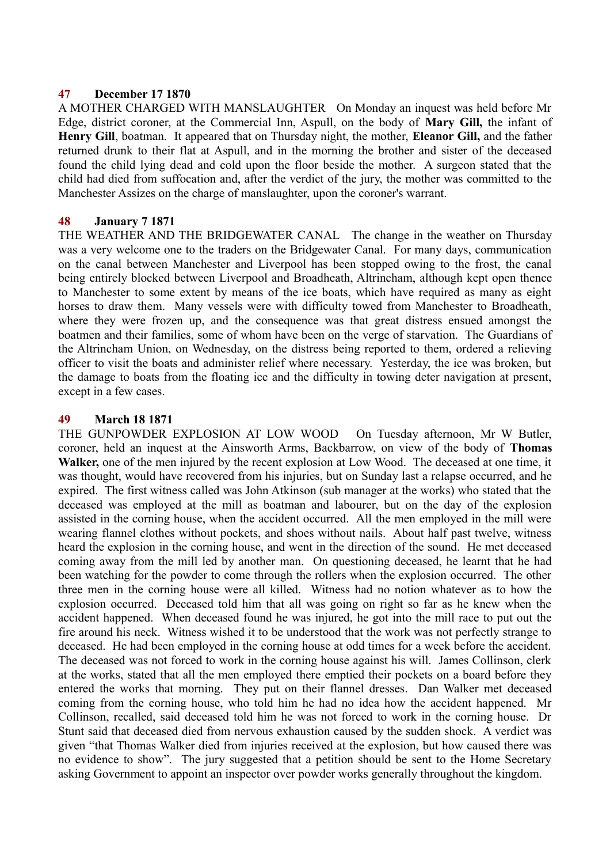### **47 December 17 1870**

A MOTHER CHARGED WITH MANSLAUGHTER On Monday an inquest was held before Mr Edge, district coroner, at the Commercial Inn, Aspull, on the body of **Mary Gill,** the infant of **Henry Gill**, boatman. It appeared that on Thursday night, the mother, **Eleanor Gill,** and the father returned drunk to their flat at Aspull, and in the morning the brother and sister of the deceased found the child lying dead and cold upon the floor beside the mother. A surgeon stated that the child had died from suffocation and, after the verdict of the jury, the mother was committed to the Manchester Assizes on the charge of manslaughter, upon the coroner's warrant.

## **48 January 7 1871**

THE WEATHER AND THE BRIDGEWATER CANAL The change in the weather on Thursday was a very welcome one to the traders on the Bridgewater Canal. For many days, communication on the canal between Manchester and Liverpool has been stopped owing to the frost, the canal being entirely blocked between Liverpool and Broadheath, Altrincham, although kept open thence to Manchester to some extent by means of the ice boats, which have required as many as eight horses to draw them. Many vessels were with difficulty towed from Manchester to Broadheath, where they were frozen up, and the consequence was that great distress ensued amongst the boatmen and their families, some of whom have been on the verge of starvation. The Guardians of the Altrincham Union, on Wednesday, on the distress being reported to them, ordered a relieving officer to visit the boats and administer relief where necessary. Yesterday, the ice was broken, but the damage to boats from the floating ice and the difficulty in towing deter navigation at present, except in a few cases.

## **49 March 18 1871**

THE GUNPOWDER EXPLOSION AT LOW WOOD On Tuesday afternoon, Mr W Butler, coroner, held an inquest at the Ainsworth Arms, Backbarrow, on view of the body of **Thomas Walker,** one of the men injured by the recent explosion at Low Wood. The deceased at one time, it was thought, would have recovered from his injuries, but on Sunday last a relapse occurred, and he expired. The first witness called was John Atkinson (sub manager at the works) who stated that the deceased was employed at the mill as boatman and labourer, but on the day of the explosion assisted in the corning house, when the accident occurred. All the men employed in the mill were wearing flannel clothes without pockets, and shoes without nails. About half past twelve, witness heard the explosion in the corning house, and went in the direction of the sound. He met deceased coming away from the mill led by another man. On questioning deceased, he learnt that he had been watching for the powder to come through the rollers when the explosion occurred. The other three men in the corning house were all killed. Witness had no notion whatever as to how the explosion occurred. Deceased told him that all was going on right so far as he knew when the accident happened. When deceased found he was injured, he got into the mill race to put out the fire around his neck. Witness wished it to be understood that the work was not perfectly strange to deceased. He had been employed in the corning house at odd times for a week before the accident. The deceased was not forced to work in the corning house against his will. James Collinson, clerk at the works, stated that all the men employed there emptied their pockets on a board before they entered the works that morning. They put on their flannel dresses. Dan Walker met deceased coming from the corning house, who told him he had no idea how the accident happened. Mr Collinson, recalled, said deceased told him he was not forced to work in the corning house. Dr Stunt said that deceased died from nervous exhaustion caused by the sudden shock. A verdict was given "that Thomas Walker died from injuries received at the explosion, but how caused there was no evidence to show". The jury suggested that a petition should be sent to the Home Secretary asking Government to appoint an inspector over powder works generally throughout the kingdom.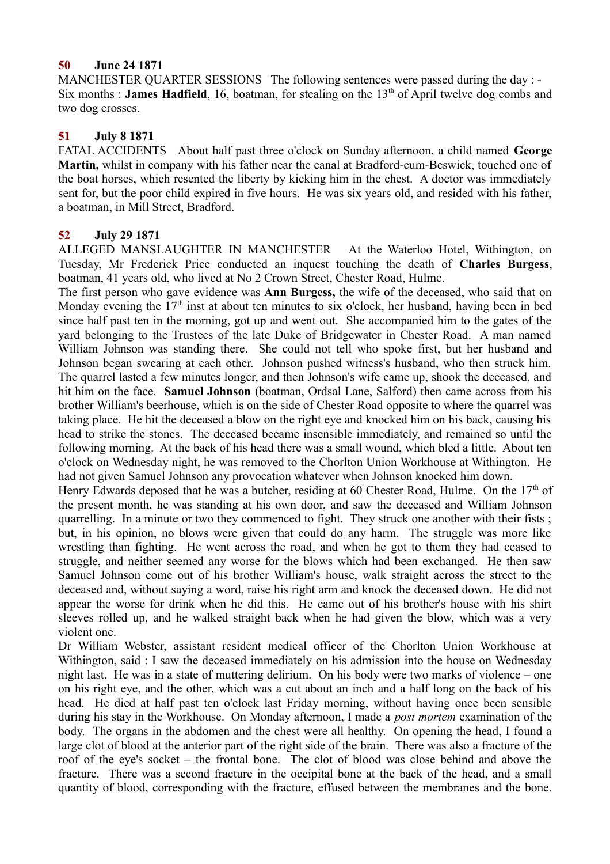## **50 June 24 1871**

MANCHESTER QUARTER SESSIONS The following sentences were passed during the day : -Six months : **James Hadfield**, 16, boatman, for stealing on the  $13<sup>th</sup>$  of April twelve dog combs and two dog crosses.

## **51 July 8 1871**

FATAL ACCIDENTS About half past three o'clock on Sunday afternoon, a child named **George Martin,** whilst in company with his father near the canal at Bradford-cum-Beswick, touched one of the boat horses, which resented the liberty by kicking him in the chest. A doctor was immediately sent for, but the poor child expired in five hours. He was six years old, and resided with his father, a boatman, in Mill Street, Bradford.

## **52 July 29 1871**

ALLEGED MANSLAUGHTER IN MANCHESTER At the Waterloo Hotel, Withington, on Tuesday, Mr Frederick Price conducted an inquest touching the death of **Charles Burgess**, boatman, 41 years old, who lived at No 2 Crown Street, Chester Road, Hulme.

The first person who gave evidence was **Ann Burgess,** the wife of the deceased, who said that on Monday evening the  $17<sup>th</sup>$  inst at about ten minutes to six o'clock, her husband, having been in bed since half past ten in the morning, got up and went out. She accompanied him to the gates of the yard belonging to the Trustees of the late Duke of Bridgewater in Chester Road. A man named William Johnson was standing there. She could not tell who spoke first, but her husband and Johnson began swearing at each other. Johnson pushed witness's husband, who then struck him. The quarrel lasted a few minutes longer, and then Johnson's wife came up, shook the deceased, and hit him on the face. **Samuel Johnson** (boatman, Ordsal Lane, Salford) then came across from his brother William's beerhouse, which is on the side of Chester Road opposite to where the quarrel was taking place. He hit the deceased a blow on the right eye and knocked him on his back, causing his head to strike the stones. The deceased became insensible immediately, and remained so until the following morning. At the back of his head there was a small wound, which bled a little. About ten o'clock on Wednesday night, he was removed to the Chorlton Union Workhouse at Withington. He had not given Samuel Johnson any provocation whatever when Johnson knocked him down.

Henry Edwards deposed that he was a butcher, residing at 60 Chester Road, Hulme. On the  $17<sup>th</sup>$  of the present month, he was standing at his own door, and saw the deceased and William Johnson quarrelling. In a minute or two they commenced to fight. They struck one another with their fists ; but, in his opinion, no blows were given that could do any harm. The struggle was more like wrestling than fighting. He went across the road, and when he got to them they had ceased to struggle, and neither seemed any worse for the blows which had been exchanged. He then saw Samuel Johnson come out of his brother William's house, walk straight across the street to the deceased and, without saying a word, raise his right arm and knock the deceased down. He did not appear the worse for drink when he did this. He came out of his brother's house with his shirt sleeves rolled up, and he walked straight back when he had given the blow, which was a very violent one.

Dr William Webster, assistant resident medical officer of the Chorlton Union Workhouse at Withington, said : I saw the deceased immediately on his admission into the house on Wednesday night last. He was in a state of muttering delirium. On his body were two marks of violence – one on his right eye, and the other, which was a cut about an inch and a half long on the back of his head. He died at half past ten o'clock last Friday morning, without having once been sensible during his stay in the Workhouse. On Monday afternoon, I made a *post mortem* examination of the body. The organs in the abdomen and the chest were all healthy. On opening the head, I found a large clot of blood at the anterior part of the right side of the brain. There was also a fracture of the roof of the eye's socket – the frontal bone. The clot of blood was close behind and above the fracture. There was a second fracture in the occipital bone at the back of the head, and a small quantity of blood, corresponding with the fracture, effused between the membranes and the bone.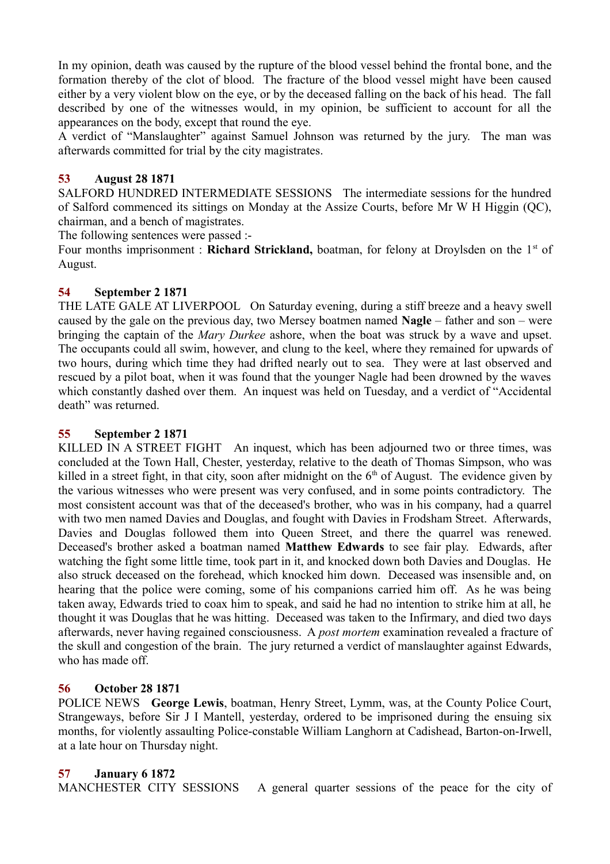In my opinion, death was caused by the rupture of the blood vessel behind the frontal bone, and the formation thereby of the clot of blood. The fracture of the blood vessel might have been caused either by a very violent blow on the eye, or by the deceased falling on the back of his head. The fall described by one of the witnesses would, in my opinion, be sufficient to account for all the appearances on the body, except that round the eye.

A verdict of "Manslaughter" against Samuel Johnson was returned by the jury. The man was afterwards committed for trial by the city magistrates.

# **53 August 28 1871**

SALFORD HUNDRED INTERMEDIATE SESSIONS The intermediate sessions for the hundred of Salford commenced its sittings on Monday at the Assize Courts, before Mr W H Higgin (QC), chairman, and a bench of magistrates.

The following sentences were passed :-

Four months imprisonment : **Richard Strickland,** boatman, for felony at Droylsden on the 1<sup>st</sup> of August.

## **54 September 2 1871**

THE LATE GALE AT LIVERPOOL On Saturday evening, during a stiff breeze and a heavy swell caused by the gale on the previous day, two Mersey boatmen named **Nagle** – father and son – were bringing the captain of the *Mary Durkee* ashore, when the boat was struck by a wave and upset. The occupants could all swim, however, and clung to the keel, where they remained for upwards of two hours, during which time they had drifted nearly out to sea. They were at last observed and rescued by a pilot boat, when it was found that the younger Nagle had been drowned by the waves which constantly dashed over them. An inquest was held on Tuesday, and a verdict of "Accidental death" was returned.

## **55 September 2 1871**

KILLED IN A STREET FIGHT An inquest, which has been adjourned two or three times, was concluded at the Town Hall, Chester, yesterday, relative to the death of Thomas Simpson, who was killed in a street fight, in that city, soon after midnight on the  $6<sup>th</sup>$  of August. The evidence given by the various witnesses who were present was very confused, and in some points contradictory. The most consistent account was that of the deceased's brother, who was in his company, had a quarrel with two men named Davies and Douglas, and fought with Davies in Frodsham Street. Afterwards, Davies and Douglas followed them into Queen Street, and there the quarrel was renewed. Deceased's brother asked a boatman named **Matthew Edwards** to see fair play. Edwards, after watching the fight some little time, took part in it, and knocked down both Davies and Douglas. He also struck deceased on the forehead, which knocked him down. Deceased was insensible and, on hearing that the police were coming, some of his companions carried him off. As he was being taken away, Edwards tried to coax him to speak, and said he had no intention to strike him at all, he thought it was Douglas that he was hitting. Deceased was taken to the Infirmary, and died two days afterwards, never having regained consciousness. A *post mortem* examination revealed a fracture of the skull and congestion of the brain. The jury returned a verdict of manslaughter against Edwards, who has made off.

## **56 October 28 1871**

POLICE NEWS **George Lewis**, boatman, Henry Street, Lymm, was, at the County Police Court, Strangeways, before Sir J I Mantell, yesterday, ordered to be imprisoned during the ensuing six months, for violently assaulting Police-constable William Langhorn at Cadishead, Barton-on-Irwell, at a late hour on Thursday night.

## **57 January 6 1872**

MANCHESTER CITY SESSIONS A general quarter sessions of the peace for the city of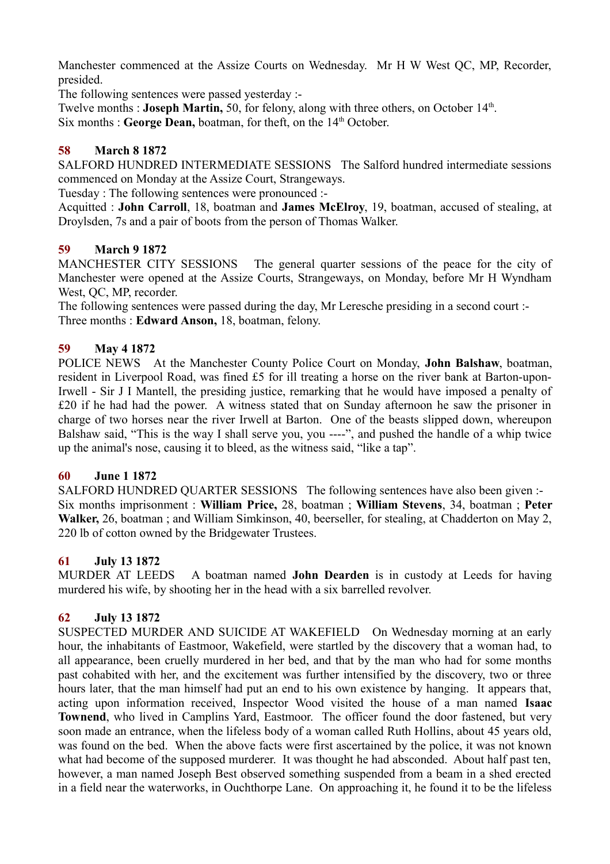Manchester commenced at the Assize Courts on Wednesday. Mr H W West QC, MP, Recorder, presided.

The following sentences were passed yesterday :-

Twelve months : **Joseph Martin**, 50, for felony, along with three others, on October 14<sup>th</sup>. Six months : **George Dean,** boatman, for theft, on the 14<sup>th</sup> October.

# **58 March 8 1872**

SALFORD HUNDRED INTERMEDIATE SESSIONS The Salford hundred intermediate sessions commenced on Monday at the Assize Court, Strangeways.

Tuesday : The following sentences were pronounced :-

Acquitted : **John Carroll**, 18, boatman and **James McElroy**, 19, boatman, accused of stealing, at Droylsden, 7s and a pair of boots from the person of Thomas Walker.

## **59 March 9 1872**

MANCHESTER CITY SESSIONS The general quarter sessions of the peace for the city of Manchester were opened at the Assize Courts, Strangeways, on Monday, before Mr H Wyndham West, QC, MP, recorder.

The following sentences were passed during the day, Mr Leresche presiding in a second court :-Three months : **Edward Anson,** 18, boatman, felony.

# **59 May 4 1872**

POLICE NEWS At the Manchester County Police Court on Monday, **John Balshaw**, boatman, resident in Liverpool Road, was fined £5 for ill treating a horse on the river bank at Barton-upon-Irwell - Sir J I Mantell, the presiding justice, remarking that he would have imposed a penalty of £20 if he had had the power. A witness stated that on Sunday afternoon he saw the prisoner in charge of two horses near the river Irwell at Barton. One of the beasts slipped down, whereupon Balshaw said, "This is the way I shall serve you, you ----", and pushed the handle of a whip twice up the animal's nose, causing it to bleed, as the witness said, "like a tap".

## **60 June 1 1872**

SALFORD HUNDRED QUARTER SESSIONS The following sentences have also been given :- Six months imprisonment : **William Price,** 28, boatman ; **William Stevens**, 34, boatman ; **Peter Walker,** 26, boatman ; and William Simkinson, 40, beerseller, for stealing, at Chadderton on May 2, 220 lb of cotton owned by the Bridgewater Trustees.

## **61 July 13 1872**

MURDER AT LEEDS A boatman named **John Dearden** is in custody at Leeds for having murdered his wife, by shooting her in the head with a six barrelled revolver.

# **62 July 13 1872**

SUSPECTED MURDER AND SUICIDE AT WAKEFIELD On Wednesday morning at an early hour, the inhabitants of Eastmoor, Wakefield, were startled by the discovery that a woman had, to all appearance, been cruelly murdered in her bed, and that by the man who had for some months past cohabited with her, and the excitement was further intensified by the discovery, two or three hours later, that the man himself had put an end to his own existence by hanging. It appears that, acting upon information received, Inspector Wood visited the house of a man named **Isaac Townend**, who lived in Camplins Yard, Eastmoor. The officer found the door fastened, but very soon made an entrance, when the lifeless body of a woman called Ruth Hollins, about 45 years old, was found on the bed. When the above facts were first ascertained by the police, it was not known what had become of the supposed murderer. It was thought he had absconded. About half past ten, however, a man named Joseph Best observed something suspended from a beam in a shed erected in a field near the waterworks, in Ouchthorpe Lane. On approaching it, he found it to be the lifeless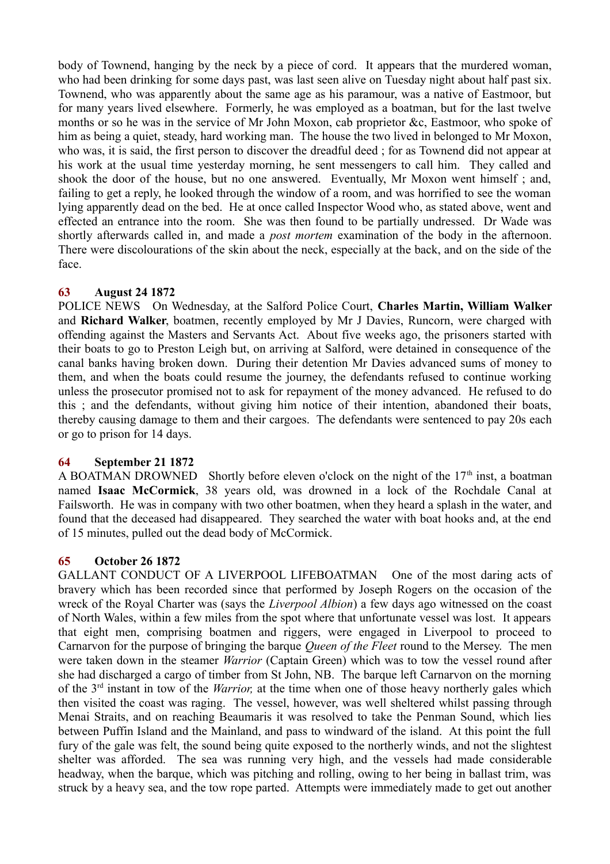body of Townend, hanging by the neck by a piece of cord. It appears that the murdered woman, who had been drinking for some days past, was last seen alive on Tuesday night about half past six. Townend, who was apparently about the same age as his paramour, was a native of Eastmoor, but for many years lived elsewhere. Formerly, he was employed as a boatman, but for the last twelve months or so he was in the service of Mr John Moxon, cab proprietor &c, Eastmoor, who spoke of him as being a quiet, steady, hard working man. The house the two lived in belonged to Mr Moxon, who was, it is said, the first person to discover the dreadful deed ; for as Townend did not appear at his work at the usual time yesterday morning, he sent messengers to call him. They called and shook the door of the house, but no one answered. Eventually, Mr Moxon went himself ; and, failing to get a reply, he looked through the window of a room, and was horrified to see the woman lying apparently dead on the bed. He at once called Inspector Wood who, as stated above, went and effected an entrance into the room. She was then found to be partially undressed. Dr Wade was shortly afterwards called in, and made a *post mortem* examination of the body in the afternoon. There were discolourations of the skin about the neck, especially at the back, and on the side of the face.

## **63 August 24 1872**

POLICE NEWS On Wednesday, at the Salford Police Court, **Charles Martin, William Walker** and **Richard Walker**, boatmen, recently employed by Mr J Davies, Runcorn, were charged with offending against the Masters and Servants Act. About five weeks ago, the prisoners started with their boats to go to Preston Leigh but, on arriving at Salford, were detained in consequence of the canal banks having broken down. During their detention Mr Davies advanced sums of money to them, and when the boats could resume the journey, the defendants refused to continue working unless the prosecutor promised not to ask for repayment of the money advanced. He refused to do this ; and the defendants, without giving him notice of their intention, abandoned their boats, thereby causing damage to them and their cargoes. The defendants were sentenced to pay 20s each or go to prison for 14 days.

## **64 September 21 1872**

A BOATMAN DROWNED Shortly before eleven o'clock on the night of the  $17<sup>th</sup>$  inst, a boatman named **Isaac McCormick**, 38 years old, was drowned in a lock of the Rochdale Canal at Failsworth. He was in company with two other boatmen, when they heard a splash in the water, and found that the deceased had disappeared. They searched the water with boat hooks and, at the end of 15 minutes, pulled out the dead body of McCormick.

## **65 October 26 1872**

GALLANT CONDUCT OF A LIVERPOOL LIFEBOATMAN One of the most daring acts of bravery which has been recorded since that performed by Joseph Rogers on the occasion of the wreck of the Royal Charter was (says the *Liverpool Albion*) a few days ago witnessed on the coast of North Wales, within a few miles from the spot where that unfortunate vessel was lost. It appears that eight men, comprising boatmen and riggers, were engaged in Liverpool to proceed to Carnarvon for the purpose of bringing the barque *Queen of the Fleet* round to the Mersey. The men were taken down in the steamer *Warrior* (Captain Green) which was to tow the vessel round after she had discharged a cargo of timber from St John, NB. The barque left Carnarvon on the morning of the 3rd instant in tow of the *Warrior,* at the time when one of those heavy northerly gales which then visited the coast was raging. The vessel, however, was well sheltered whilst passing through Menai Straits, and on reaching Beaumaris it was resolved to take the Penman Sound, which lies between Puffin Island and the Mainland, and pass to windward of the island. At this point the full fury of the gale was felt, the sound being quite exposed to the northerly winds, and not the slightest shelter was afforded. The sea was running very high, and the vessels had made considerable headway, when the barque, which was pitching and rolling, owing to her being in ballast trim, was struck by a heavy sea, and the tow rope parted. Attempts were immediately made to get out another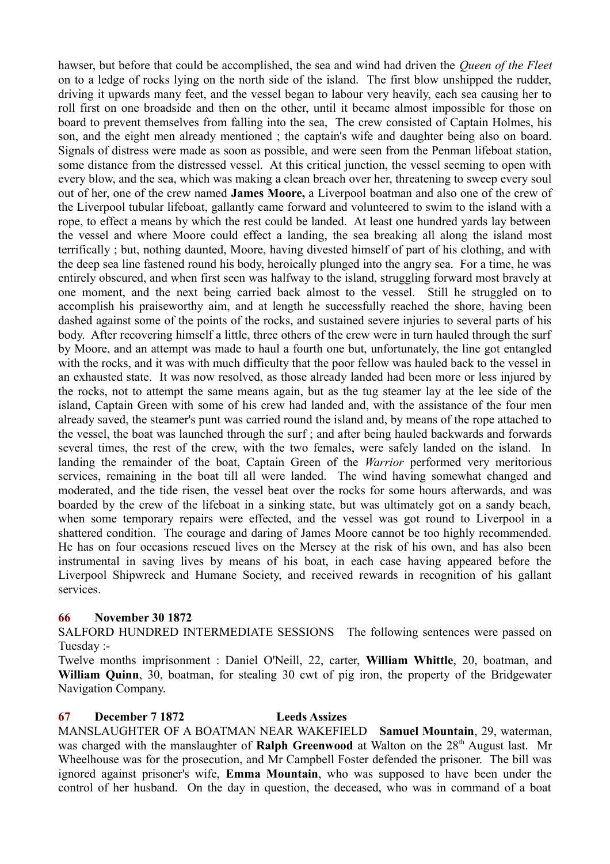hawser, but before that could be accomplished, the sea and wind had driven the *Queen of the Fleet* on to a ledge of rocks lying on the north side of the island. The first blow unshipped the rudder, driving it upwards many feet, and the vessel began to labour very heavily, each sea causing her to roll first on one broadside and then on the other, until it became almost impossible for those on board to prevent themselves from falling into the sea, The crew consisted of Captain Holmes, his son, and the eight men already mentioned ; the captain's wife and daughter being also on board. Signals of distress were made as soon as possible, and were seen from the Penman lifeboat station, some distance from the distressed vessel. At this critical junction, the vessel seeming to open with every blow, and the sea, which was making a clean breach over her, threatening to sweep every soul out of her, one of the crew named **James Moore,** a Liverpool boatman and also one of the crew of the Liverpool tubular lifeboat, gallantly came forward and volunteered to swim to the island with a rope, to effect a means by which the rest could be landed. At least one hundred yards lay between the vessel and where Moore could effect a landing, the sea breaking all along the island most terrifically ; but, nothing daunted, Moore, having divested himself of part of his clothing, and with the deep sea line fastened round his body, heroically plunged into the angry sea. For a time, he was entirely obscured, and when first seen was halfway to the island, struggling forward most bravely at one moment, and the next being carried back almost to the vessel. Still he struggled on to accomplish his praiseworthy aim, and at length he successfully reached the shore, having been dashed against some of the points of the rocks, and sustained severe injuries to several parts of his body. After recovering himself a little, three others of the crew were in turn hauled through the surf by Moore, and an attempt was made to haul a fourth one but, unfortunately, the line got entangled with the rocks, and it was with much difficulty that the poor fellow was hauled back to the vessel in an exhausted state. It was now resolved, as those already landed had been more or less injured by the rocks, not to attempt the same means again, but as the tug steamer lay at the lee side of the island, Captain Green with some of his crew had landed and, with the assistance of the four men already saved, the steamer's punt was carried round the island and, by means of the rope attached to the vessel, the boat was launched through the surf ; and after being hauled backwards and forwards several times, the rest of the crew, with the two females, were safely landed on the island. In landing the remainder of the boat, Captain Green of the *Warrior* performed very meritorious services, remaining in the boat till all were landed. The wind having somewhat changed and moderated, and the tide risen, the vessel beat over the rocks for some hours afterwards, and was boarded by the crew of the lifeboat in a sinking state, but was ultimately got on a sandy beach, when some temporary repairs were effected, and the vessel was got round to Liverpool in a shattered condition. The courage and daring of James Moore cannot be too highly recommended. He has on four occasions rescued lives on the Mersey at the risk of his own, and has also been instrumental in saving lives by means of his boat, in each case having appeared before the Liverpool Shipwreck and Humane Society, and received rewards in recognition of his gallant services.

## **66 November 30 1872**

SALFORD HUNDRED INTERMEDIATE SESSIONS The following sentences were passed on Tuesday :-

Twelve months imprisonment : Daniel O'Neill, 22, carter, **William Whittle**, 20, boatman, and **William Quinn**, 30, boatman, for stealing 30 cwt of pig iron, the property of the Bridgewater Navigation Company.

#### **67 December 7 1872 Leeds Assizes**

MANSLAUGHTER OF A BOATMAN NEAR WAKEFIELD **Samuel Mountain**, 29, waterman, was charged with the manslaughter of **Ralph Greenwood** at Walton on the 28<sup>th</sup> August last. Mr Wheelhouse was for the prosecution, and Mr Campbell Foster defended the prisoner. The bill was ignored against prisoner's wife, **Emma Mountain**, who was supposed to have been under the control of her husband. On the day in question, the deceased, who was in command of a boat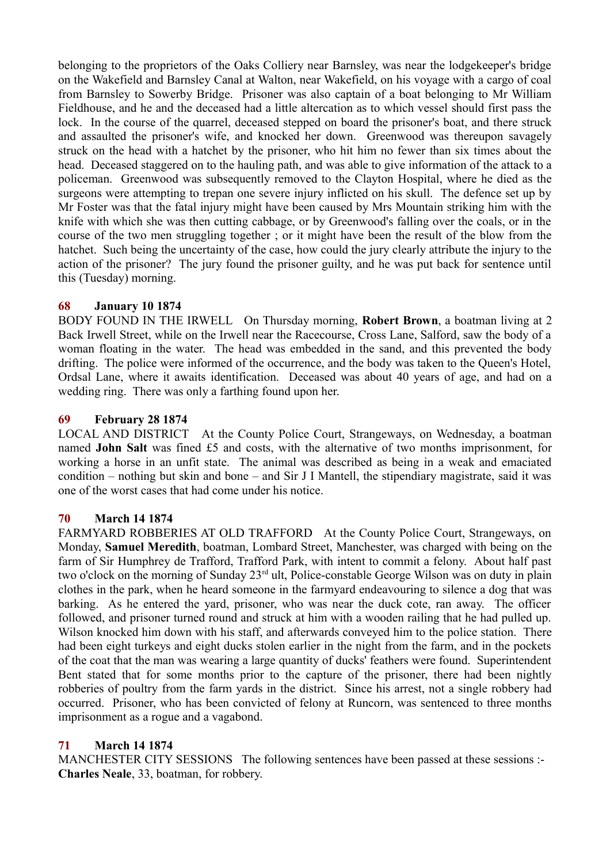belonging to the proprietors of the Oaks Colliery near Barnsley, was near the lodgekeeper's bridge on the Wakefield and Barnsley Canal at Walton, near Wakefield, on his voyage with a cargo of coal from Barnsley to Sowerby Bridge. Prisoner was also captain of a boat belonging to Mr William Fieldhouse, and he and the deceased had a little altercation as to which vessel should first pass the lock. In the course of the quarrel, deceased stepped on board the prisoner's boat, and there struck and assaulted the prisoner's wife, and knocked her down. Greenwood was thereupon savagely struck on the head with a hatchet by the prisoner, who hit him no fewer than six times about the head. Deceased staggered on to the hauling path, and was able to give information of the attack to a policeman. Greenwood was subsequently removed to the Clayton Hospital, where he died as the surgeons were attempting to trepan one severe injury inflicted on his skull. The defence set up by Mr Foster was that the fatal injury might have been caused by Mrs Mountain striking him with the knife with which she was then cutting cabbage, or by Greenwood's falling over the coals, or in the course of the two men struggling together ; or it might have been the result of the blow from the hatchet. Such being the uncertainty of the case, how could the jury clearly attribute the injury to the action of the prisoner? The jury found the prisoner guilty, and he was put back for sentence until this (Tuesday) morning.

## **68 January 10 1874**

BODY FOUND IN THE IRWELL On Thursday morning, **Robert Brown**, a boatman living at 2 Back Irwell Street, while on the Irwell near the Racecourse, Cross Lane, Salford, saw the body of a woman floating in the water. The head was embedded in the sand, and this prevented the body drifting. The police were informed of the occurrence, and the body was taken to the Queen's Hotel, Ordsal Lane, where it awaits identification. Deceased was about 40 years of age, and had on a wedding ring. There was only a farthing found upon her.

## **69 February 28 1874**

LOCAL AND DISTRICT At the County Police Court, Strangeways, on Wednesday, a boatman named **John Salt** was fined £5 and costs, with the alternative of two months imprisonment, for working a horse in an unfit state. The animal was described as being in a weak and emaciated condition – nothing but skin and bone – and Sir J I Mantell, the stipendiary magistrate, said it was one of the worst cases that had come under his notice.

## **70 March 14 1874**

FARMYARD ROBBERIES AT OLD TRAFFORD At the County Police Court, Strangeways, on Monday, **Samuel Meredith**, boatman, Lombard Street, Manchester, was charged with being on the farm of Sir Humphrey de Trafford, Trafford Park, with intent to commit a felony. About half past two o'clock on the morning of Sunday 23<sup>rd</sup> ult, Police-constable George Wilson was on duty in plain clothes in the park, when he heard someone in the farmyard endeavouring to silence a dog that was barking. As he entered the yard, prisoner, who was near the duck cote, ran away. The officer followed, and prisoner turned round and struck at him with a wooden railing that he had pulled up. Wilson knocked him down with his staff, and afterwards conveyed him to the police station. There had been eight turkeys and eight ducks stolen earlier in the night from the farm, and in the pockets of the coat that the man was wearing a large quantity of ducks' feathers were found. Superintendent Bent stated that for some months prior to the capture of the prisoner, there had been nightly robberies of poultry from the farm yards in the district. Since his arrest, not a single robbery had occurred. Prisoner, who has been convicted of felony at Runcorn, was sentenced to three months imprisonment as a rogue and a vagabond.

## **71 March 14 1874**

MANCHESTER CITY SESSIONS The following sentences have been passed at these sessions :-**Charles Neale**, 33, boatman, for robbery.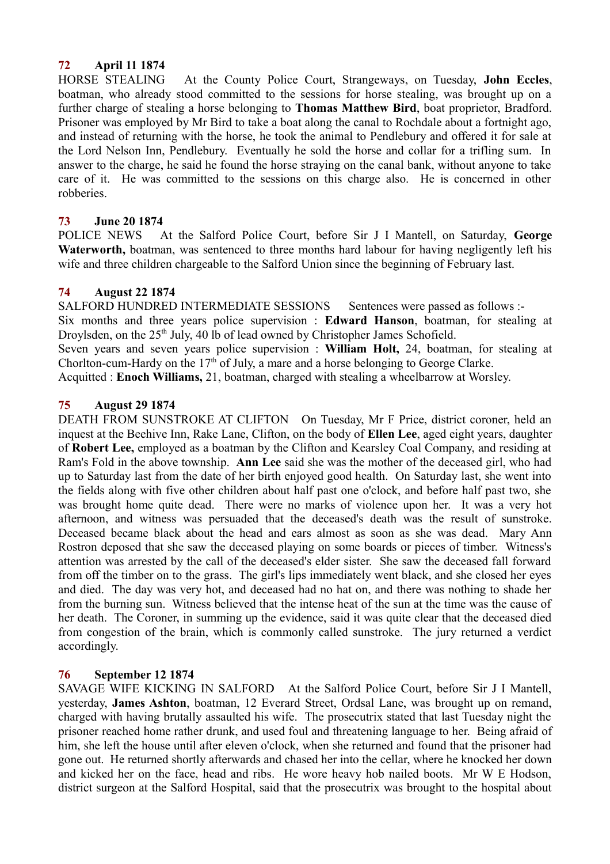# **72 April 11 1874**

HORSE STEALING At the County Police Court, Strangeways, on Tuesday, **John Eccles**, boatman, who already stood committed to the sessions for horse stealing, was brought up on a further charge of stealing a horse belonging to **Thomas Matthew Bird**, boat proprietor, Bradford. Prisoner was employed by Mr Bird to take a boat along the canal to Rochdale about a fortnight ago, and instead of returning with the horse, he took the animal to Pendlebury and offered it for sale at the Lord Nelson Inn, Pendlebury. Eventually he sold the horse and collar for a trifling sum. In answer to the charge, he said he found the horse straying on the canal bank, without anyone to take care of it. He was committed to the sessions on this charge also. He is concerned in other robberies.

# **73 June 20 1874**

POLICE NEWS At the Salford Police Court, before Sir J I Mantell, on Saturday, **George Waterworth,** boatman, was sentenced to three months hard labour for having negligently left his wife and three children chargeable to the Salford Union since the beginning of February last.

# **74 August 22 1874**

SALFORD HUNDRED INTERMEDIATE SESSIONS Sentences were passed as follows :-

Six months and three years police supervision : **Edward Hanson**, boatman, for stealing at Droylsden, on the 25<sup>th</sup> July, 40 lb of lead owned by Christopher James Schofield.

Seven years and seven years police supervision : **William Holt,** 24, boatman, for stealing at Chorlton-cum-Hardy on the  $17<sup>th</sup>$  of July, a mare and a horse belonging to George Clarke.

Acquitted : **Enoch Williams,** 21, boatman, charged with stealing a wheelbarrow at Worsley.

# **75 August 29 1874**

DEATH FROM SUNSTROKE AT CLIFTON On Tuesday, Mr F Price, district coroner, held an inquest at the Beehive Inn, Rake Lane, Clifton, on the body of **Ellen Lee**, aged eight years, daughter of **Robert Lee,** employed as a boatman by the Clifton and Kearsley Coal Company, and residing at Ram's Fold in the above township. **Ann Lee** said she was the mother of the deceased girl, who had up to Saturday last from the date of her birth enjoyed good health. On Saturday last, she went into the fields along with five other children about half past one o'clock, and before half past two, she was brought home quite dead. There were no marks of violence upon her. It was a very hot afternoon, and witness was persuaded that the deceased's death was the result of sunstroke. Deceased became black about the head and ears almost as soon as she was dead. Mary Ann Rostron deposed that she saw the deceased playing on some boards or pieces of timber. Witness's attention was arrested by the call of the deceased's elder sister. She saw the deceased fall forward from off the timber on to the grass. The girl's lips immediately went black, and she closed her eyes and died. The day was very hot, and deceased had no hat on, and there was nothing to shade her from the burning sun. Witness believed that the intense heat of the sun at the time was the cause of her death. The Coroner, in summing up the evidence, said it was quite clear that the deceased died from congestion of the brain, which is commonly called sunstroke. The jury returned a verdict accordingly.

## **76 September 12 1874**

SAVAGE WIFE KICKING IN SALFORD At the Salford Police Court, before Sir J I Mantell, yesterday, **James Ashton**, boatman, 12 Everard Street, Ordsal Lane, was brought up on remand, charged with having brutally assaulted his wife. The prosecutrix stated that last Tuesday night the prisoner reached home rather drunk, and used foul and threatening language to her. Being afraid of him, she left the house until after eleven o'clock, when she returned and found that the prisoner had gone out. He returned shortly afterwards and chased her into the cellar, where he knocked her down and kicked her on the face, head and ribs. He wore heavy hob nailed boots. Mr W E Hodson, district surgeon at the Salford Hospital, said that the prosecutrix was brought to the hospital about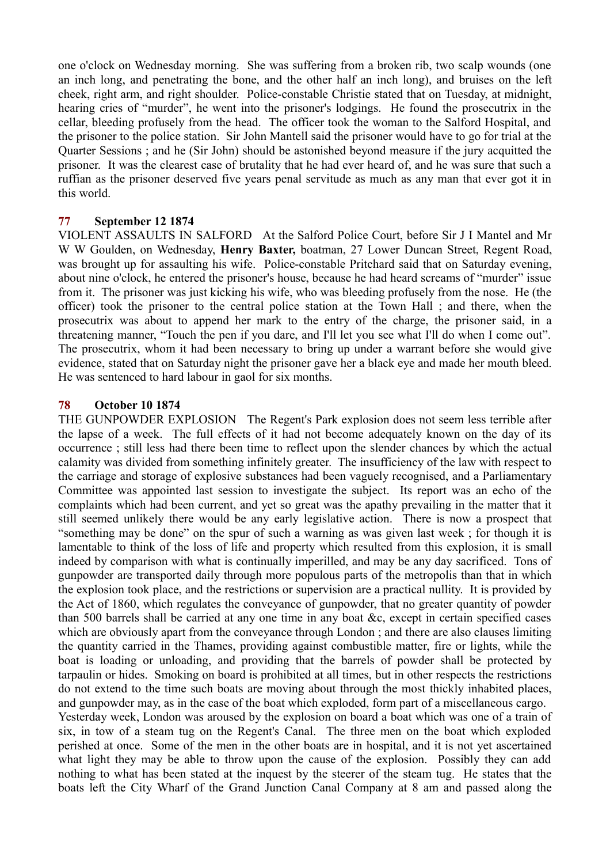one o'clock on Wednesday morning. She was suffering from a broken rib, two scalp wounds (one an inch long, and penetrating the bone, and the other half an inch long), and bruises on the left cheek, right arm, and right shoulder. Police-constable Christie stated that on Tuesday, at midnight, hearing cries of "murder", he went into the prisoner's lodgings. He found the prosecutrix in the cellar, bleeding profusely from the head. The officer took the woman to the Salford Hospital, and the prisoner to the police station. Sir John Mantell said the prisoner would have to go for trial at the Quarter Sessions ; and he (Sir John) should be astonished beyond measure if the jury acquitted the prisoner. It was the clearest case of brutality that he had ever heard of, and he was sure that such a ruffian as the prisoner deserved five years penal servitude as much as any man that ever got it in this world.

## **77 September 12 1874**

VIOLENT ASSAULTS IN SALFORD At the Salford Police Court, before Sir J I Mantel and Mr W W Goulden, on Wednesday, **Henry Baxter,** boatman, 27 Lower Duncan Street, Regent Road, was brought up for assaulting his wife. Police-constable Pritchard said that on Saturday evening, about nine o'clock, he entered the prisoner's house, because he had heard screams of "murder" issue from it. The prisoner was just kicking his wife, who was bleeding profusely from the nose. He (the officer) took the prisoner to the central police station at the Town Hall ; and there, when the prosecutrix was about to append her mark to the entry of the charge, the prisoner said, in a threatening manner, "Touch the pen if you dare, and I'll let you see what I'll do when I come out". The prosecutrix, whom it had been necessary to bring up under a warrant before she would give evidence, stated that on Saturday night the prisoner gave her a black eye and made her mouth bleed. He was sentenced to hard labour in gaol for six months.

## **78 October 10 1874**

THE GUNPOWDER EXPLOSION The Regent's Park explosion does not seem less terrible after the lapse of a week. The full effects of it had not become adequately known on the day of its occurrence ; still less had there been time to reflect upon the slender chances by which the actual calamity was divided from something infinitely greater. The insufficiency of the law with respect to the carriage and storage of explosive substances had been vaguely recognised, and a Parliamentary Committee was appointed last session to investigate the subject. Its report was an echo of the complaints which had been current, and yet so great was the apathy prevailing in the matter that it still seemed unlikely there would be any early legislative action. There is now a prospect that "something may be done" on the spur of such a warning as was given last week ; for though it is lamentable to think of the loss of life and property which resulted from this explosion, it is small indeed by comparison with what is continually imperilled, and may be any day sacrificed. Tons of gunpowder are transported daily through more populous parts of the metropolis than that in which the explosion took place, and the restrictions or supervision are a practical nullity. It is provided by the Act of 1860, which regulates the conveyance of gunpowder, that no greater quantity of powder than 500 barrels shall be carried at any one time in any boat &c, except in certain specified cases which are obviously apart from the conveyance through London ; and there are also clauses limiting the quantity carried in the Thames, providing against combustible matter, fire or lights, while the boat is loading or unloading, and providing that the barrels of powder shall be protected by tarpaulin or hides. Smoking on board is prohibited at all times, but in other respects the restrictions do not extend to the time such boats are moving about through the most thickly inhabited places, and gunpowder may, as in the case of the boat which exploded, form part of a miscellaneous cargo. Yesterday week, London was aroused by the explosion on board a boat which was one of a train of six, in tow of a steam tug on the Regent's Canal. The three men on the boat which exploded perished at once. Some of the men in the other boats are in hospital, and it is not yet ascertained what light they may be able to throw upon the cause of the explosion. Possibly they can add nothing to what has been stated at the inquest by the steerer of the steam tug. He states that the

boats left the City Wharf of the Grand Junction Canal Company at 8 am and passed along the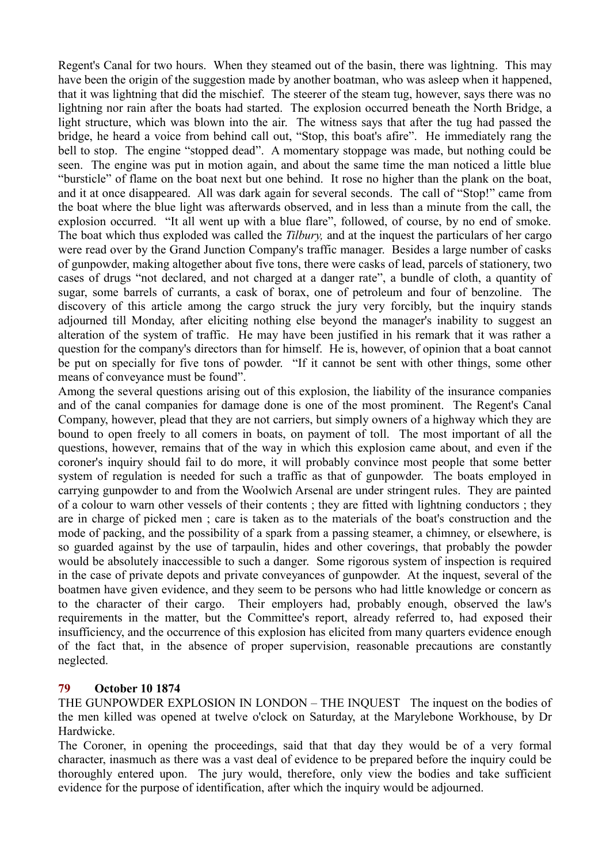Regent's Canal for two hours. When they steamed out of the basin, there was lightning. This may have been the origin of the suggestion made by another boatman, who was asleep when it happened, that it was lightning that did the mischief. The steerer of the steam tug, however, says there was no lightning nor rain after the boats had started. The explosion occurred beneath the North Bridge, a light structure, which was blown into the air. The witness says that after the tug had passed the bridge, he heard a voice from behind call out, "Stop, this boat's afire". He immediately rang the bell to stop. The engine "stopped dead". A momentary stoppage was made, but nothing could be seen. The engine was put in motion again, and about the same time the man noticed a little blue "bursticle" of flame on the boat next but one behind. It rose no higher than the plank on the boat, and it at once disappeared. All was dark again for several seconds. The call of "Stop!" came from the boat where the blue light was afterwards observed, and in less than a minute from the call, the explosion occurred. "It all went up with a blue flare", followed, of course, by no end of smoke. The boat which thus exploded was called the *Tilbury,* and at the inquest the particulars of her cargo were read over by the Grand Junction Company's traffic manager. Besides a large number of casks of gunpowder, making altogether about five tons, there were casks of lead, parcels of stationery, two cases of drugs "not declared, and not charged at a danger rate", a bundle of cloth, a quantity of sugar, some barrels of currants, a cask of borax, one of petroleum and four of benzoline. The discovery of this article among the cargo struck the jury very forcibly, but the inquiry stands adjourned till Monday, after eliciting nothing else beyond the manager's inability to suggest an alteration of the system of traffic. He may have been justified in his remark that it was rather a question for the company's directors than for himself. He is, however, of opinion that a boat cannot be put on specially for five tons of powder. "If it cannot be sent with other things, some other means of conveyance must be found".

Among the several questions arising out of this explosion, the liability of the insurance companies and of the canal companies for damage done is one of the most prominent. The Regent's Canal Company, however, plead that they are not carriers, but simply owners of a highway which they are bound to open freely to all comers in boats, on payment of toll. The most important of all the questions, however, remains that of the way in which this explosion came about, and even if the coroner's inquiry should fail to do more, it will probably convince most people that some better system of regulation is needed for such a traffic as that of gunpowder. The boats employed in carrying gunpowder to and from the Woolwich Arsenal are under stringent rules. They are painted of a colour to warn other vessels of their contents ; they are fitted with lightning conductors ; they are in charge of picked men ; care is taken as to the materials of the boat's construction and the mode of packing, and the possibility of a spark from a passing steamer, a chimney, or elsewhere, is so guarded against by the use of tarpaulin, hides and other coverings, that probably the powder would be absolutely inaccessible to such a danger. Some rigorous system of inspection is required in the case of private depots and private conveyances of gunpowder. At the inquest, several of the boatmen have given evidence, and they seem to be persons who had little knowledge or concern as to the character of their cargo. Their employers had, probably enough, observed the law's requirements in the matter, but the Committee's report, already referred to, had exposed their insufficiency, and the occurrence of this explosion has elicited from many quarters evidence enough of the fact that, in the absence of proper supervision, reasonable precautions are constantly neglected.

## **79 October 10 1874**

THE GUNPOWDER EXPLOSION IN LONDON – THE INQUEST The inquest on the bodies of the men killed was opened at twelve o'clock on Saturday, at the Marylebone Workhouse, by Dr Hardwicke.

The Coroner, in opening the proceedings, said that that day they would be of a very formal character, inasmuch as there was a vast deal of evidence to be prepared before the inquiry could be thoroughly entered upon. The jury would, therefore, only view the bodies and take sufficient evidence for the purpose of identification, after which the inquiry would be adjourned.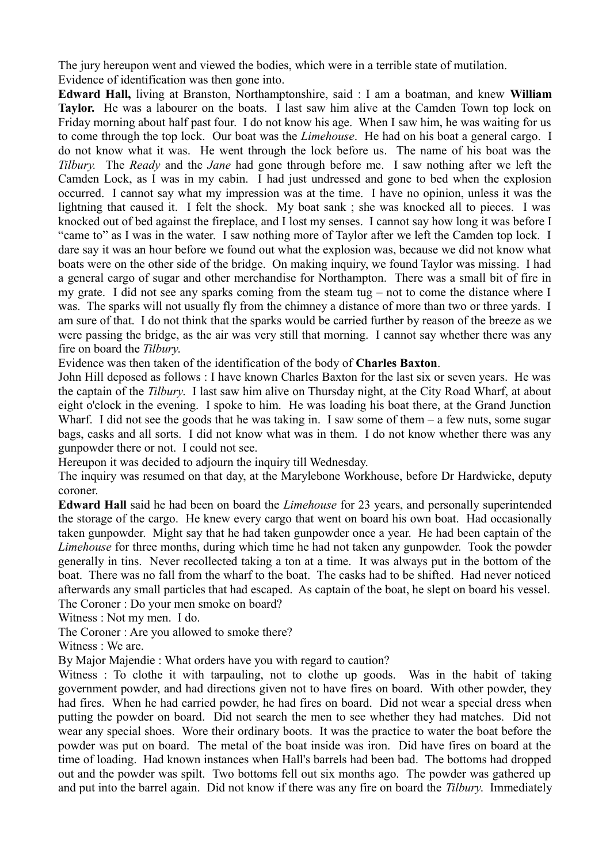The jury hereupon went and viewed the bodies, which were in a terrible state of mutilation. Evidence of identification was then gone into.

**Edward Hall,** living at Branston, Northamptonshire, said : I am a boatman, and knew **William** Taylor. He was a labourer on the boats. I last saw him alive at the Camden Town top lock on Friday morning about half past four. I do not know his age. When I saw him, he was waiting for us to come through the top lock. Our boat was the *Limehouse*. He had on his boat a general cargo. I do not know what it was. He went through the lock before us. The name of his boat was the *Tilbury.* The *Ready* and the *Jane* had gone through before me. I saw nothing after we left the Camden Lock, as I was in my cabin. I had just undressed and gone to bed when the explosion occurred. I cannot say what my impression was at the time. I have no opinion, unless it was the lightning that caused it. I felt the shock. My boat sank ; she was knocked all to pieces. I was knocked out of bed against the fireplace, and I lost my senses. I cannot say how long it was before I "came to" as I was in the water. I saw nothing more of Taylor after we left the Camden top lock. I dare say it was an hour before we found out what the explosion was, because we did not know what boats were on the other side of the bridge. On making inquiry, we found Taylor was missing. I had a general cargo of sugar and other merchandise for Northampton. There was a small bit of fire in my grate. I did not see any sparks coming from the steam tug – not to come the distance where I was. The sparks will not usually fly from the chimney a distance of more than two or three yards. I am sure of that. I do not think that the sparks would be carried further by reason of the breeze as we were passing the bridge, as the air was very still that morning. I cannot say whether there was any fire on board the *Tilbury*.

Evidence was then taken of the identification of the body of **Charles Baxton**.

John Hill deposed as follows : I have known Charles Baxton for the last six or seven years. He was the captain of the *Tilbury*. I last saw him alive on Thursday night, at the City Road Wharf, at about eight o'clock in the evening. I spoke to him. He was loading his boat there, at the Grand Junction Wharf. I did not see the goods that he was taking in. I saw some of them  $-$  a few nuts, some sugar bags, casks and all sorts. I did not know what was in them. I do not know whether there was any gunpowder there or not. I could not see.

Hereupon it was decided to adjourn the inquiry till Wednesday.

The inquiry was resumed on that day, at the Marylebone Workhouse, before Dr Hardwicke, deputy coroner.

**Edward Hall** said he had been on board the *Limehouse* for 23 years, and personally superintended the storage of the cargo. He knew every cargo that went on board his own boat. Had occasionally taken gunpowder. Might say that he had taken gunpowder once a year. He had been captain of the *Limehouse* for three months, during which time he had not taken any gunpowder. Took the powder generally in tins. Never recollected taking a ton at a time. It was always put in the bottom of the boat. There was no fall from the wharf to the boat. The casks had to be shifted. Had never noticed afterwards any small particles that had escaped. As captain of the boat, he slept on board his vessel. The Coroner : Do your men smoke on board?

Witness : Not my men. I do.

The Coroner : Are you allowed to smoke there?

Witness : We are.

By Major Majendie : What orders have you with regard to caution?

Witness : To clothe it with tarpauling, not to clothe up goods. Was in the habit of taking government powder, and had directions given not to have fires on board. With other powder, they had fires. When he had carried powder, he had fires on board. Did not wear a special dress when putting the powder on board. Did not search the men to see whether they had matches. Did not wear any special shoes. Wore their ordinary boots. It was the practice to water the boat before the powder was put on board. The metal of the boat inside was iron. Did have fires on board at the time of loading. Had known instances when Hall's barrels had been bad. The bottoms had dropped out and the powder was spilt. Two bottoms fell out six months ago. The powder was gathered up and put into the barrel again. Did not know if there was any fire on board the *Tilbury*. Immediately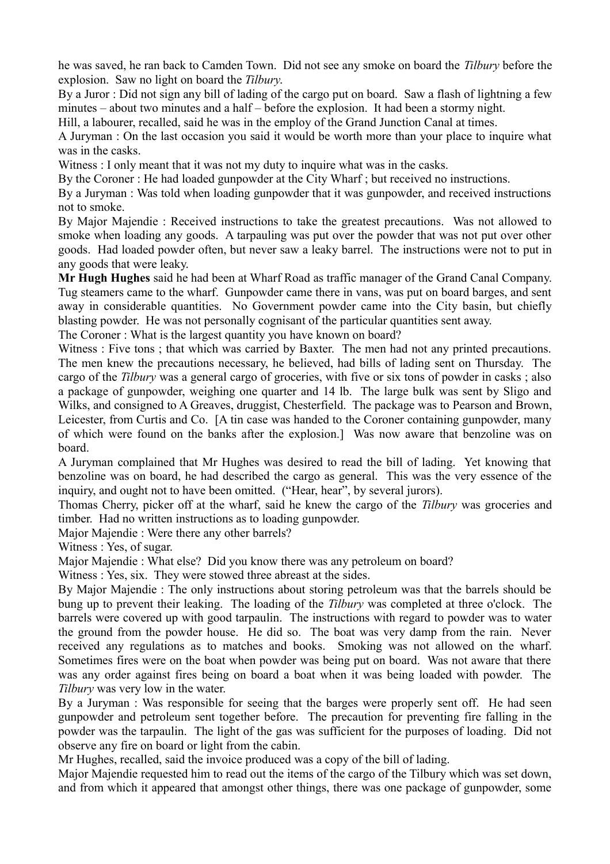he was saved, he ran back to Camden Town. Did not see any smoke on board the *Tilbury* before the explosion. Saw no light on board the *Tilbury*.

By a Juror : Did not sign any bill of lading of the cargo put on board. Saw a flash of lightning a few minutes – about two minutes and a half – before the explosion. It had been a stormy night.

Hill, a labourer, recalled, said he was in the employ of the Grand Junction Canal at times.

A Juryman : On the last occasion you said it would be worth more than your place to inquire what was in the casks.

Witness : I only meant that it was not my duty to inquire what was in the casks.

By the Coroner : He had loaded gunpowder at the City Wharf ; but received no instructions.

By a Juryman : Was told when loading gunpowder that it was gunpowder, and received instructions not to smoke.

By Major Majendie : Received instructions to take the greatest precautions. Was not allowed to smoke when loading any goods. A tarpauling was put over the powder that was not put over other goods. Had loaded powder often, but never saw a leaky barrel. The instructions were not to put in any goods that were leaky.

**Mr Hugh Hughes** said he had been at Wharf Road as traffic manager of the Grand Canal Company. Tug steamers came to the wharf. Gunpowder came there in vans, was put on board barges, and sent away in considerable quantities. No Government powder came into the City basin, but chiefly blasting powder. He was not personally cognisant of the particular quantities sent away.

The Coroner : What is the largest quantity you have known on board?

Witness : Five tons ; that which was carried by Baxter. The men had not any printed precautions. The men knew the precautions necessary, he believed, had bills of lading sent on Thursday. The cargo of the *Tilbury* was a general cargo of groceries, with five or six tons of powder in casks ; also a package of gunpowder, weighing one quarter and 14 lb. The large bulk was sent by Sligo and Wilks, and consigned to A Greaves, druggist, Chesterfield. The package was to Pearson and Brown, Leicester, from Curtis and Co. [A tin case was handed to the Coroner containing gunpowder, many of which were found on the banks after the explosion.] Was now aware that benzoline was on board.

A Juryman complained that Mr Hughes was desired to read the bill of lading. Yet knowing that benzoline was on board, he had described the cargo as general. This was the very essence of the inquiry, and ought not to have been omitted. ("Hear, hear", by several jurors).

Thomas Cherry, picker off at the wharf, said he knew the cargo of the *Tilbury* was groceries and timber. Had no written instructions as to loading gunpowder.

Major Majendie : Were there any other barrels?

Witness : Yes, of sugar.

Major Majendie : What else? Did you know there was any petroleum on board?

Witness : Yes, six. They were stowed three abreast at the sides.

By Major Majendie : The only instructions about storing petroleum was that the barrels should be bung up to prevent their leaking. The loading of the *Tilbury* was completed at three o'clock. The barrels were covered up with good tarpaulin. The instructions with regard to powder was to water the ground from the powder house. He did so. The boat was very damp from the rain. Never received any regulations as to matches and books. Smoking was not allowed on the wharf. Sometimes fires were on the boat when powder was being put on board. Was not aware that there was any order against fires being on board a boat when it was being loaded with powder. The *Tilbury* was very low in the water.

By a Juryman : Was responsible for seeing that the barges were properly sent off. He had seen gunpowder and petroleum sent together before. The precaution for preventing fire falling in the powder was the tarpaulin. The light of the gas was sufficient for the purposes of loading. Did not observe any fire on board or light from the cabin.

Mr Hughes, recalled, said the invoice produced was a copy of the bill of lading.

Major Majendie requested him to read out the items of the cargo of the Tilbury which was set down, and from which it appeared that amongst other things, there was one package of gunpowder, some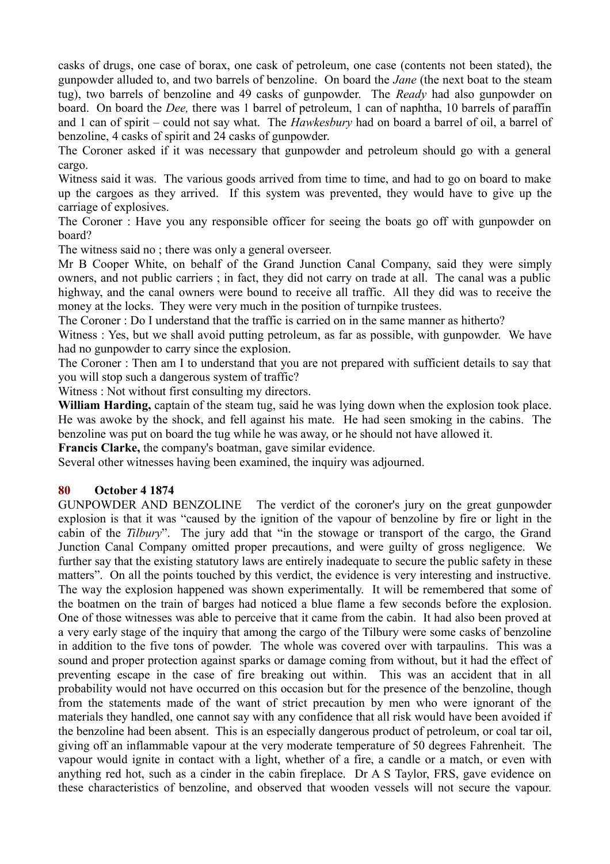casks of drugs, one case of borax, one cask of petroleum, one case (contents not been stated), the gunpowder alluded to, and two barrels of benzoline. On board the *Jane* (the next boat to the steam tug), two barrels of benzoline and 49 casks of gunpowder. The *Ready* had also gunpowder on board. On board the *Dee,* there was 1 barrel of petroleum, 1 can of naphtha, 10 barrels of paraffin and 1 can of spirit – could not say what. The *Hawkesbury* had on board a barrel of oil, a barrel of benzoline, 4 casks of spirit and 24 casks of gunpowder.

The Coroner asked if it was necessary that gunpowder and petroleum should go with a general cargo.

Witness said it was. The various goods arrived from time to time, and had to go on board to make up the cargoes as they arrived. If this system was prevented, they would have to give up the carriage of explosives.

The Coroner : Have you any responsible officer for seeing the boats go off with gunpowder on board?

The witness said no ; there was only a general overseer.

Mr B Cooper White, on behalf of the Grand Junction Canal Company, said they were simply owners, and not public carriers ; in fact, they did not carry on trade at all. The canal was a public highway, and the canal owners were bound to receive all traffic. All they did was to receive the money at the locks. They were very much in the position of turnpike trustees.

The Coroner : Do I understand that the traffic is carried on in the same manner as hitherto?

Witness : Yes, but we shall avoid putting petroleum, as far as possible, with gunpowder. We have had no gunpowder to carry since the explosion.

The Coroner : Then am I to understand that you are not prepared with sufficient details to say that you will stop such a dangerous system of traffic?

Witness : Not without first consulting my directors.

**William Harding,** captain of the steam tug, said he was lying down when the explosion took place. He was awoke by the shock, and fell against his mate. He had seen smoking in the cabins. The benzoline was put on board the tug while he was away, or he should not have allowed it.

**Francis Clarke,** the company's boatman, gave similar evidence.

Several other witnesses having been examined, the inquiry was adjourned.

#### **80 October 4 1874**

GUNPOWDER AND BENZOLINE The verdict of the coroner's jury on the great gunpowder explosion is that it was "caused by the ignition of the vapour of benzoline by fire or light in the cabin of the *Tilbury*". The jury add that "in the stowage or transport of the cargo, the Grand Junction Canal Company omitted proper precautions, and were guilty of gross negligence. We further say that the existing statutory laws are entirely inadequate to secure the public safety in these matters". On all the points touched by this verdict, the evidence is very interesting and instructive. The way the explosion happened was shown experimentally. It will be remembered that some of the boatmen on the train of barges had noticed a blue flame a few seconds before the explosion. One of those witnesses was able to perceive that it came from the cabin. It had also been proved at a very early stage of the inquiry that among the cargo of the Tilbury were some casks of benzoline in addition to the five tons of powder. The whole was covered over with tarpaulins. This was a sound and proper protection against sparks or damage coming from without, but it had the effect of preventing escape in the case of fire breaking out within. This was an accident that in all probability would not have occurred on this occasion but for the presence of the benzoline, though from the statements made of the want of strict precaution by men who were ignorant of the materials they handled, one cannot say with any confidence that all risk would have been avoided if the benzoline had been absent. This is an especially dangerous product of petroleum, or coal tar oil, giving off an inflammable vapour at the very moderate temperature of 50 degrees Fahrenheit. The vapour would ignite in contact with a light, whether of a fire, a candle or a match, or even with anything red hot, such as a cinder in the cabin fireplace. Dr A S Taylor, FRS, gave evidence on these characteristics of benzoline, and observed that wooden vessels will not secure the vapour.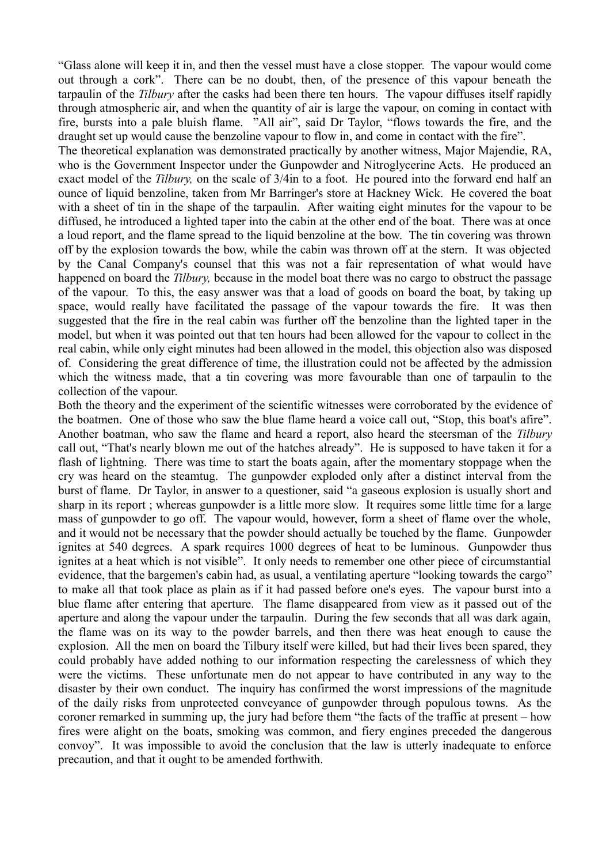"Glass alone will keep it in, and then the vessel must have a close stopper. The vapour would come out through a cork". There can be no doubt, then, of the presence of this vapour beneath the tarpaulin of the *Tilbury* after the casks had been there ten hours. The vapour diffuses itself rapidly through atmospheric air, and when the quantity of air is large the vapour, on coming in contact with fire, bursts into a pale bluish flame. "All air", said Dr Taylor, "flows towards the fire, and the draught set up would cause the benzoline vapour to flow in, and come in contact with the fire".

The theoretical explanation was demonstrated practically by another witness, Major Majendie, RA, who is the Government Inspector under the Gunpowder and Nitroglycerine Acts. He produced an exact model of the *Tilbury,* on the scale of 3/4in to a foot. He poured into the forward end half an ounce of liquid benzoline, taken from Mr Barringer's store at Hackney Wick. He covered the boat with a sheet of tin in the shape of the tarpaulin. After waiting eight minutes for the vapour to be diffused, he introduced a lighted taper into the cabin at the other end of the boat. There was at once a loud report, and the flame spread to the liquid benzoline at the bow. The tin covering was thrown off by the explosion towards the bow, while the cabin was thrown off at the stern. It was objected by the Canal Company's counsel that this was not a fair representation of what would have happened on board the *Tilbury,* because in the model boat there was no cargo to obstruct the passage of the vapour. To this, the easy answer was that a load of goods on board the boat, by taking up space, would really have facilitated the passage of the vapour towards the fire. It was then suggested that the fire in the real cabin was further off the benzoline than the lighted taper in the model, but when it was pointed out that ten hours had been allowed for the vapour to collect in the real cabin, while only eight minutes had been allowed in the model, this objection also was disposed of. Considering the great difference of time, the illustration could not be affected by the admission which the witness made, that a tin covering was more favourable than one of tarpaulin to the collection of the vapour.

Both the theory and the experiment of the scientific witnesses were corroborated by the evidence of the boatmen. One of those who saw the blue flame heard a voice call out, "Stop, this boat's afire". Another boatman, who saw the flame and heard a report, also heard the steersman of the *Tilbury* call out, "That's nearly blown me out of the hatches already". He is supposed to have taken it for a flash of lightning. There was time to start the boats again, after the momentary stoppage when the cry was heard on the steamtug. The gunpowder exploded only after a distinct interval from the burst of flame. Dr Taylor, in answer to a questioner, said "a gaseous explosion is usually short and sharp in its report ; whereas gunpowder is a little more slow. It requires some little time for a large mass of gunpowder to go off. The vapour would, however, form a sheet of flame over the whole, and it would not be necessary that the powder should actually be touched by the flame. Gunpowder ignites at 540 degrees. A spark requires 1000 degrees of heat to be luminous. Gunpowder thus ignites at a heat which is not visible". It only needs to remember one other piece of circumstantial evidence, that the bargemen's cabin had, as usual, a ventilating aperture "looking towards the cargo" to make all that took place as plain as if it had passed before one's eyes. The vapour burst into a blue flame after entering that aperture. The flame disappeared from view as it passed out of the aperture and along the vapour under the tarpaulin. During the few seconds that all was dark again, the flame was on its way to the powder barrels, and then there was heat enough to cause the explosion. All the men on board the Tilbury itself were killed, but had their lives been spared, they could probably have added nothing to our information respecting the carelessness of which they were the victims. These unfortunate men do not appear to have contributed in any way to the disaster by their own conduct. The inquiry has confirmed the worst impressions of the magnitude of the daily risks from unprotected conveyance of gunpowder through populous towns. As the coroner remarked in summing up, the jury had before them "the facts of the traffic at present – how fires were alight on the boats, smoking was common, and fiery engines preceded the dangerous convoy". It was impossible to avoid the conclusion that the law is utterly inadequate to enforce precaution, and that it ought to be amended forthwith.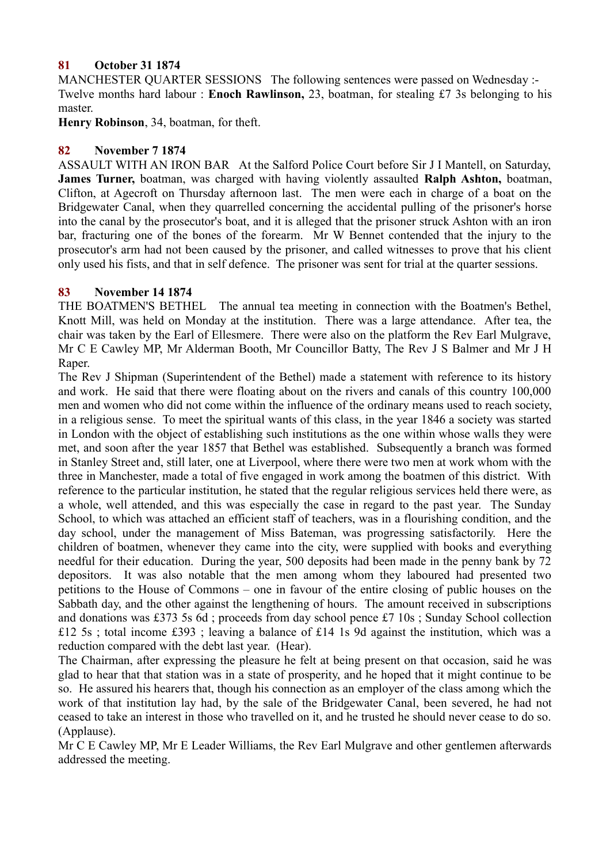## **81 October 31 1874**

MANCHESTER QUARTER SESSIONS The following sentences were passed on Wednesday :-Twelve months hard labour : **Enoch Rawlinson,** 23, boatman, for stealing £7 3s belonging to his master.

**Henry Robinson**, 34, boatman, for theft.

## **82 November 7 1874**

ASSAULT WITH AN IRON BAR At the Salford Police Court before Sir J I Mantell, on Saturday, **James Turner,** boatman, was charged with having violently assaulted **Ralph Ashton,** boatman, Clifton, at Agecroft on Thursday afternoon last. The men were each in charge of a boat on the Bridgewater Canal, when they quarrelled concerning the accidental pulling of the prisoner's horse into the canal by the prosecutor's boat, and it is alleged that the prisoner struck Ashton with an iron bar, fracturing one of the bones of the forearm. Mr W Bennet contended that the injury to the prosecutor's arm had not been caused by the prisoner, and called witnesses to prove that his client only used his fists, and that in self defence. The prisoner was sent for trial at the quarter sessions.

## **83 November 14 1874**

THE BOATMEN'S BETHEL The annual tea meeting in connection with the Boatmen's Bethel, Knott Mill, was held on Monday at the institution. There was a large attendance. After tea, the chair was taken by the Earl of Ellesmere. There were also on the platform the Rev Earl Mulgrave, Mr C E Cawley MP, Mr Alderman Booth, Mr Councillor Batty, The Rev J S Balmer and Mr J H Raper.

The Rev J Shipman (Superintendent of the Bethel) made a statement with reference to its history and work. He said that there were floating about on the rivers and canals of this country 100,000 men and women who did not come within the influence of the ordinary means used to reach society, in a religious sense. To meet the spiritual wants of this class, in the year 1846 a society was started in London with the object of establishing such institutions as the one within whose walls they were met, and soon after the year 1857 that Bethel was established. Subsequently a branch was formed in Stanley Street and, still later, one at Liverpool, where there were two men at work whom with the three in Manchester, made a total of five engaged in work among the boatmen of this district. With reference to the particular institution, he stated that the regular religious services held there were, as a whole, well attended, and this was especially the case in regard to the past year. The Sunday School, to which was attached an efficient staff of teachers, was in a flourishing condition, and the day school, under the management of Miss Bateman, was progressing satisfactorily. Here the children of boatmen, whenever they came into the city, were supplied with books and everything needful for their education. During the year, 500 deposits had been made in the penny bank by 72 depositors. It was also notable that the men among whom they laboured had presented two petitions to the House of Commons – one in favour of the entire closing of public houses on the Sabbath day, and the other against the lengthening of hours. The amount received in subscriptions and donations was £373 5s 6d ; proceeds from day school pence £7 10s ; Sunday School collection £12 5s ; total income £393 ; leaving a balance of £14 1s 9d against the institution, which was a reduction compared with the debt last year. (Hear).

The Chairman, after expressing the pleasure he felt at being present on that occasion, said he was glad to hear that that station was in a state of prosperity, and he hoped that it might continue to be so. He assured his hearers that, though his connection as an employer of the class among which the work of that institution lay had, by the sale of the Bridgewater Canal, been severed, he had not ceased to take an interest in those who travelled on it, and he trusted he should never cease to do so. (Applause).

Mr C E Cawley MP, Mr E Leader Williams, the Rev Earl Mulgrave and other gentlemen afterwards addressed the meeting.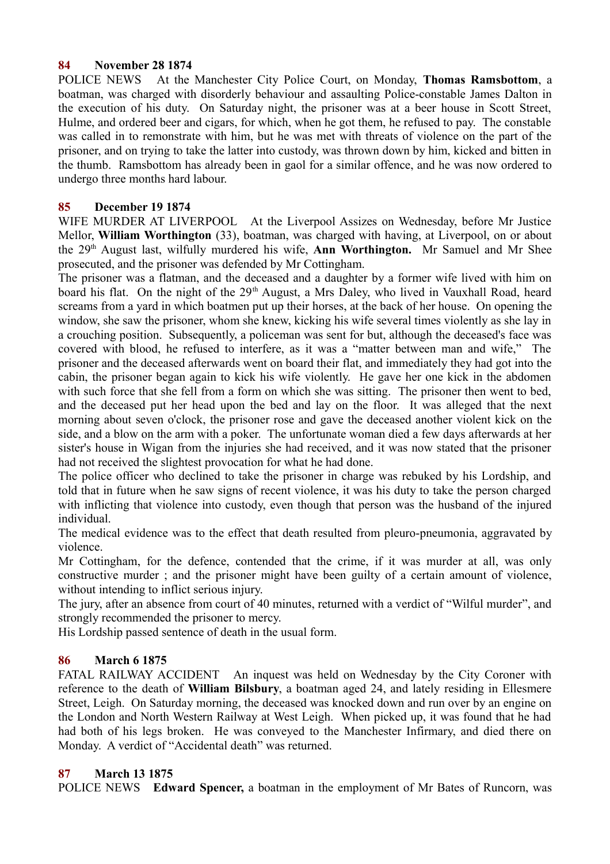## **84 November 28 1874**

POLICE NEWS At the Manchester City Police Court, on Monday, **Thomas Ramsbottom**, a boatman, was charged with disorderly behaviour and assaulting Police-constable James Dalton in the execution of his duty. On Saturday night, the prisoner was at a beer house in Scott Street, Hulme, and ordered beer and cigars, for which, when he got them, he refused to pay. The constable was called in to remonstrate with him, but he was met with threats of violence on the part of the prisoner, and on trying to take the latter into custody, was thrown down by him, kicked and bitten in the thumb. Ramsbottom has already been in gaol for a similar offence, and he was now ordered to undergo three months hard labour.

## **85 December 19 1874**

WIFE MURDER AT LIVERPOOL At the Liverpool Assizes on Wednesday, before Mr Justice Mellor, **William Worthington** (33), boatman, was charged with having, at Liverpool, on or about the 29<sup>th</sup> August last, wilfully murdered his wife, **Ann Worthington.** Mr Samuel and Mr Shee prosecuted, and the prisoner was defended by Mr Cottingham.

The prisoner was a flatman, and the deceased and a daughter by a former wife lived with him on board his flat. On the night of the 29<sup>th</sup> August, a Mrs Daley, who lived in Vauxhall Road, heard screams from a yard in which boatmen put up their horses, at the back of her house. On opening the window, she saw the prisoner, whom she knew, kicking his wife several times violently as she lay in a crouching position. Subsequently, a policeman was sent for but, although the deceased's face was covered with blood, he refused to interfere, as it was a "matter between man and wife," The prisoner and the deceased afterwards went on board their flat, and immediately they had got into the cabin, the prisoner began again to kick his wife violently. He gave her one kick in the abdomen with such force that she fell from a form on which she was sitting. The prisoner then went to bed, and the deceased put her head upon the bed and lay on the floor. It was alleged that the next morning about seven o'clock, the prisoner rose and gave the deceased another violent kick on the side, and a blow on the arm with a poker. The unfortunate woman died a few days afterwards at her sister's house in Wigan from the injuries she had received, and it was now stated that the prisoner had not received the slightest provocation for what he had done.

The police officer who declined to take the prisoner in charge was rebuked by his Lordship, and told that in future when he saw signs of recent violence, it was his duty to take the person charged with inflicting that violence into custody, even though that person was the husband of the injured individual.

The medical evidence was to the effect that death resulted from pleuro-pneumonia, aggravated by violence.

Mr Cottingham, for the defence, contended that the crime, if it was murder at all, was only constructive murder ; and the prisoner might have been guilty of a certain amount of violence, without intending to inflict serious injury.

The jury, after an absence from court of 40 minutes, returned with a verdict of "Wilful murder", and strongly recommended the prisoner to mercy.

His Lordship passed sentence of death in the usual form.

## **86 March 6 1875**

FATAL RAILWAY ACCIDENT An inquest was held on Wednesday by the City Coroner with reference to the death of **William Bilsbury**, a boatman aged 24, and lately residing in Ellesmere Street, Leigh. On Saturday morning, the deceased was knocked down and run over by an engine on the London and North Western Railway at West Leigh. When picked up, it was found that he had had both of his legs broken. He was conveyed to the Manchester Infirmary, and died there on Monday. A verdict of "Accidental death" was returned.

## **87 March 13 1875**

POLICE NEWS **Edward Spencer,** a boatman in the employment of Mr Bates of Runcorn, was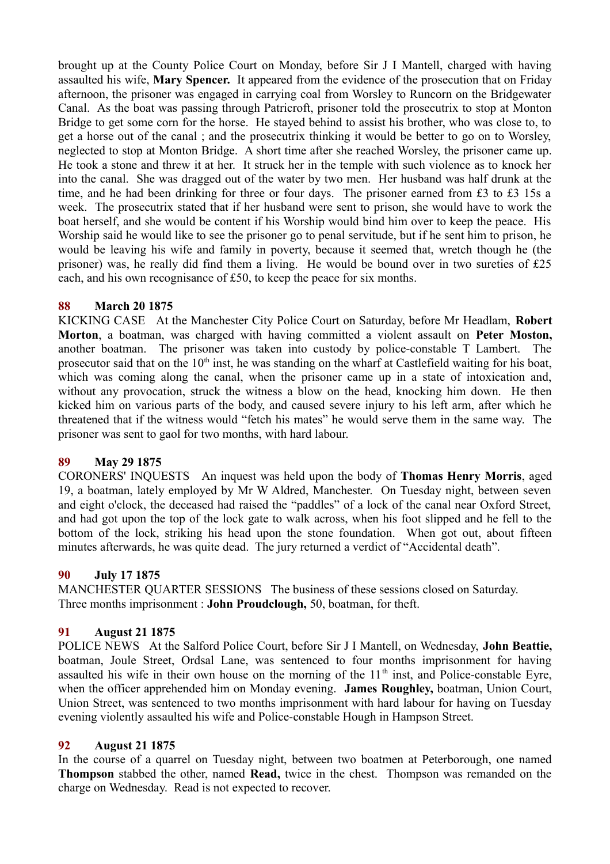brought up at the County Police Court on Monday, before Sir J I Mantell, charged with having assaulted his wife, **Mary Spencer.** It appeared from the evidence of the prosecution that on Friday afternoon, the prisoner was engaged in carrying coal from Worsley to Runcorn on the Bridgewater Canal. As the boat was passing through Patricroft, prisoner told the prosecutrix to stop at Monton Bridge to get some corn for the horse. He stayed behind to assist his brother, who was close to, to get a horse out of the canal ; and the prosecutrix thinking it would be better to go on to Worsley, neglected to stop at Monton Bridge. A short time after she reached Worsley, the prisoner came up. He took a stone and threw it at her. It struck her in the temple with such violence as to knock her into the canal. She was dragged out of the water by two men. Her husband was half drunk at the time, and he had been drinking for three or four days. The prisoner earned from £3 to £3 15s a week. The prosecutrix stated that if her husband were sent to prison, she would have to work the boat herself, and she would be content if his Worship would bind him over to keep the peace. His Worship said he would like to see the prisoner go to penal servitude, but if he sent him to prison, he would be leaving his wife and family in poverty, because it seemed that, wretch though he (the prisoner) was, he really did find them a living. He would be bound over in two sureties of £25 each, and his own recognisance of £50, to keep the peace for six months.

## **88 March 20 1875**

KICKING CASE At the Manchester City Police Court on Saturday, before Mr Headlam, **Robert Morton**, a boatman, was charged with having committed a violent assault on **Peter Moston,** another boatman. The prisoner was taken into custody by police-constable T Lambert. The prosecutor said that on the  $10<sup>th</sup>$  inst, he was standing on the wharf at Castlefield waiting for his boat, which was coming along the canal, when the prisoner came up in a state of intoxication and, without any provocation, struck the witness a blow on the head, knocking him down. He then kicked him on various parts of the body, and caused severe injury to his left arm, after which he threatened that if the witness would "fetch his mates" he would serve them in the same way. The prisoner was sent to gaol for two months, with hard labour.

## **89 May 29 1875**

CORONERS' INQUESTS An inquest was held upon the body of **Thomas Henry Morris**, aged 19, a boatman, lately employed by Mr W Aldred, Manchester. On Tuesday night, between seven and eight o'clock, the deceased had raised the "paddles" of a lock of the canal near Oxford Street, and had got upon the top of the lock gate to walk across, when his foot slipped and he fell to the bottom of the lock, striking his head upon the stone foundation. When got out, about fifteen minutes afterwards, he was quite dead. The jury returned a verdict of "Accidental death".

## **90 July 17 1875**

MANCHESTER QUARTER SESSIONS The business of these sessions closed on Saturday. Three months imprisonment : **John Proudclough,** 50, boatman, for theft.

## **91 August 21 1875**

POLICE NEWS At the Salford Police Court, before Sir J I Mantell, on Wednesday, **John Beattie,** boatman, Joule Street, Ordsal Lane, was sentenced to four months imprisonment for having assaulted his wife in their own house on the morning of the  $11<sup>th</sup>$  inst, and Police-constable Eyre, when the officer apprehended him on Monday evening. **James Roughley,** boatman, Union Court, Union Street, was sentenced to two months imprisonment with hard labour for having on Tuesday evening violently assaulted his wife and Police-constable Hough in Hampson Street.

## **92 August 21 1875**

In the course of a quarrel on Tuesday night, between two boatmen at Peterborough, one named **Thompson** stabbed the other, named **Read,** twice in the chest. Thompson was remanded on the charge on Wednesday. Read is not expected to recover.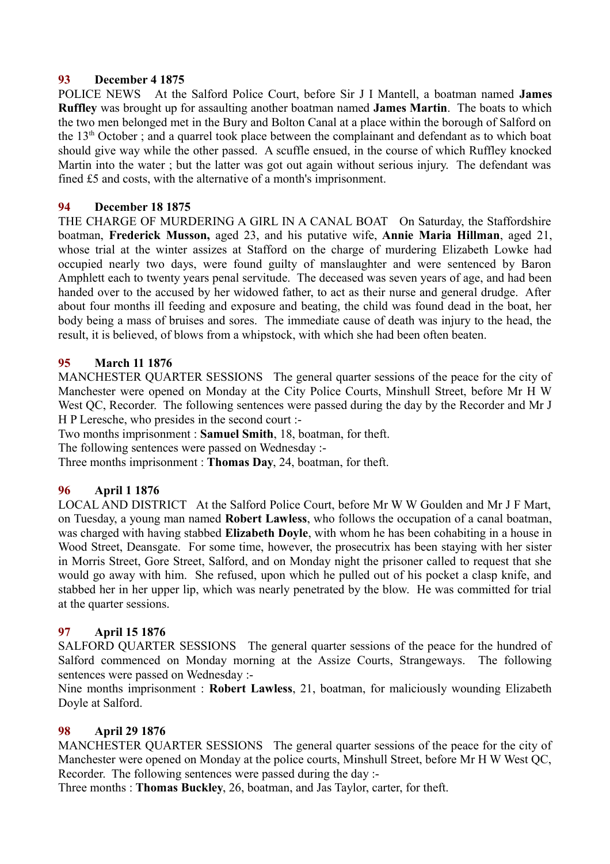## **93 December 4 1875**

POLICE NEWS At the Salford Police Court, before Sir J I Mantell, a boatman named **James Ruffley** was brought up for assaulting another boatman named **James Martin**. The boats to which the two men belonged met in the Bury and Bolton Canal at a place within the borough of Salford on the 13th October ; and a quarrel took place between the complainant and defendant as to which boat should give way while the other passed. A scuffle ensued, in the course of which Ruffley knocked Martin into the water ; but the latter was got out again without serious injury. The defendant was fined £5 and costs, with the alternative of a month's imprisonment.

## **94 December 18 1875**

THE CHARGE OF MURDERING A GIRL IN A CANAL BOAT On Saturday, the Staffordshire boatman, **Frederick Musson,** aged 23, and his putative wife, **Annie Maria Hillman**, aged 21, whose trial at the winter assizes at Stafford on the charge of murdering Elizabeth Lowke had occupied nearly two days, were found guilty of manslaughter and were sentenced by Baron Amphlett each to twenty years penal servitude. The deceased was seven years of age, and had been handed over to the accused by her widowed father, to act as their nurse and general drudge. After about four months ill feeding and exposure and beating, the child was found dead in the boat, her body being a mass of bruises and sores. The immediate cause of death was injury to the head, the result, it is believed, of blows from a whipstock, with which she had been often beaten.

## **95 March 11 1876**

MANCHESTER QUARTER SESSIONS The general quarter sessions of the peace for the city of Manchester were opened on Monday at the City Police Courts, Minshull Street, before Mr H W West QC, Recorder. The following sentences were passed during the day by the Recorder and Mr J H P Leresche, who presides in the second court :-

Two months imprisonment : **Samuel Smith**, 18, boatman, for theft.

The following sentences were passed on Wednesday :-

Three months imprisonment : **Thomas Day**, 24, boatman, for theft.

## **96 April 1 1876**

LOCAL AND DISTRICT At the Salford Police Court, before Mr W W Goulden and Mr J F Mart, on Tuesday, a young man named **Robert Lawless**, who follows the occupation of a canal boatman, was charged with having stabbed **Elizabeth Doyle**, with whom he has been cohabiting in a house in Wood Street, Deansgate. For some time, however, the prosecutrix has been staying with her sister in Morris Street, Gore Street, Salford, and on Monday night the prisoner called to request that she would go away with him. She refused, upon which he pulled out of his pocket a clasp knife, and stabbed her in her upper lip, which was nearly penetrated by the blow. He was committed for trial at the quarter sessions.

## **97 April 15 1876**

SALFORD QUARTER SESSIONS The general quarter sessions of the peace for the hundred of Salford commenced on Monday morning at the Assize Courts, Strangeways. The following sentences were passed on Wednesday :-

Nine months imprisonment : **Robert Lawless**, 21, boatman, for maliciously wounding Elizabeth Doyle at Salford.

#### **98 April 29 1876**

MANCHESTER QUARTER SESSIONS The general quarter sessions of the peace for the city of Manchester were opened on Monday at the police courts, Minshull Street, before Mr H W West OC, Recorder. The following sentences were passed during the day :-

Three months : **Thomas Buckley**, 26, boatman, and Jas Taylor, carter, for theft.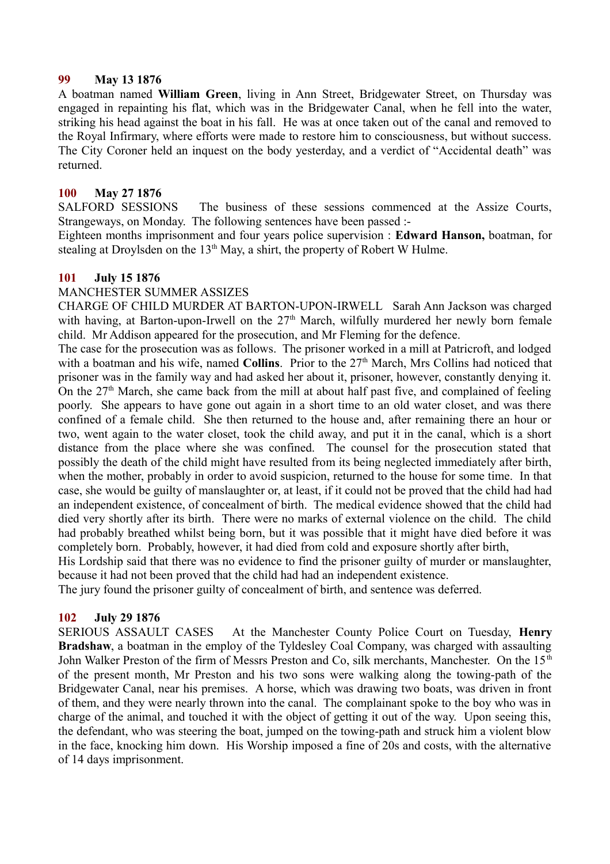### **99 May 13 1876**

A boatman named **William Green**, living in Ann Street, Bridgewater Street, on Thursday was engaged in repainting his flat, which was in the Bridgewater Canal, when he fell into the water, striking his head against the boat in his fall. He was at once taken out of the canal and removed to the Royal Infirmary, where efforts were made to restore him to consciousness, but without success. The City Coroner held an inquest on the body yesterday, and a verdict of "Accidental death" was returned.

## **100 May 27 1876**

SALFORD SESSIONS The business of these sessions commenced at the Assize Courts, Strangeways, on Monday. The following sentences have been passed :-

Eighteen months imprisonment and four years police supervision : **Edward Hanson,** boatman, for stealing at Droylsden on the  $13<sup>th</sup>$  May, a shirt, the property of Robert W Hulme.

#### **101 July 15 1876**

## MANCHESTER SUMMER ASSIZES

CHARGE OF CHILD MURDER AT BARTON-UPON-IRWELL Sarah Ann Jackson was charged with having, at Barton-upon-Irwell on the  $27<sup>th</sup>$  March, wilfully murdered her newly born female child. Mr Addison appeared for the prosecution, and Mr Fleming for the defence.

The case for the prosecution was as follows. The prisoner worked in a mill at Patricroft, and lodged with a boatman and his wife, named **Collins**. Prior to the 27<sup>th</sup> March, Mrs Collins had noticed that prisoner was in the family way and had asked her about it, prisoner, however, constantly denying it. On the  $27<sup>th</sup>$  March, she came back from the mill at about half past five, and complained of feeling poorly. She appears to have gone out again in a short time to an old water closet, and was there confined of a female child. She then returned to the house and, after remaining there an hour or two, went again to the water closet, took the child away, and put it in the canal, which is a short distance from the place where she was confined. The counsel for the prosecution stated that possibly the death of the child might have resulted from its being neglected immediately after birth, when the mother, probably in order to avoid suspicion, returned to the house for some time. In that case, she would be guilty of manslaughter or, at least, if it could not be proved that the child had had an independent existence, of concealment of birth. The medical evidence showed that the child had died very shortly after its birth. There were no marks of external violence on the child. The child had probably breathed whilst being born, but it was possible that it might have died before it was completely born. Probably, however, it had died from cold and exposure shortly after birth,

His Lordship said that there was no evidence to find the prisoner guilty of murder or manslaughter, because it had not been proved that the child had had an independent existence.

The jury found the prisoner guilty of concealment of birth, and sentence was deferred.

## **102 July 29 1876**

SERIOUS ASSAULT CASES At the Manchester County Police Court on Tuesday, **Henry Bradshaw**, a boatman in the employ of the Tyldesley Coal Company, was charged with assaulting John Walker Preston of the firm of Messrs Preston and Co, silk merchants, Manchester. On the 15<sup>th</sup> of the present month, Mr Preston and his two sons were walking along the towing-path of the Bridgewater Canal, near his premises. A horse, which was drawing two boats, was driven in front of them, and they were nearly thrown into the canal. The complainant spoke to the boy who was in charge of the animal, and touched it with the object of getting it out of the way. Upon seeing this, the defendant, who was steering the boat, jumped on the towing-path and struck him a violent blow in the face, knocking him down. His Worship imposed a fine of 20s and costs, with the alternative of 14 days imprisonment.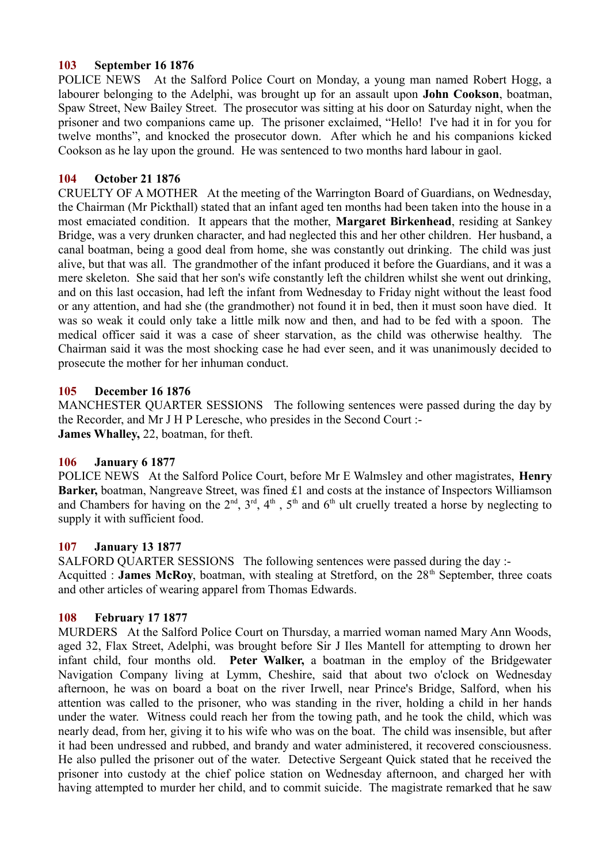## **103 September 16 1876**

POLICE NEWS At the Salford Police Court on Monday, a young man named Robert Hogg, a labourer belonging to the Adelphi, was brought up for an assault upon **John Cookson**, boatman, Spaw Street, New Bailey Street. The prosecutor was sitting at his door on Saturday night, when the prisoner and two companions came up. The prisoner exclaimed, "Hello! I've had it in for you for twelve months", and knocked the prosecutor down. After which he and his companions kicked Cookson as he lay upon the ground. He was sentenced to two months hard labour in gaol.

## **104 October 21 1876**

CRUELTY OF A MOTHER At the meeting of the Warrington Board of Guardians, on Wednesday, the Chairman (Mr Pickthall) stated that an infant aged ten months had been taken into the house in a most emaciated condition. It appears that the mother, **Margaret Birkenhead**, residing at Sankey Bridge, was a very drunken character, and had neglected this and her other children. Her husband, a canal boatman, being a good deal from home, she was constantly out drinking. The child was just alive, but that was all. The grandmother of the infant produced it before the Guardians, and it was a mere skeleton. She said that her son's wife constantly left the children whilst she went out drinking, and on this last occasion, had left the infant from Wednesday to Friday night without the least food or any attention, and had she (the grandmother) not found it in bed, then it must soon have died. It was so weak it could only take a little milk now and then, and had to be fed with a spoon. The medical officer said it was a case of sheer starvation, as the child was otherwise healthy. The Chairman said it was the most shocking case he had ever seen, and it was unanimously decided to prosecute the mother for her inhuman conduct.

#### **105 December 16 1876**

MANCHESTER QUARTER SESSIONS The following sentences were passed during the day by the Recorder, and Mr J H P Leresche, who presides in the Second Court :- **James Whalley,** 22, boatman, for theft.

#### **106 January 6 1877**

POLICE NEWS At the Salford Police Court, before Mr E Walmsley and other magistrates, **Henry Barker,** boatman, Nangreave Street, was fined £1 and costs at the instance of Inspectors Williamson and Chambers for having on the  $2<sup>nd</sup>$ ,  $3<sup>rd</sup>$ ,  $4<sup>th</sup>$ ,  $5<sup>th</sup>$  and  $6<sup>th</sup>$  ult cruelly treated a horse by neglecting to supply it with sufficient food.

#### **107 January 13 1877**

SALFORD QUARTER SESSIONS The following sentences were passed during the day :- Acquitted : **James McRoy**, boatman, with stealing at Stretford, on the 28<sup>th</sup> September, three coats and other articles of wearing apparel from Thomas Edwards.

#### **108 February 17 1877**

MURDERS At the Salford Police Court on Thursday, a married woman named Mary Ann Woods, aged 32, Flax Street, Adelphi, was brought before Sir J Iles Mantell for attempting to drown her infant child, four months old. **Peter Walker,** a boatman in the employ of the Bridgewater Navigation Company living at Lymm, Cheshire, said that about two o'clock on Wednesday afternoon, he was on board a boat on the river Irwell, near Prince's Bridge, Salford, when his attention was called to the prisoner, who was standing in the river, holding a child in her hands under the water. Witness could reach her from the towing path, and he took the child, which was nearly dead, from her, giving it to his wife who was on the boat. The child was insensible, but after it had been undressed and rubbed, and brandy and water administered, it recovered consciousness. He also pulled the prisoner out of the water. Detective Sergeant Quick stated that he received the prisoner into custody at the chief police station on Wednesday afternoon, and charged her with having attempted to murder her child, and to commit suicide. The magistrate remarked that he saw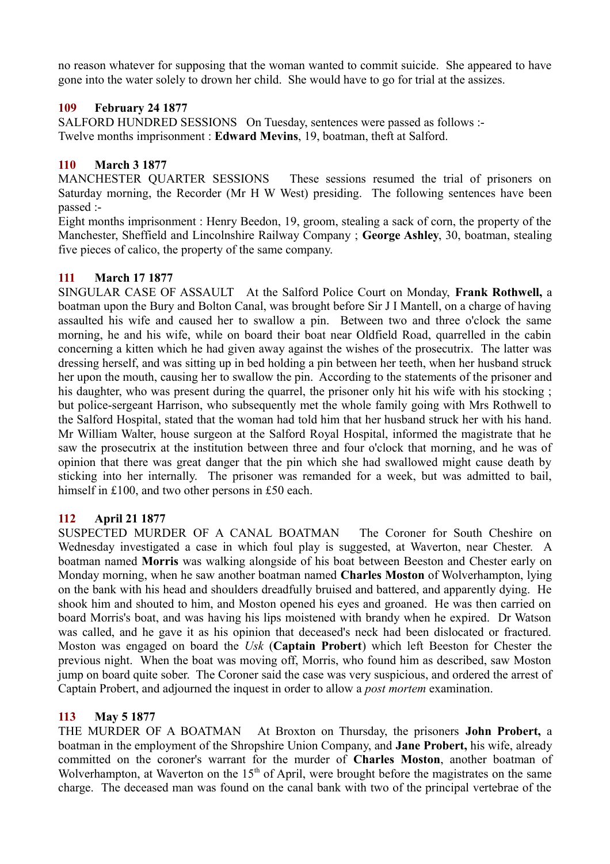no reason whatever for supposing that the woman wanted to commit suicide. She appeared to have gone into the water solely to drown her child. She would have to go for trial at the assizes.

## **109 February 24 1877**

SALFORD HUNDRED SESSIONS On Tuesday, sentences were passed as follows :- Twelve months imprisonment : **Edward Mevins**, 19, boatman, theft at Salford.

# **110 March 3 1877**

MANCHESTER QUARTER SESSIONS These sessions resumed the trial of prisoners on Saturday morning, the Recorder (Mr H W West) presiding. The following sentences have been passed :-

Eight months imprisonment : Henry Beedon, 19, groom, stealing a sack of corn, the property of the Manchester, Sheffield and Lincolnshire Railway Company ; **George Ashley**, 30, boatman, stealing five pieces of calico, the property of the same company.

# **111 March 17 1877**

SINGULAR CASE OF ASSAULT At the Salford Police Court on Monday, **Frank Rothwell,** a boatman upon the Bury and Bolton Canal, was brought before Sir J I Mantell, on a charge of having assaulted his wife and caused her to swallow a pin. Between two and three o'clock the same morning, he and his wife, while on board their boat near Oldfield Road, quarrelled in the cabin concerning a kitten which he had given away against the wishes of the prosecutrix. The latter was dressing herself, and was sitting up in bed holding a pin between her teeth, when her husband struck her upon the mouth, causing her to swallow the pin. According to the statements of the prisoner and his daughter, who was present during the quarrel, the prisoner only hit his wife with his stocking ; but police-sergeant Harrison, who subsequently met the whole family going with Mrs Rothwell to the Salford Hospital, stated that the woman had told him that her husband struck her with his hand. Mr William Walter, house surgeon at the Salford Royal Hospital, informed the magistrate that he saw the prosecutrix at the institution between three and four o'clock that morning, and he was of opinion that there was great danger that the pin which she had swallowed might cause death by sticking into her internally. The prisoner was remanded for a week, but was admitted to bail, himself in £100, and two other persons in £50 each.

## **112 April 21 1877**

SUSPECTED MURDER OF A CANAL BOATMAN The Coroner for South Cheshire on Wednesday investigated a case in which foul play is suggested, at Waverton, near Chester. A boatman named **Morris** was walking alongside of his boat between Beeston and Chester early on Monday morning, when he saw another boatman named **Charles Moston** of Wolverhampton, lying on the bank with his head and shoulders dreadfully bruised and battered, and apparently dying. He shook him and shouted to him, and Moston opened his eyes and groaned. He was then carried on board Morris's boat, and was having his lips moistened with brandy when he expired. Dr Watson was called, and he gave it as his opinion that deceased's neck had been dislocated or fractured. Moston was engaged on board the *Usk* (**Captain Probert**) which left Beeston for Chester the previous night. When the boat was moving off, Morris, who found him as described, saw Moston jump on board quite sober. The Coroner said the case was very suspicious, and ordered the arrest of Captain Probert, and adjourned the inquest in order to allow a *post mortem* examination.

# **113 May 5 1877**

THE MURDER OF A BOATMAN At Broxton on Thursday, the prisoners **John Probert,** a boatman in the employment of the Shropshire Union Company, and **Jane Probert,** his wife, already committed on the coroner's warrant for the murder of **Charles Moston**, another boatman of Wolverhampton, at Waverton on the  $15<sup>th</sup>$  of April, were brought before the magistrates on the same charge. The deceased man was found on the canal bank with two of the principal vertebrae of the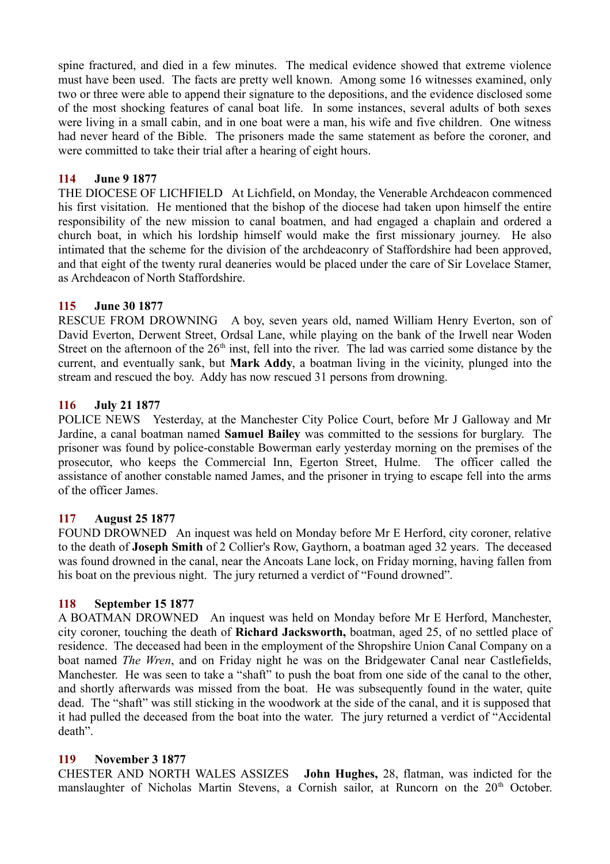spine fractured, and died in a few minutes. The medical evidence showed that extreme violence must have been used. The facts are pretty well known. Among some 16 witnesses examined, only two or three were able to append their signature to the depositions, and the evidence disclosed some of the most shocking features of canal boat life. In some instances, several adults of both sexes were living in a small cabin, and in one boat were a man, his wife and five children. One witness had never heard of the Bible. The prisoners made the same statement as before the coroner, and were committed to take their trial after a hearing of eight hours.

## **114 June 9 1877**

THE DIOCESE OF LICHFIELD At Lichfield, on Monday, the Venerable Archdeacon commenced his first visitation. He mentioned that the bishop of the diocese had taken upon himself the entire responsibility of the new mission to canal boatmen, and had engaged a chaplain and ordered a church boat, in which his lordship himself would make the first missionary journey. He also intimated that the scheme for the division of the archdeaconry of Staffordshire had been approved, and that eight of the twenty rural deaneries would be placed under the care of Sir Lovelace Stamer, as Archdeacon of North Staffordshire.

#### **115 June 30 1877**

RESCUE FROM DROWNING A boy, seven years old, named William Henry Everton, son of David Everton, Derwent Street, Ordsal Lane, while playing on the bank of the Irwell near Woden Street on the afternoon of the  $26<sup>th</sup>$  inst, fell into the river. The lad was carried some distance by the current, and eventually sank, but **Mark Addy**, a boatman living in the vicinity, plunged into the stream and rescued the boy. Addy has now rescued 31 persons from drowning.

## **116 July 21 1877**

POLICE NEWS Yesterday, at the Manchester City Police Court, before Mr J Galloway and Mr Jardine, a canal boatman named **Samuel Bailey** was committed to the sessions for burglary. The prisoner was found by police-constable Bowerman early yesterday morning on the premises of the prosecutor, who keeps the Commercial Inn, Egerton Street, Hulme. The officer called the assistance of another constable named James, and the prisoner in trying to escape fell into the arms of the officer James.

## **117 August 25 1877**

FOUND DROWNED An inquest was held on Monday before Mr E Herford, city coroner, relative to the death of **Joseph Smith** of 2 Collier's Row, Gaythorn, a boatman aged 32 years. The deceased was found drowned in the canal, near the Ancoats Lane lock, on Friday morning, having fallen from his boat on the previous night. The jury returned a verdict of "Found drowned".

#### **118 September 15 1877**

A BOATMAN DROWNED An inquest was held on Monday before Mr E Herford, Manchester, city coroner, touching the death of **Richard Jacksworth,** boatman, aged 25, of no settled place of residence. The deceased had been in the employment of the Shropshire Union Canal Company on a boat named *The Wren*, and on Friday night he was on the Bridgewater Canal near Castlefields, Manchester. He was seen to take a "shaft" to push the boat from one side of the canal to the other, and shortly afterwards was missed from the boat. He was subsequently found in the water, quite dead. The "shaft" was still sticking in the woodwork at the side of the canal, and it is supposed that it had pulled the deceased from the boat into the water. The jury returned a verdict of "Accidental death".

#### **119 November 3 1877**

CHESTER AND NORTH WALES ASSIZES **John Hughes,** 28, flatman, was indicted for the manslaughter of Nicholas Martin Stevens, a Cornish sailor, at Runcorn on the 20<sup>th</sup> October.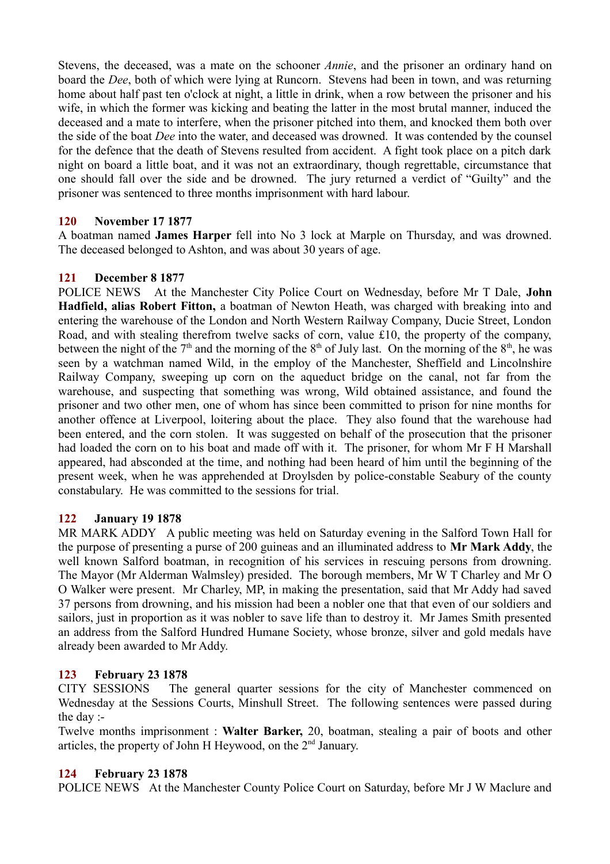Stevens, the deceased, was a mate on the schooner *Annie*, and the prisoner an ordinary hand on board the *Dee*, both of which were lying at Runcorn. Stevens had been in town, and was returning home about half past ten o'clock at night, a little in drink, when a row between the prisoner and his wife, in which the former was kicking and beating the latter in the most brutal manner, induced the deceased and a mate to interfere, when the prisoner pitched into them, and knocked them both over the side of the boat *Dee* into the water, and deceased was drowned. It was contended by the counsel for the defence that the death of Stevens resulted from accident. A fight took place on a pitch dark night on board a little boat, and it was not an extraordinary, though regrettable, circumstance that one should fall over the side and be drowned. The jury returned a verdict of "Guilty" and the prisoner was sentenced to three months imprisonment with hard labour.

## **120 November 17 1877**

A boatman named **James Harper** fell into No 3 lock at Marple on Thursday, and was drowned. The deceased belonged to Ashton, and was about 30 years of age.

## **121 December 8 1877**

POLICE NEWS At the Manchester City Police Court on Wednesday, before Mr T Dale, **John Hadfield, alias Robert Fitton,** a boatman of Newton Heath, was charged with breaking into and entering the warehouse of the London and North Western Railway Company, Ducie Street, London Road, and with stealing therefrom twelve sacks of corn, value £10, the property of the company, between the night of the  $7<sup>th</sup>$  and the morning of the  $8<sup>th</sup>$  of July last. On the morning of the  $8<sup>th</sup>$ , he was seen by a watchman named Wild, in the employ of the Manchester, Sheffield and Lincolnshire Railway Company, sweeping up corn on the aqueduct bridge on the canal, not far from the warehouse, and suspecting that something was wrong, Wild obtained assistance, and found the prisoner and two other men, one of whom has since been committed to prison for nine months for another offence at Liverpool, loitering about the place. They also found that the warehouse had been entered, and the corn stolen. It was suggested on behalf of the prosecution that the prisoner had loaded the corn on to his boat and made off with it. The prisoner, for whom Mr F H Marshall appeared, had absconded at the time, and nothing had been heard of him until the beginning of the present week, when he was apprehended at Droylsden by police-constable Seabury of the county constabulary. He was committed to the sessions for trial.

#### **122 January 19 1878**

MR MARK ADDY A public meeting was held on Saturday evening in the Salford Town Hall for the purpose of presenting a purse of 200 guineas and an illuminated address to **Mr Mark Addy**, the well known Salford boatman, in recognition of his services in rescuing persons from drowning. The Mayor (Mr Alderman Walmsley) presided. The borough members, Mr W T Charley and Mr O O Walker were present. Mr Charley, MP, in making the presentation, said that Mr Addy had saved 37 persons from drowning, and his mission had been a nobler one that that even of our soldiers and sailors, just in proportion as it was nobler to save life than to destroy it. Mr James Smith presented an address from the Salford Hundred Humane Society, whose bronze, silver and gold medals have already been awarded to Mr Addy.

#### **123 February 23 1878**

CITY SESSIONS The general quarter sessions for the city of Manchester commenced on Wednesday at the Sessions Courts, Minshull Street. The following sentences were passed during the day :-

Twelve months imprisonment : **Walter Barker,** 20, boatman, stealing a pair of boots and other articles, the property of John H Heywood, on the  $2<sup>nd</sup>$  January.

#### **124 February 23 1878**

POLICE NEWS At the Manchester County Police Court on Saturday, before Mr J W Maclure and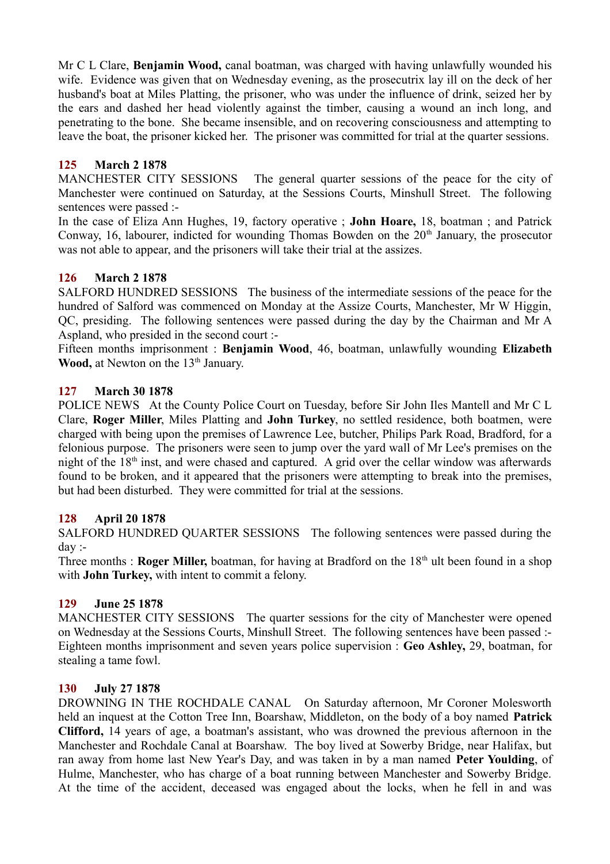Mr C L Clare, **Benjamin Wood,** canal boatman, was charged with having unlawfully wounded his wife. Evidence was given that on Wednesday evening, as the prosecutrix lay ill on the deck of her husband's boat at Miles Platting, the prisoner, who was under the influence of drink, seized her by the ears and dashed her head violently against the timber, causing a wound an inch long, and penetrating to the bone. She became insensible, and on recovering consciousness and attempting to leave the boat, the prisoner kicked her. The prisoner was committed for trial at the quarter sessions.

# **125 March 2 1878**

MANCHESTER CITY SESSIONS The general quarter sessions of the peace for the city of Manchester were continued on Saturday, at the Sessions Courts, Minshull Street. The following sentences were passed :-

In the case of Eliza Ann Hughes, 19, factory operative ; **John Hoare,** 18, boatman ; and Patrick Conway, 16, labourer, indicted for wounding Thomas Bowden on the  $20<sup>th</sup>$  January, the prosecutor was not able to appear, and the prisoners will take their trial at the assizes.

# **126 March 2 1878**

SALFORD HUNDRED SESSIONS The business of the intermediate sessions of the peace for the hundred of Salford was commenced on Monday at the Assize Courts, Manchester, Mr W Higgin, QC, presiding. The following sentences were passed during the day by the Chairman and Mr A Aspland, who presided in the second court :-

Fifteen months imprisonment : **Benjamin Wood**, 46, boatman, unlawfully wounding **Elizabeth Wood,** at Newton on the 13<sup>th</sup> January.

# **127 March 30 1878**

POLICE NEWS At the County Police Court on Tuesday, before Sir John Iles Mantell and Mr C L Clare, **Roger Miller**, Miles Platting and **John Turkey**, no settled residence, both boatmen, were charged with being upon the premises of Lawrence Lee, butcher, Philips Park Road, Bradford, for a felonious purpose. The prisoners were seen to jump over the yard wall of Mr Lee's premises on the night of the 18<sup>th</sup> inst, and were chased and captured. A grid over the cellar window was afterwards found to be broken, and it appeared that the prisoners were attempting to break into the premises, but had been disturbed. They were committed for trial at the sessions.

# **128 April 20 1878**

SALFORD HUNDRED QUARTER SESSIONS The following sentences were passed during the day :-

Three months : **Roger Miller,** boatman, for having at Bradford on the 18<sup>th</sup> ult been found in a shop with **John Turkey,** with intent to commit a felony.

## **129 June 25 1878**

MANCHESTER CITY SESSIONS The quarter sessions for the city of Manchester were opened on Wednesday at the Sessions Courts, Minshull Street. The following sentences have been passed :- Eighteen months imprisonment and seven years police supervision : **Geo Ashley,** 29, boatman, for stealing a tame fowl.

## **130 July 27 1878**

DROWNING IN THE ROCHDALE CANAL On Saturday afternoon, Mr Coroner Molesworth held an inquest at the Cotton Tree Inn, Boarshaw, Middleton, on the body of a boy named **Patrick Clifford,** 14 years of age, a boatman's assistant, who was drowned the previous afternoon in the Manchester and Rochdale Canal at Boarshaw. The boy lived at Sowerby Bridge, near Halifax, but ran away from home last New Year's Day, and was taken in by a man named **Peter Youlding**, of Hulme, Manchester, who has charge of a boat running between Manchester and Sowerby Bridge. At the time of the accident, deceased was engaged about the locks, when he fell in and was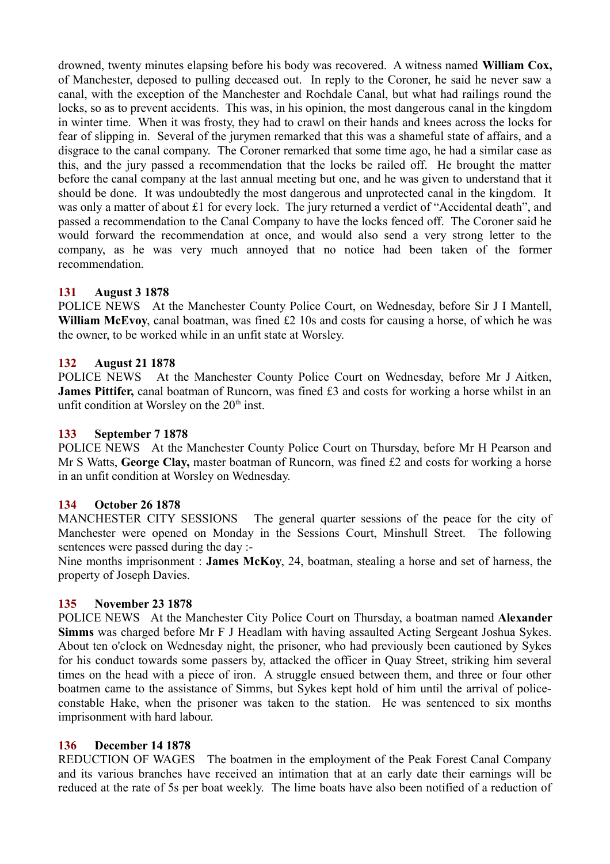drowned, twenty minutes elapsing before his body was recovered. A witness named **William Cox,** of Manchester, deposed to pulling deceased out. In reply to the Coroner, he said he never saw a canal, with the exception of the Manchester and Rochdale Canal, but what had railings round the locks, so as to prevent accidents. This was, in his opinion, the most dangerous canal in the kingdom in winter time. When it was frosty, they had to crawl on their hands and knees across the locks for fear of slipping in. Several of the jurymen remarked that this was a shameful state of affairs, and a disgrace to the canal company. The Coroner remarked that some time ago, he had a similar case as this, and the jury passed a recommendation that the locks be railed off. He brought the matter before the canal company at the last annual meeting but one, and he was given to understand that it should be done. It was undoubtedly the most dangerous and unprotected canal in the kingdom. It was only a matter of about £1 for every lock. The jury returned a verdict of "Accidental death", and passed a recommendation to the Canal Company to have the locks fenced off. The Coroner said he would forward the recommendation at once, and would also send a very strong letter to the company, as he was very much annoyed that no notice had been taken of the former recommendation.

## **131 August 3 1878**

POLICE NEWS At the Manchester County Police Court, on Wednesday, before Sir J I Mantell, **William McEvoy**, canal boatman, was fined £2 10s and costs for causing a horse, of which he was the owner, to be worked while in an unfit state at Worsley.

#### **132 August 21 1878**

POLICE NEWS At the Manchester County Police Court on Wednesday, before Mr J Aitken, **James Pittifer,** canal boatman of Runcorn, was fined £3 and costs for working a horse whilst in an unfit condition at Worsley on the  $20<sup>th</sup>$  inst.

#### **133 September 7 1878**

POLICE NEWS At the Manchester County Police Court on Thursday, before Mr H Pearson and Mr S Watts, **George Clay,** master boatman of Runcorn, was fined £2 and costs for working a horse in an unfit condition at Worsley on Wednesday.

#### **134 October 26 1878**

MANCHESTER CITY SESSIONS The general quarter sessions of the peace for the city of Manchester were opened on Monday in the Sessions Court, Minshull Street. The following sentences were passed during the day :-

Nine months imprisonment : **James McKoy**, 24, boatman, stealing a horse and set of harness, the property of Joseph Davies.

#### **135 November 23 1878**

POLICE NEWS At the Manchester City Police Court on Thursday, a boatman named **Alexander Simms** was charged before Mr F J Headlam with having assaulted Acting Sergeant Joshua Sykes. About ten o'clock on Wednesday night, the prisoner, who had previously been cautioned by Sykes for his conduct towards some passers by, attacked the officer in Quay Street, striking him several times on the head with a piece of iron. A struggle ensued between them, and three or four other boatmen came to the assistance of Simms, but Sykes kept hold of him until the arrival of policeconstable Hake, when the prisoner was taken to the station. He was sentenced to six months imprisonment with hard labour.

#### **136 December 14 1878**

REDUCTION OF WAGES The boatmen in the employment of the Peak Forest Canal Company and its various branches have received an intimation that at an early date their earnings will be reduced at the rate of 5s per boat weekly. The lime boats have also been notified of a reduction of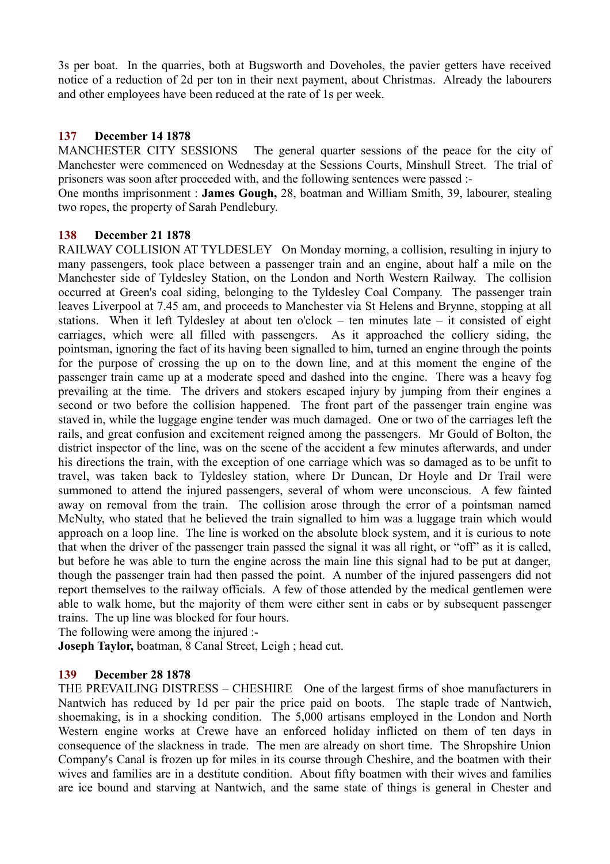3s per boat. In the quarries, both at Bugsworth and Doveholes, the pavier getters have received notice of a reduction of 2d per ton in their next payment, about Christmas. Already the labourers and other employees have been reduced at the rate of 1s per week.

### **137 December 14 1878**

MANCHESTER CITY SESSIONS The general quarter sessions of the peace for the city of Manchester were commenced on Wednesday at the Sessions Courts, Minshull Street. The trial of prisoners was soon after proceeded with, and the following sentences were passed :-

One months imprisonment : **James Gough,** 28, boatman and William Smith, 39, labourer, stealing two ropes, the property of Sarah Pendlebury.

## **138 December 21 1878**

RAILWAY COLLISION AT TYLDESLEY On Monday morning, a collision, resulting in injury to many passengers, took place between a passenger train and an engine, about half a mile on the Manchester side of Tyldesley Station, on the London and North Western Railway. The collision occurred at Green's coal siding, belonging to the Tyldesley Coal Company. The passenger train leaves Liverpool at 7.45 am, and proceeds to Manchester via St Helens and Brynne, stopping at all stations. When it left Tyldesley at about ten o'clock – ten minutes late – it consisted of eight carriages, which were all filled with passengers. As it approached the colliery siding, the pointsman, ignoring the fact of its having been signalled to him, turned an engine through the points for the purpose of crossing the up on to the down line, and at this moment the engine of the passenger train came up at a moderate speed and dashed into the engine. There was a heavy fog prevailing at the time. The drivers and stokers escaped injury by jumping from their engines a second or two before the collision happened. The front part of the passenger train engine was staved in, while the luggage engine tender was much damaged. One or two of the carriages left the rails, and great confusion and excitement reigned among the passengers. Mr Gould of Bolton, the district inspector of the line, was on the scene of the accident a few minutes afterwards, and under his directions the train, with the exception of one carriage which was so damaged as to be unfit to travel, was taken back to Tyldesley station, where Dr Duncan, Dr Hoyle and Dr Trail were summoned to attend the injured passengers, several of whom were unconscious. A few fainted away on removal from the train. The collision arose through the error of a pointsman named McNulty, who stated that he believed the train signalled to him was a luggage train which would approach on a loop line. The line is worked on the absolute block system, and it is curious to note that when the driver of the passenger train passed the signal it was all right, or "off" as it is called, but before he was able to turn the engine across the main line this signal had to be put at danger, though the passenger train had then passed the point. A number of the injured passengers did not report themselves to the railway officials. A few of those attended by the medical gentlemen were able to walk home, but the majority of them were either sent in cabs or by subsequent passenger trains. The up line was blocked for four hours.

The following were among the injured :-

**Joseph Taylor,** boatman, 8 Canal Street, Leigh ; head cut.

#### **139 December 28 1878**

THE PREVAILING DISTRESS – CHESHIRE One of the largest firms of shoe manufacturers in Nantwich has reduced by 1d per pair the price paid on boots. The staple trade of Nantwich, shoemaking, is in a shocking condition. The 5,000 artisans employed in the London and North Western engine works at Crewe have an enforced holiday inflicted on them of ten days in consequence of the slackness in trade. The men are already on short time. The Shropshire Union Company's Canal is frozen up for miles in its course through Cheshire, and the boatmen with their wives and families are in a destitute condition. About fifty boatmen with their wives and families are ice bound and starving at Nantwich, and the same state of things is general in Chester and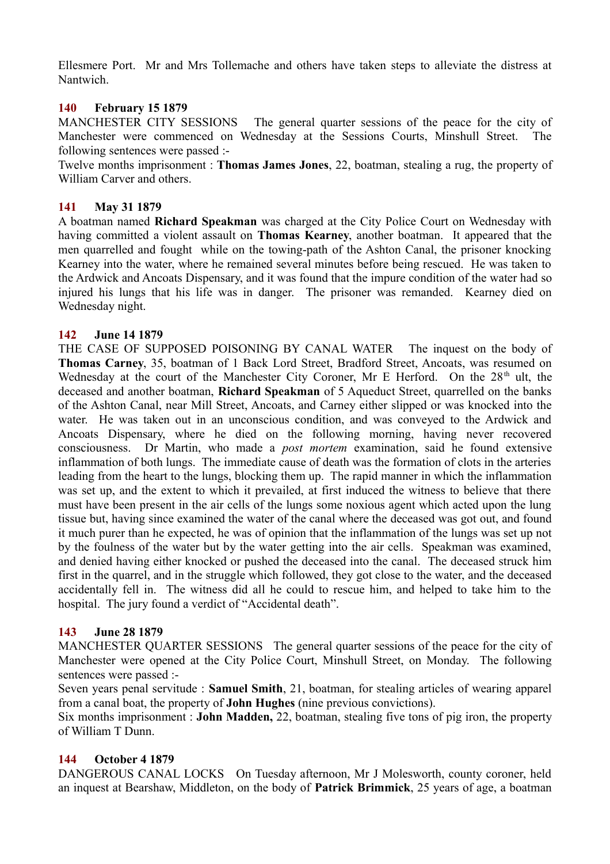Ellesmere Port. Mr and Mrs Tollemache and others have taken steps to alleviate the distress at Nantwich.

### **140 February 15 1879**

MANCHESTER CITY SESSIONS The general quarter sessions of the peace for the city of Manchester were commenced on Wednesday at the Sessions Courts, Minshull Street. The following sentences were passed :-

Twelve months imprisonment : **Thomas James Jones**, 22, boatman, stealing a rug, the property of William Carver and others.

### **141 May 31 1879**

A boatman named **Richard Speakman** was charged at the City Police Court on Wednesday with having committed a violent assault on **Thomas Kearney**, another boatman. It appeared that the men quarrelled and fought while on the towing-path of the Ashton Canal, the prisoner knocking Kearney into the water, where he remained several minutes before being rescued. He was taken to the Ardwick and Ancoats Dispensary, and it was found that the impure condition of the water had so injured his lungs that his life was in danger. The prisoner was remanded. Kearney died on Wednesday night.

## **142 June 14 1879**

THE CASE OF SUPPOSED POISONING BY CANAL WATER The inquest on the body of **Thomas Carney**, 35, boatman of 1 Back Lord Street, Bradford Street, Ancoats, was resumed on Wednesday at the court of the Manchester City Coroner, Mr E Herford. On the  $28<sup>th</sup>$  ult, the deceased and another boatman, **Richard Speakman** of 5 Aqueduct Street, quarrelled on the banks of the Ashton Canal, near Mill Street, Ancoats, and Carney either slipped or was knocked into the water. He was taken out in an unconscious condition, and was conveyed to the Ardwick and Ancoats Dispensary, where he died on the following morning, having never recovered consciousness. Dr Martin, who made a *post mortem* examination, said he found extensive inflammation of both lungs. The immediate cause of death was the formation of clots in the arteries leading from the heart to the lungs, blocking them up. The rapid manner in which the inflammation was set up, and the extent to which it prevailed, at first induced the witness to believe that there must have been present in the air cells of the lungs some noxious agent which acted upon the lung tissue but, having since examined the water of the canal where the deceased was got out, and found it much purer than he expected, he was of opinion that the inflammation of the lungs was set up not by the foulness of the water but by the water getting into the air cells. Speakman was examined, and denied having either knocked or pushed the deceased into the canal. The deceased struck him first in the quarrel, and in the struggle which followed, they got close to the water, and the deceased accidentally fell in. The witness did all he could to rescue him, and helped to take him to the hospital. The jury found a verdict of "Accidental death".

#### **143 June 28 1879**

MANCHESTER QUARTER SESSIONS The general quarter sessions of the peace for the city of Manchester were opened at the City Police Court, Minshull Street, on Monday. The following sentences were passed :-

Seven years penal servitude : **Samuel Smith**, 21, boatman, for stealing articles of wearing apparel from a canal boat, the property of **John Hughes** (nine previous convictions).

Six months imprisonment : **John Madden,** 22, boatman, stealing five tons of pig iron, the property of William T Dunn.

### **144 October 4 1879**

DANGEROUS CANAL LOCKS On Tuesday afternoon, Mr J Molesworth, county coroner, held an inquest at Bearshaw, Middleton, on the body of **Patrick Brimmick**, 25 years of age, a boatman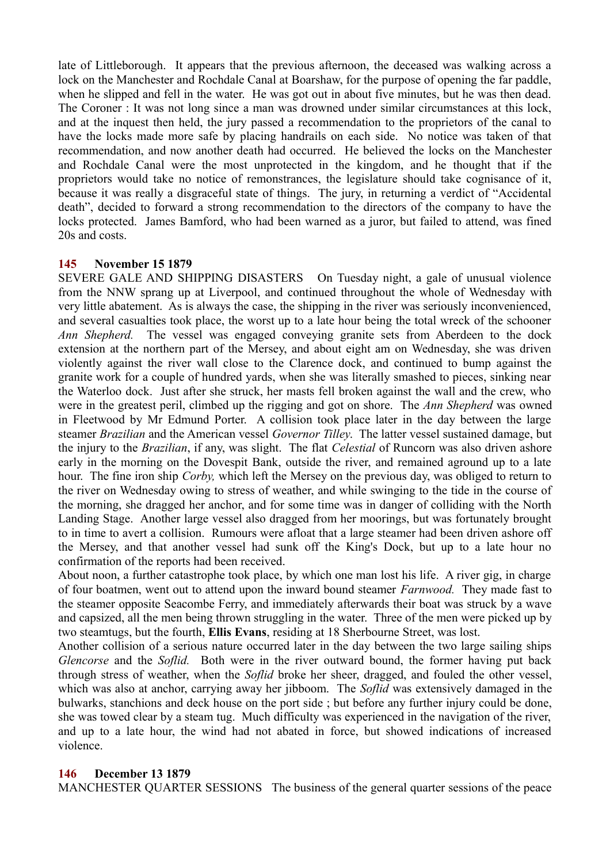late of Littleborough. It appears that the previous afternoon, the deceased was walking across a lock on the Manchester and Rochdale Canal at Boarshaw, for the purpose of opening the far paddle, when he slipped and fell in the water. He was got out in about five minutes, but he was then dead. The Coroner : It was not long since a man was drowned under similar circumstances at this lock, and at the inquest then held, the jury passed a recommendation to the proprietors of the canal to have the locks made more safe by placing handrails on each side. No notice was taken of that recommendation, and now another death had occurred. He believed the locks on the Manchester and Rochdale Canal were the most unprotected in the kingdom, and he thought that if the proprietors would take no notice of remonstrances, the legislature should take cognisance of it, because it was really a disgraceful state of things. The jury, in returning a verdict of "Accidental death", decided to forward a strong recommendation to the directors of the company to have the locks protected. James Bamford, who had been warned as a juror, but failed to attend, was fined 20s and costs.

## **145 November 15 1879**

SEVERE GALE AND SHIPPING DISASTERS On Tuesday night, a gale of unusual violence from the NNW sprang up at Liverpool, and continued throughout the whole of Wednesday with very little abatement. As is always the case, the shipping in the river was seriously inconvenienced, and several casualties took place, the worst up to a late hour being the total wreck of the schooner *Ann Shepherd.* The vessel was engaged conveying granite sets from Aberdeen to the dock extension at the northern part of the Mersey, and about eight am on Wednesday, she was driven violently against the river wall close to the Clarence dock, and continued to bump against the granite work for a couple of hundred yards, when she was literally smashed to pieces, sinking near the Waterloo dock. Just after she struck, her masts fell broken against the wall and the crew, who were in the greatest peril, climbed up the rigging and got on shore. The *Ann Shepherd* was owned in Fleetwood by Mr Edmund Porter. A collision took place later in the day between the large steamer *Brazilian* and the American vessel *Governor Tilley*. The latter vessel sustained damage, but the injury to the *Brazilian*, if any, was slight. The flat *Celestial* of Runcorn was also driven ashore early in the morning on the Dovespit Bank, outside the river, and remained aground up to a late hour. The fine iron ship *Corby,* which left the Mersey on the previous day, was obliged to return to the river on Wednesday owing to stress of weather, and while swinging to the tide in the course of the morning, she dragged her anchor, and for some time was in danger of colliding with the North Landing Stage. Another large vessel also dragged from her moorings, but was fortunately brought to in time to avert a collision. Rumours were afloat that a large steamer had been driven ashore off the Mersey, and that another vessel had sunk off the King's Dock, but up to a late hour no confirmation of the reports had been received.

About noon, a further catastrophe took place, by which one man lost his life. A river gig, in charge of four boatmen, went out to attend upon the inward bound steamer *Farnwood.* They made fast to the steamer opposite Seacombe Ferry, and immediately afterwards their boat was struck by a wave and capsized, all the men being thrown struggling in the water. Three of the men were picked up by two steamtugs, but the fourth, **Ellis Evans**, residing at 18 Sherbourne Street, was lost.

Another collision of a serious nature occurred later in the day between the two large sailing ships *Glencorse* and the *Soflid.* Both were in the river outward bound, the former having put back through stress of weather, when the *Soflid* broke her sheer, dragged, and fouled the other vessel, which was also at anchor, carrying away her jibboom. The *Soflid* was extensively damaged in the bulwarks, stanchions and deck house on the port side ; but before any further injury could be done, she was towed clear by a steam tug. Much difficulty was experienced in the navigation of the river, and up to a late hour, the wind had not abated in force, but showed indications of increased violence.

#### **146 December 13 1879**

MANCHESTER QUARTER SESSIONS The business of the general quarter sessions of the peace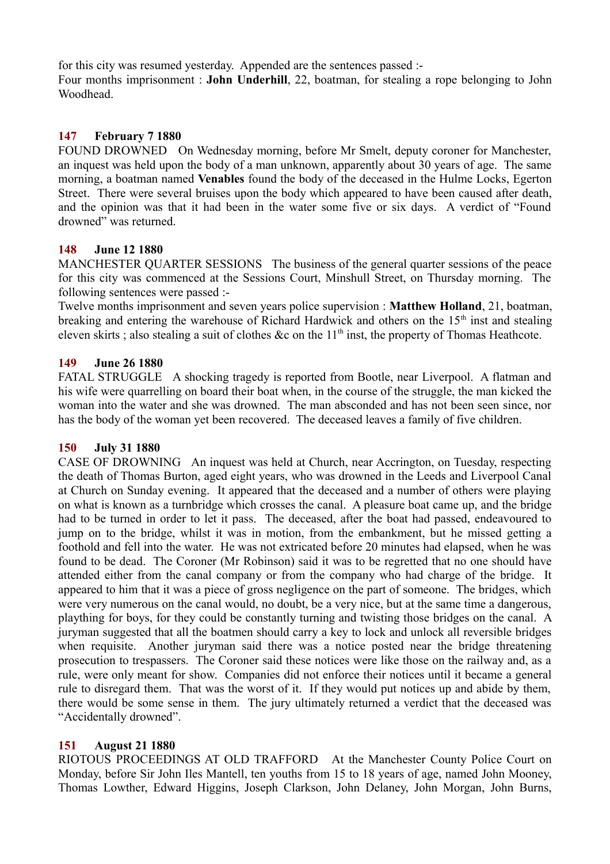for this city was resumed yesterday. Appended are the sentences passed :- Four months imprisonment : **John Underhill**, 22, boatman, for stealing a rope belonging to John **Woodhead** 

## **147 February 7 1880**

FOUND DROWNED On Wednesday morning, before Mr Smelt, deputy coroner for Manchester, an inquest was held upon the body of a man unknown, apparently about 30 years of age. The same morning, a boatman named **Venables** found the body of the deceased in the Hulme Locks, Egerton Street. There were several bruises upon the body which appeared to have been caused after death, and the opinion was that it had been in the water some five or six days. A verdict of "Found drowned" was returned.

#### **148 June 12 1880**

MANCHESTER QUARTER SESSIONS The business of the general quarter sessions of the peace for this city was commenced at the Sessions Court, Minshull Street, on Thursday morning. The following sentences were passed :-

Twelve months imprisonment and seven years police supervision : **Matthew Holland**, 21, boatman, breaking and entering the warehouse of Richard Hardwick and others on the  $15<sup>th</sup>$  inst and stealing eleven skirts ; also stealing a suit of clothes &c on the  $11<sup>th</sup>$  inst, the property of Thomas Heathcote.

#### **149 June 26 1880**

FATAL STRUGGLE A shocking tragedy is reported from Bootle, near Liverpool. A flatman and his wife were quarrelling on board their boat when, in the course of the struggle, the man kicked the woman into the water and she was drowned. The man absconded and has not been seen since, nor has the body of the woman yet been recovered. The deceased leaves a family of five children.

### **150 July 31 1880**

CASE OF DROWNING An inquest was held at Church, near Accrington, on Tuesday, respecting the death of Thomas Burton, aged eight years, who was drowned in the Leeds and Liverpool Canal at Church on Sunday evening. It appeared that the deceased and a number of others were playing on what is known as a turnbridge which crosses the canal. A pleasure boat came up, and the bridge had to be turned in order to let it pass. The deceased, after the boat had passed, endeavoured to jump on to the bridge, whilst it was in motion, from the embankment, but he missed getting a foothold and fell into the water. He was not extricated before 20 minutes had elapsed, when he was found to be dead. The Coroner (Mr Robinson) said it was to be regretted that no one should have attended either from the canal company or from the company who had charge of the bridge. It appeared to him that it was a piece of gross negligence on the part of someone. The bridges, which were very numerous on the canal would, no doubt, be a very nice, but at the same time a dangerous, plaything for boys, for they could be constantly turning and twisting those bridges on the canal. A juryman suggested that all the boatmen should carry a key to lock and unlock all reversible bridges when requisite. Another juryman said there was a notice posted near the bridge threatening prosecution to trespassers. The Coroner said these notices were like those on the railway and, as a rule, were only meant for show. Companies did not enforce their notices until it became a general rule to disregard them. That was the worst of it. If they would put notices up and abide by them, there would be some sense in them. The jury ultimately returned a verdict that the deceased was "Accidentally drowned".

#### **151 August 21 1880**

RIOTOUS PROCEEDINGS AT OLD TRAFFORD At the Manchester County Police Court on Monday, before Sir John Iles Mantell, ten youths from 15 to 18 years of age, named John Mooney, Thomas Lowther, Edward Higgins, Joseph Clarkson, John Delaney, John Morgan, John Burns,